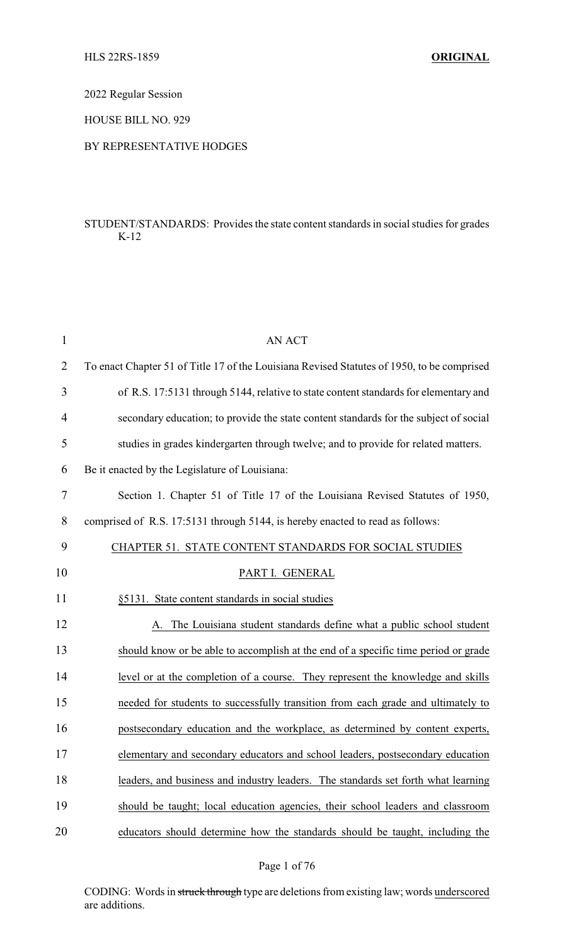2022 Regular Session

HOUSE BILL NO. 929

## BY REPRESENTATIVE HODGES

## STUDENT/STANDARDS: Provides the state content standards in social studies for grades K-12

| $\mathbf{1}$   | <b>AN ACT</b>                                                                              |
|----------------|--------------------------------------------------------------------------------------------|
| $\overline{2}$ | To enact Chapter 51 of Title 17 of the Louisiana Revised Statutes of 1950, to be comprised |
| 3              | of R.S. 17:5131 through 5144, relative to state content standards for elementary and       |
| 4              | secondary education; to provide the state content standards for the subject of social      |
| 5              | studies in grades kindergarten through twelve; and to provide for related matters.         |
| 6              | Be it enacted by the Legislature of Louisiana:                                             |
| 7              | Section 1. Chapter 51 of Title 17 of the Louisiana Revised Statutes of 1950,               |
| 8              | comprised of R.S. 17:5131 through 5144, is hereby enacted to read as follows:              |
| 9              | CHAPTER 51. STATE CONTENT STANDARDS FOR SOCIAL STUDIES                                     |
| 10             | PART I. GENERAL                                                                            |
| 11             | §5131. State content standards in social studies                                           |
| 12             | The Louisiana student standards define what a public school student                        |
| 13             | should know or be able to accomplish at the end of a specific time period or grade         |
| 14             | level or at the completion of a course. They represent the knowledge and skills            |
| 15             | needed for students to successfully transition from each grade and ultimately to           |
| 16             | postsecondary education and the workplace, as determined by content experts,               |
| 17             | elementary and secondary educators and school leaders, postsecondary education             |
| 18             | leaders, and business and industry leaders. The standards set forth what learning          |
| 19             | should be taught; local education agencies, their school leaders and classroom             |
| 20             | educators should determine how the standards should be taught, including the               |

CODING: Words in struck through type are deletions from existing law; words underscored are additions.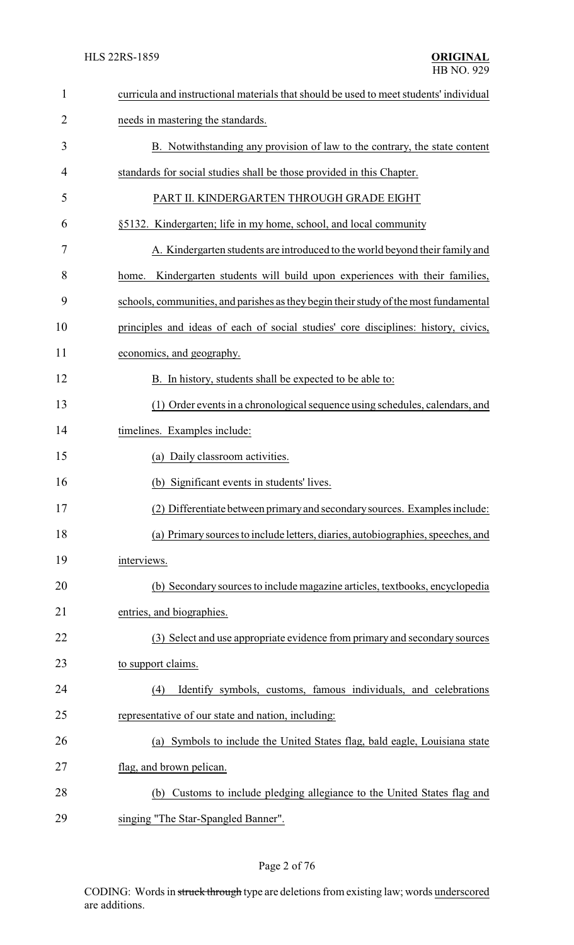| $\mathbf{1}$   | curricula and instructional materials that should be used to meet students' individual |
|----------------|----------------------------------------------------------------------------------------|
| $\overline{2}$ | needs in mastering the standards.                                                      |
| 3              | B. Notwithstanding any provision of law to the contrary, the state content             |
| 4              | standards for social studies shall be those provided in this Chapter.                  |
| 5              | PART II. KINDERGARTEN THROUGH GRADE EIGHT                                              |
| 6              | §5132. Kindergarten; life in my home, school, and local community                      |
| 7              | A. Kindergarten students are introduced to the world beyond their family and           |
| 8              | Kindergarten students will build upon experiences with their families,<br>home.        |
| 9              | schools, communities, and parishes as they begin their study of the most fundamental   |
| 10             | principles and ideas of each of social studies' core disciplines: history, civics,     |
| 11             | economics, and geography.                                                              |
| 12             | B. In history, students shall be expected to be able to:                               |
| 13             | (1) Order events in a chronological sequence using schedules, calendars, and           |
| 14             | timelines. Examples include:                                                           |
| 15             | (a) Daily classroom activities.                                                        |
| 16             | (b) Significant events in students' lives.                                             |
| 17             | (2) Differentiate between primary and secondary sources. Examples include:             |
| 18             | (a) Primary sources to include letters, diaries, autobiographies, speeches, and        |
| 19             | interviews.                                                                            |
| 20             | (b) Secondary sources to include magazine articles, textbooks, encyclopedia            |
| 21             | entries, and biographies.                                                              |
| 22             | (3) Select and use appropriate evidence from primary and secondary sources             |
| 23             | to support claims.                                                                     |
| 24             | Identify symbols, customs, famous individuals, and celebrations<br>(4)                 |
| 25             | representative of our state and nation, including:                                     |
| 26             | (a) Symbols to include the United States flag, bald eagle, Louisiana state             |
| 27             | flag, and brown pelican.                                                               |
| 28             | Customs to include pledging allegiance to the United States flag and<br>(b)            |
| 29             | singing "The Star-Spangled Banner".                                                    |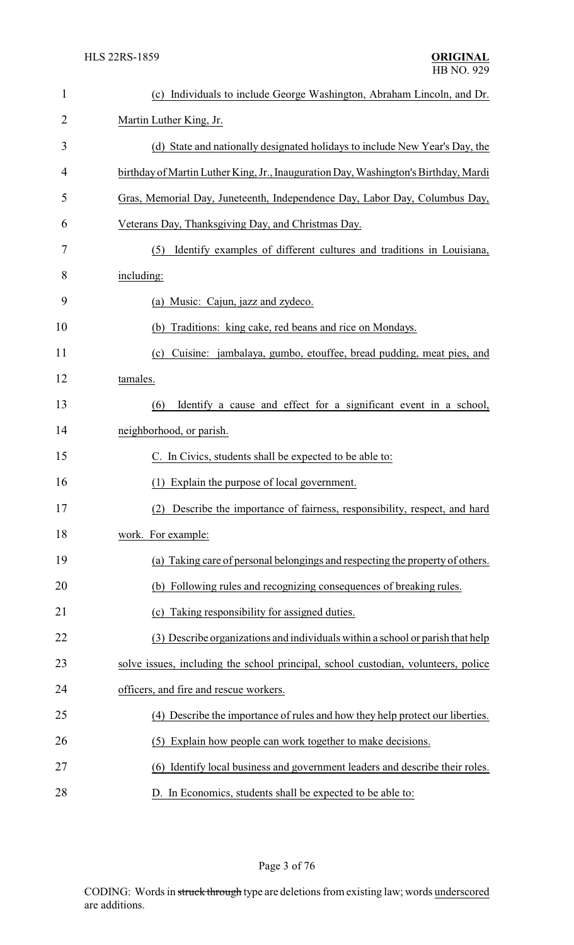| $\mathbf{1}$   | Individuals to include George Washington, Abraham Lincoln, and Dr.<br>(c)           |
|----------------|-------------------------------------------------------------------------------------|
| $\overline{2}$ | Martin Luther King, Jr.                                                             |
| 3              | (d) State and nationally designated holidays to include New Year's Day, the         |
| 4              | birthday of Martin Luther King, Jr., Inauguration Day, Washington's Birthday, Mardi |
| 5              | Gras, Memorial Day, Juneteenth, Independence Day, Labor Day, Columbus Day,          |
| 6              | Veterans Day, Thanksgiving Day, and Christmas Day.                                  |
| 7              | Identify examples of different cultures and traditions in Louisiana,<br>(5)         |
| 8              | including:                                                                          |
| 9              | (a) Music: Cajun, jazz and zydeco.                                                  |
| 10             | Traditions: king cake, red beans and rice on Mondays.<br>(b)                        |
| 11             | Cuisine: jambalaya, gumbo, etouffee, bread pudding, meat pies, and<br>(c)           |
| 12             | tamales.                                                                            |
| 13             | Identify a cause and effect for a significant event in a school,<br>(6)             |
| 14             | neighborhood, or parish.                                                            |
| 15             | C. In Civics, students shall be expected to be able to:                             |
| 16             | Explain the purpose of local government.<br>(1)                                     |
| 17             | (2) Describe the importance of fairness, responsibility, respect, and hard          |
| 18             | work. For example:                                                                  |
| 19             | (a) Taking care of personal belongings and respecting the property of others.       |
| 20             | (b) Following rules and recognizing consequences of breaking rules.                 |
| 21             | Taking responsibility for assigned duties.<br>(c)                                   |
| 22             | (3) Describe organizations and individuals within a school or parish that help      |
| 23             | solve issues, including the school principal, school custodian, volunteers, police  |
| 24             | officers, and fire and rescue workers.                                              |
| 25             | (4) Describe the importance of rules and how they help protect our liberties.       |
| 26             | Explain how people can work together to make decisions.<br>(5)                      |
| 27             | (6) Identify local business and government leaders and describe their roles.        |
| 28             | D. In Economics, students shall be expected to be able to:                          |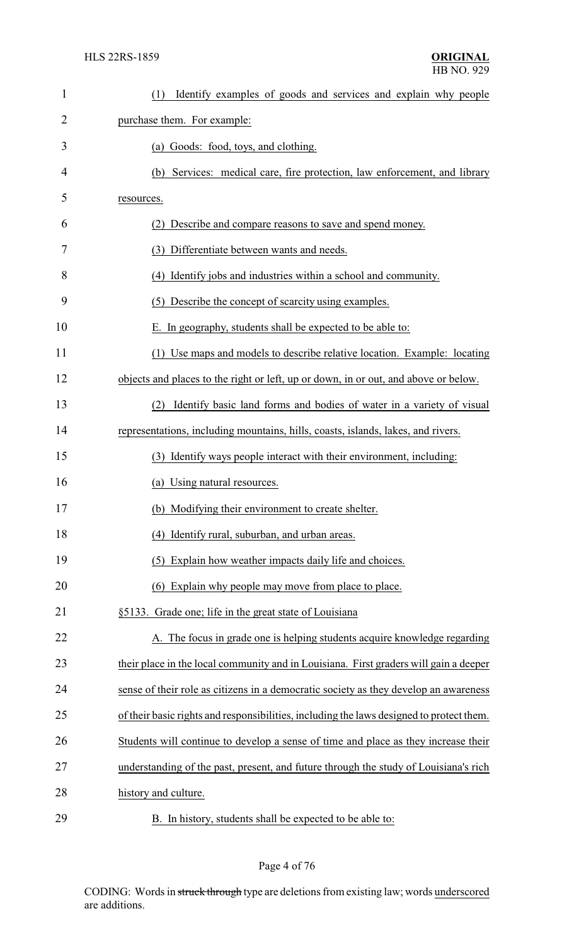| $\mathbf{1}$   | Identify examples of goods and services and explain why people<br>(1)                    |
|----------------|------------------------------------------------------------------------------------------|
| $\overline{2}$ | purchase them. For example:                                                              |
| 3              | (a) Goods: food, toys, and clothing.                                                     |
| 4              | Services: medical care, fire protection, law enforcement, and library<br>(b)             |
| 5              | resources.                                                                               |
| 6              | (2) Describe and compare reasons to save and spend money.                                |
| 7              | Differentiate between wants and needs.<br>(3)                                            |
| 8              | (4) Identify jobs and industries within a school and community.                          |
| 9              | (5) Describe the concept of scarcity using examples.                                     |
| 10             | E. In geography, students shall be expected to be able to:                               |
| 11             | (1) Use maps and models to describe relative location. Example: locating                 |
| 12             | objects and places to the right or left, up or down, in or out, and above or below.      |
| 13             | Identify basic land forms and bodies of water in a variety of visual<br>(2)              |
| 14             | representations, including mountains, hills, coasts, islands, lakes, and rivers.         |
| 15             | (3) Identify ways people interact with their environment, including:                     |
| 16             | (a) Using natural resources.                                                             |
| 17             | (b) Modifying their environment to create shelter.                                       |
| 18             | (4) Identify rural, suburban, and urban areas.                                           |
| 19             | (5) Explain how weather impacts daily life and choices.                                  |
| 20             | (6) Explain why people may move from place to place.                                     |
| 21             | §5133. Grade one; life in the great state of Louisiana                                   |
| 22             | A. The focus in grade one is helping students acquire knowledge regarding                |
| 23             | their place in the local community and in Louisiana. First graders will gain a deeper    |
| 24             | sense of their role as citizens in a democratic society as they develop an awareness     |
| 25             | of their basic rights and responsibilities, including the laws designed to protect them. |
| 26             | Students will continue to develop a sense of time and place as they increase their       |
| 27             | understanding of the past, present, and future through the study of Louisiana's rich     |
| 28             | history and culture.                                                                     |
| 29             | B. In history, students shall be expected to be able to:                                 |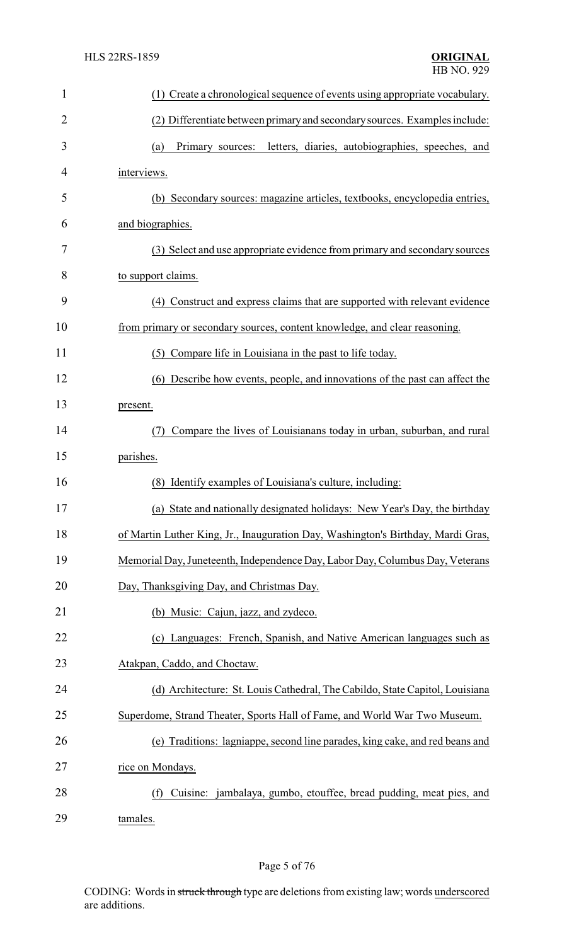| 1              | (1) Create a chronological sequence of events using appropriate vocabulary.      |
|----------------|----------------------------------------------------------------------------------|
| $\overline{2}$ | (2) Differentiate between primary and secondary sources. Examples include:       |
| 3              | letters, diaries, autobiographies, speeches, and<br>(a)<br>Primary sources:      |
| 4              | interviews.                                                                      |
| 5              | (b) Secondary sources: magazine articles, textbooks, encyclopedia entries,       |
| 6              | and biographies.                                                                 |
| 7              | (3) Select and use appropriate evidence from primary and secondary sources       |
| 8              | to support claims.                                                               |
| 9              | (4) Construct and express claims that are supported with relevant evidence       |
| 10             | from primary or secondary sources, content knowledge, and clear reasoning.       |
| 11             | Compare life in Louisiana in the past to life today.<br>(5)                      |
| 12             | (6) Describe how events, people, and innovations of the past can affect the      |
| 13             | present.                                                                         |
| 14             | Compare the lives of Louisianans today in urban, suburban, and rural<br>(7)      |
| 15             | parishes.                                                                        |
| 16             | (8) Identify examples of Louisiana's culture, including:                         |
| 17             | (a) State and nationally designated holidays: New Year's Day, the birthday       |
| 18             | of Martin Luther King, Jr., Inauguration Day, Washington's Birthday, Mardi Gras, |
| 19             | Memorial Day, Juneteenth, Independence Day, Labor Day, Columbus Day, Veterans    |
| 20             | Day, Thanksgiving Day, and Christmas Day.                                        |
| 21             | (b) Music: Cajun, jazz, and zydeco.                                              |
| 22             | (c) Languages: French, Spanish, and Native American languages such as            |
| 23             | Atakpan, Caddo, and Choctaw.                                                     |
| 24             | (d) Architecture: St. Louis Cathedral, The Cabildo, State Capitol, Louisiana     |
| 25             | Superdome, Strand Theater, Sports Hall of Fame, and World War Two Museum.        |
| 26             | (e) Traditions: lagniappe, second line parades, king cake, and red beans and     |
| 27             | rice on Mondays.                                                                 |
| 28             | Cuisine: jambalaya, gumbo, etouffee, bread pudding, meat pies, and<br>(f)        |
| 29             | tamales.                                                                         |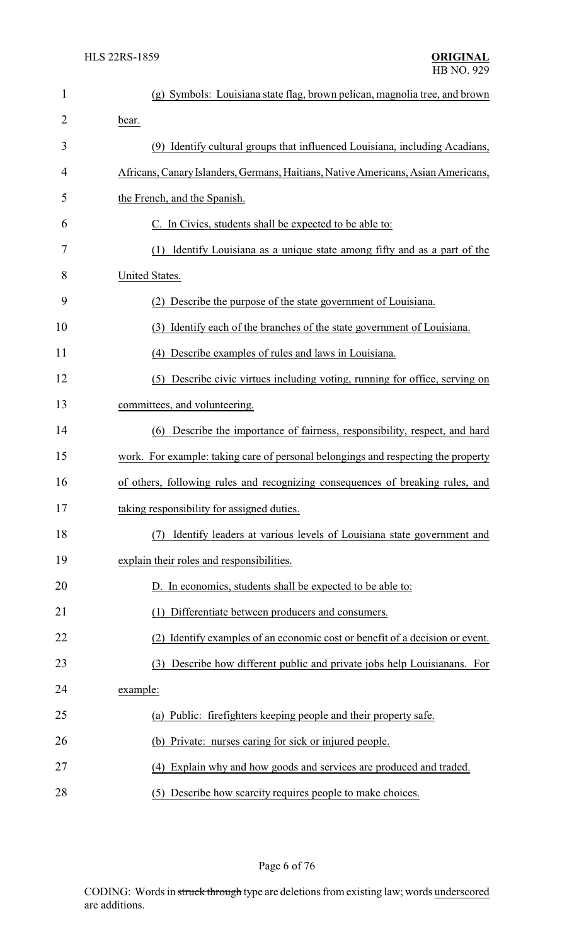| $\mathbf{1}$ | (g) Symbols: Louisiana state flag, brown pelican, magnolia tree, and brown        |
|--------------|-----------------------------------------------------------------------------------|
| 2            | bear.                                                                             |
| 3            | (9) Identify cultural groups that influenced Louisiana, including Acadians,       |
| 4            | Africans, Canary Islanders, Germans, Haitians, Native Americans, Asian Americans, |
| 5            | the French, and the Spanish.                                                      |
| 6            | C. In Civics, students shall be expected to be able to:                           |
| 7            | Identify Louisiana as a unique state among fifty and as a part of the<br>(1)      |
| 8            | United States.                                                                    |
| 9            | Describe the purpose of the state government of Louisiana.                        |
| 10           | (3) Identify each of the branches of the state government of Louisiana.           |
| 11           | (4) Describe examples of rules and laws in Louisiana.                             |
| 12           | Describe civic virtues including voting, running for office, serving on<br>(5)    |
| 13           | committees, and volunteering.                                                     |
| 14           | Describe the importance of fairness, responsibility, respect, and hard<br>(6)     |
| 15           | work. For example: taking care of personal belongings and respecting the property |
| 16           | of others, following rules and recognizing consequences of breaking rules, and    |
| 17           | taking responsibility for assigned duties.                                        |
| 18           | Identify leaders at various levels of Louisiana state government and              |
| 19           | explain their roles and responsibilities.                                         |
| 20           | D. In economics, students shall be expected to be able to:                        |
| 21           | Differentiate between producers and consumers.<br>(1)                             |
| 22           | Identify examples of an economic cost or benefit of a decision or event.<br>(2)   |
| 23           | Describe how different public and private jobs help Louisianans. For<br>(3)       |
| 24           | example:                                                                          |
| 25           | (a) Public: firefighters keeping people and their property safe.                  |
| 26           | (b) Private: nurses caring for sick or injured people.                            |
| 27           | (4) Explain why and how goods and services are produced and traded.               |
| 28           | Describe how scarcity requires people to make choices.<br>(5)                     |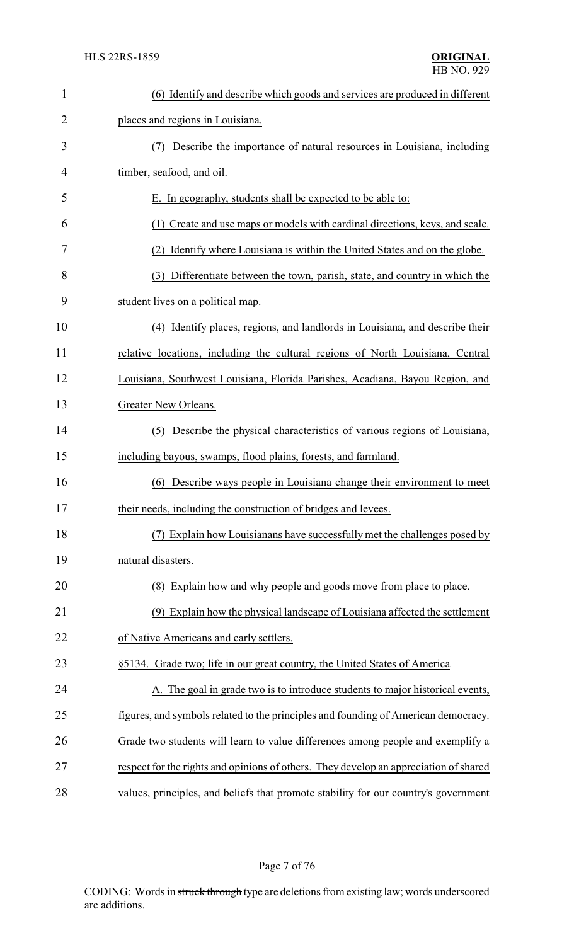| $\mathbf{1}$ | (6) Identify and describe which goods and services are produced in different          |
|--------------|---------------------------------------------------------------------------------------|
| 2            | places and regions in Louisiana.                                                      |
| 3            | Describe the importance of natural resources in Louisiana, including                  |
| 4            | timber, seafood, and oil.                                                             |
| 5            | E. In geography, students shall be expected to be able to:                            |
| 6            | (1) Create and use maps or models with cardinal directions, keys, and scale.          |
| 7            | Identify where Louisiana is within the United States and on the globe.<br>(2)         |
| 8            | (3) Differentiate between the town, parish, state, and country in which the           |
| 9            | student lives on a political map.                                                     |
| 10           | (4) Identify places, regions, and landlords in Louisiana, and describe their          |
| 11           | relative locations, including the cultural regions of North Louisiana, Central        |
| 12           | Louisiana, Southwest Louisiana, Florida Parishes, Acadiana, Bayou Region, and         |
| 13           | Greater New Orleans.                                                                  |
| 14           | (5) Describe the physical characteristics of various regions of Louisiana,            |
| 15           | including bayous, swamps, flood plains, forests, and farmland.                        |
| 16           | Describe ways people in Louisiana change their environment to meet<br>(6)             |
| 17           | their needs, including the construction of bridges and levees                         |
| 18           | (7) Explain how Louisianans have successfully met the challenges posed by             |
| 19           | natural disasters.                                                                    |
| 20           | (8) Explain how and why people and goods move from place to place.                    |
| 21           | (9) Explain how the physical landscape of Louisiana affected the settlement           |
| 22           | of Native Americans and early settlers.                                               |
| 23           | §5134. Grade two; life in our great country, the United States of America             |
| 24           | A. The goal in grade two is to introduce students to major historical events,         |
| 25           | figures, and symbols related to the principles and founding of American democracy.    |
| 26           | Grade two students will learn to value differences among people and exemplify a       |
| 27           | respect for the rights and opinions of others. They develop an appreciation of shared |
| 28           | values, principles, and beliefs that promote stability for our country's government   |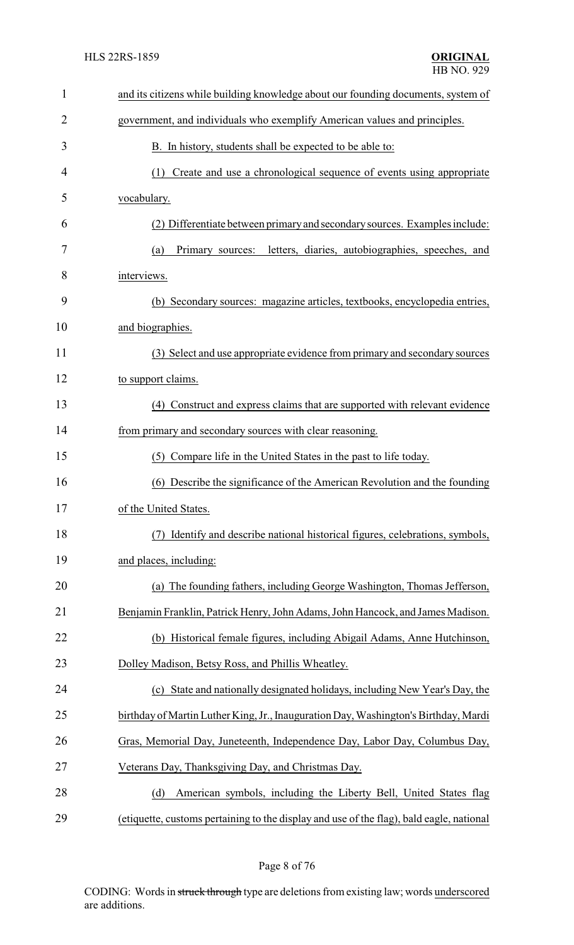| 1              | and its citizens while building knowledge about our founding documents, system of        |
|----------------|------------------------------------------------------------------------------------------|
| $\overline{2}$ | government, and individuals who exemplify American values and principles.                |
| 3              | B. In history, students shall be expected to be able to:                                 |
| 4              | Create and use a chronological sequence of events using appropriate<br>(1)               |
| 5              | vocabulary.                                                                              |
| 6              | (2) Differentiate between primary and secondary sources. Examples include:               |
| 7              | Primary sources: letters, diaries, autobiographies, speeches, and<br>(a)                 |
| 8              | interviews.                                                                              |
| 9              | (b) Secondary sources: magazine articles, textbooks, encyclopedia entries,               |
| 10             | and biographies.                                                                         |
| 11             | (3) Select and use appropriate evidence from primary and secondary sources               |
| 12             | to support claims.                                                                       |
| 13             | (4) Construct and express claims that are supported with relevant evidence               |
| 14             | from primary and secondary sources with clear reasoning.                                 |
| 15             | (5) Compare life in the United States in the past to life today.                         |
| 16             | (6) Describe the significance of the American Revolution and the founding                |
| 17             | of the United States.                                                                    |
| 18             | Identify and describe national historical figures, celebrations, symbols,                |
| 19             | and places, including:                                                                   |
| 20             | (a) The founding fathers, including George Washington, Thomas Jefferson,                 |
| 21             | Benjamin Franklin, Patrick Henry, John Adams, John Hancock, and James Madison.           |
| 22             | (b) Historical female figures, including Abigail Adams, Anne Hutchinson,                 |
| 23             | Dolley Madison, Betsy Ross, and Phillis Wheatley.                                        |
| 24             | State and nationally designated holidays, including New Year's Day, the<br>(c)           |
| 25             | birthday of Martin Luther King, Jr., Inauguration Day, Washington's Birthday, Mardi      |
| 26             | Gras, Memorial Day, Juneteenth, Independence Day, Labor Day, Columbus Day,               |
| 27             | Veterans Day, Thanksgiving Day, and Christmas Day.                                       |
| 28             | (d)<br>American symbols, including the Liberty Bell, United States flag                  |
| 29             | (etiquette, customs pertaining to the display and use of the flag), bald eagle, national |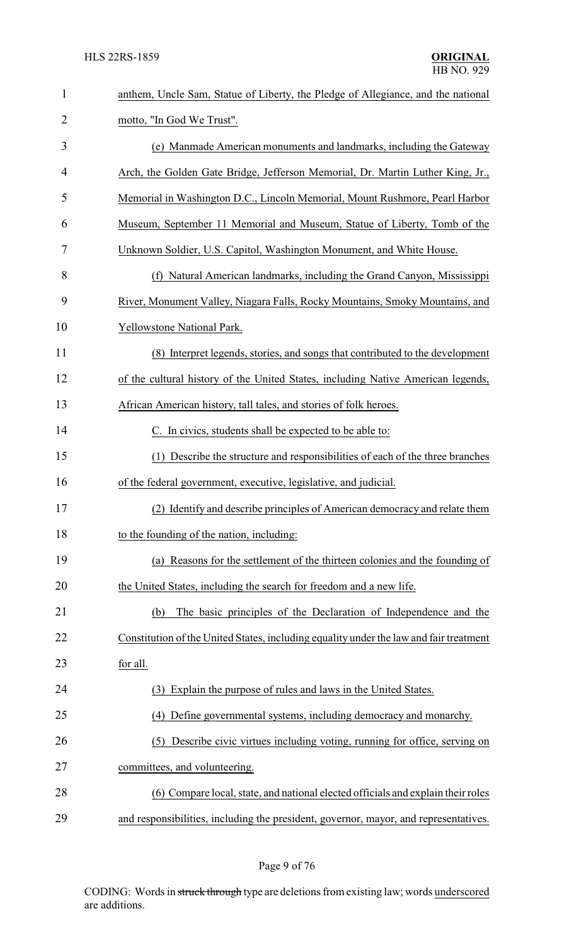| $\mathbf{1}$   | anthem, Uncle Sam, Statue of Liberty, the Pledge of Allegiance, and the national       |
|----------------|----------------------------------------------------------------------------------------|
| $\overline{2}$ | motto, "In God We Trust".                                                              |
| 3              | (e) Manmade American monuments and landmarks, including the Gateway                    |
| 4              | Arch, the Golden Gate Bridge, Jefferson Memorial, Dr. Martin Luther King, Jr.,         |
| 5              | Memorial in Washington D.C., Lincoln Memorial, Mount Rushmore, Pearl Harbor            |
| 6              | Museum, September 11 Memorial and Museum, Statue of Liberty, Tomb of the               |
| 7              | Unknown Soldier, U.S. Capitol, Washington Monument, and White House.                   |
| 8              | (f) Natural American landmarks, including the Grand Canyon, Mississippi                |
| 9              | River, Monument Valley, Niagara Falls, Rocky Mountains, Smoky Mountains, and           |
| 10             | Yellowstone National Park.                                                             |
| 11             | (8) Interpret legends, stories, and songs that contributed to the development          |
| 12             | of the cultural history of the United States, including Native American legends,       |
| 13             | African American history, tall tales, and stories of folk heroes.                      |
| 14             | C. In civics, students shall be expected to be able to:                                |
| 15             | Describe the structure and responsibilities of each of the three branches              |
| 16             | of the federal government, executive, legislative, and judicial.                       |
| 17             | (2) Identify and describe principles of American democracy and relate them             |
| 18             | to the founding of the nation, including:                                              |
| 19             | (a) Reasons for the settlement of the thirteen colonies and the founding of            |
| 20             | the United States, including the search for freedom and a new life.                    |
| 21             | The basic principles of the Declaration of Independence and the<br>(b)                 |
| 22             | Constitution of the United States, including equality under the law and fair treatment |
| 23             | for all.                                                                               |
| 24             | (3) Explain the purpose of rules and laws in the United States.                        |
| 25             | Define governmental systems, including democracy and monarchy.<br>(4)                  |
| 26             | Describe civic virtues including voting, running for office, serving on<br>(5)         |
| 27             | committees, and volunteering.                                                          |
| 28             | (6) Compare local, state, and national elected officials and explain their roles       |
| 29             | and responsibilities, including the president, governor, mayor, and representatives.   |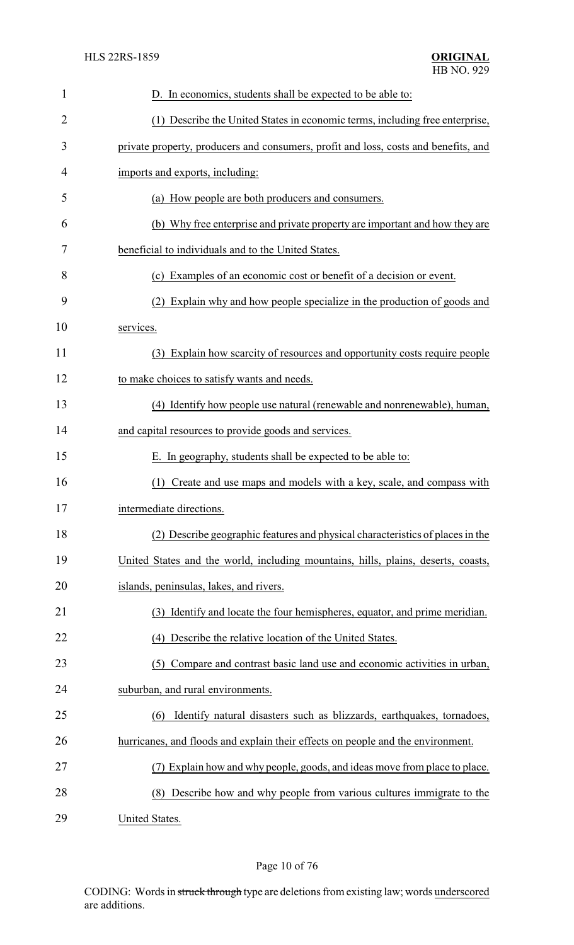| $\mathbf{1}$ | D. In economics, students shall be expected to be able to:                          |
|--------------|-------------------------------------------------------------------------------------|
| 2            | (1) Describe the United States in economic terms, including free enterprise,        |
| 3            | private property, producers and consumers, profit and loss, costs and benefits, and |
| 4            | imports and exports, including:                                                     |
| 5            | (a) How people are both producers and consumers.                                    |
| 6            | (b) Why free enterprise and private property are important and how they are         |
| 7            | beneficial to individuals and to the United States.                                 |
| 8            | (c) Examples of an economic cost or benefit of a decision or event.                 |
| 9            | Explain why and how people specialize in the production of goods and                |
| 10           | services.                                                                           |
| 11           | (3) Explain how scarcity of resources and opportunity costs require people          |
| 12           | to make choices to satisfy wants and needs.                                         |
| 13           | (4) Identify how people use natural (renewable and nonrenewable), human,            |
| 14           | and capital resources to provide goods and services.                                |
| 15           | E. In geography, students shall be expected to be able to:                          |
| 16           | Create and use maps and models with a key, scale, and compass with<br>(1)           |
| 17           | intermediate directions.                                                            |
| 18           | (2) Describe geographic features and physical characteristics of places in the      |
| 19           | United States and the world, including mountains, hills, plains, deserts, coasts,   |
| 20           | islands, peninsulas, lakes, and rivers.                                             |
| 21           | Identify and locate the four hemispheres, equator, and prime meridian.<br>(3)       |
| 22           | Describe the relative location of the United States.<br>(4)                         |
| 23           | (5) Compare and contrast basic land use and economic activities in urban,           |
| 24           | suburban, and rural environments.                                                   |
| 25           | Identify natural disasters such as blizzards, earthquakes, tornadoes,<br>(6)        |
| 26           | hurricanes, and floods and explain their effects on people and the environment.     |
| 27           | Explain how and why people, goods, and ideas move from place to place.              |
| 28           | Describe how and why people from various cultures immigrate to the<br>(8)           |
| 29           | United States.                                                                      |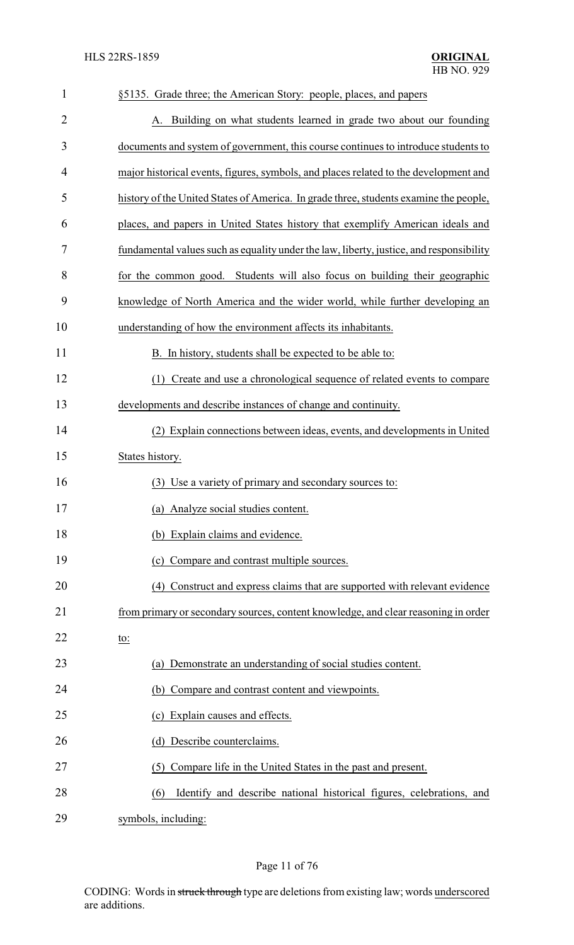| $\mathbf{1}$   | §5135. Grade three; the American Story: people, places, and papers                      |
|----------------|-----------------------------------------------------------------------------------------|
| $\overline{2}$ | A. Building on what students learned in grade two about our founding                    |
| 3              | documents and system of government, this course continues to introduce students to      |
| 4              | major historical events, figures, symbols, and places related to the development and    |
| 5              | history of the United States of America. In grade three, students examine the people,   |
| 6              | places, and papers in United States history that exemplify American ideals and          |
| 7              | fundamental values such as equality under the law, liberty, justice, and responsibility |
| 8              | for the common good. Students will also focus on building their geographic              |
| 9              | knowledge of North America and the wider world, while further developing an             |
| 10             | understanding of how the environment affects its inhabitants.                           |
| 11             | B. In history, students shall be expected to be able to:                                |
| 12             | Create and use a chronological sequence of related events to compare<br>(1)             |
| 13             | developments and describe instances of change and continuity.                           |
| 14             | (2) Explain connections between ideas, events, and developments in United               |
| 15             | States history.                                                                         |
| 16             | (3) Use a variety of primary and secondary sources to:                                  |
| 17             | (a) Analyze social studies content.                                                     |
| 18             | (b) Explain claims and evidence.                                                        |
| 19             | (c) Compare and contrast multiple sources.                                              |
| 20             | (4) Construct and express claims that are supported with relevant evidence              |
| 21             | from primary or secondary sources, content knowledge, and clear reasoning in order      |
| 22             | <u>to:</u>                                                                              |
| 23             | (a) Demonstrate an understanding of social studies content.                             |
| 24             | (b) Compare and contrast content and viewpoints.                                        |
| 25             | (c) Explain causes and effects.                                                         |
| 26             | (d) Describe counterclaims.                                                             |
| 27             | Compare life in the United States in the past and present.<br>(5)                       |
| 28             | Identify and describe national historical figures, celebrations, and<br>(6)             |
| 29             | symbols, including:                                                                     |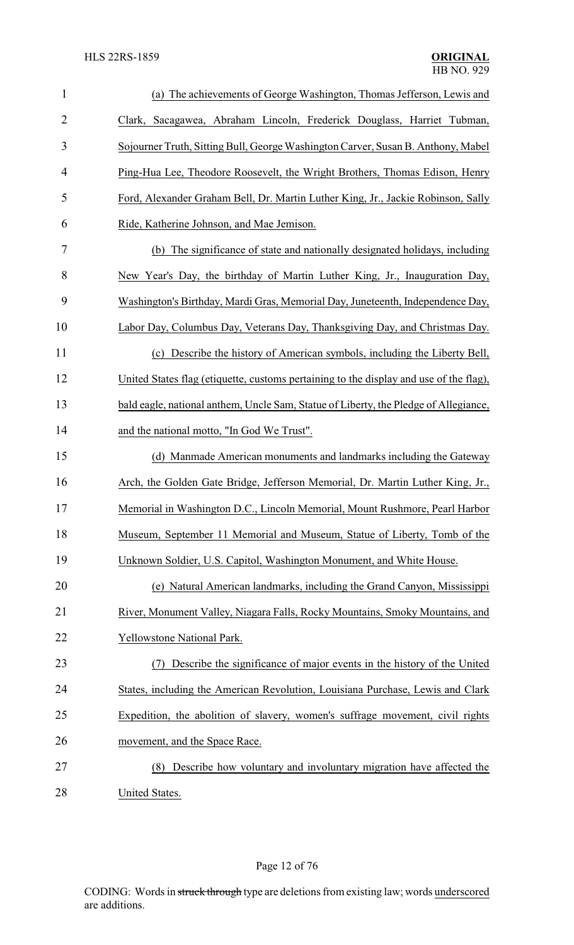| $\mathbf{1}$   | (a) The achievements of George Washington, Thomas Jefferson, Lewis and                 |
|----------------|----------------------------------------------------------------------------------------|
| $\overline{2}$ | Clark, Sacagawea, Abraham Lincoln, Frederick Douglass, Harriet Tubman,                 |
| 3              | Sojourner Truth, Sitting Bull, George Washington Carver, Susan B. Anthony, Mabel       |
| $\overline{4}$ | Ping-Hua Lee, Theodore Roosevelt, the Wright Brothers, Thomas Edison, Henry            |
| 5              | Ford, Alexander Graham Bell, Dr. Martin Luther King, Jr., Jackie Robinson, Sally       |
| 6              | Ride, Katherine Johnson, and Mae Jemison.                                              |
| 7              | (b) The significance of state and nationally designated holidays, including            |
| 8              | New Year's Day, the birthday of Martin Luther King, Jr., Inauguration Day,             |
| 9              | Washington's Birthday, Mardi Gras, Memorial Day, Juneteenth, Independence Day,         |
| 10             | Labor Day, Columbus Day, Veterans Day, Thanksgiving Day, and Christmas Day.            |
| 11             | (c) Describe the history of American symbols, including the Liberty Bell,              |
| 12             | United States flag (etiquette, customs pertaining to the display and use of the flag), |
| 13             | bald eagle, national anthem, Uncle Sam, Statue of Liberty, the Pledge of Allegiance,   |
| 14             | and the national motto, "In God We Trust".                                             |
| 15             | (d) Manmade American monuments and landmarks including the Gateway                     |
| 16             | Arch, the Golden Gate Bridge, Jefferson Memorial, Dr. Martin Luther King, Jr.,         |
| 17             | Memorial in Washington D.C., Lincoln Memorial, Mount Rushmore, Pearl Harbor            |
| 18             | Museum, September 11 Memorial and Museum, Statue of Liberty, Tomb of the               |
| 19             | Unknown Soldier, U.S. Capitol, Washington Monument, and White House.                   |
| 20             | (e) Natural American landmarks, including the Grand Canyon, Mississippi                |
| 21             | River, Monument Valley, Niagara Falls, Rocky Mountains, Smoky Mountains, and           |
| 22             | Yellowstone National Park.                                                             |
| 23             | Describe the significance of major events in the history of the United<br>(7)          |
| 24             | States, including the American Revolution, Louisiana Purchase, Lewis and Clark         |
| 25             | Expedition, the abolition of slavery, women's suffrage movement, civil rights          |
| 26             | movement, and the Space Race.                                                          |
| 27             | Describe how voluntary and involuntary migration have affected the<br>(8)              |
| 28             | United States.                                                                         |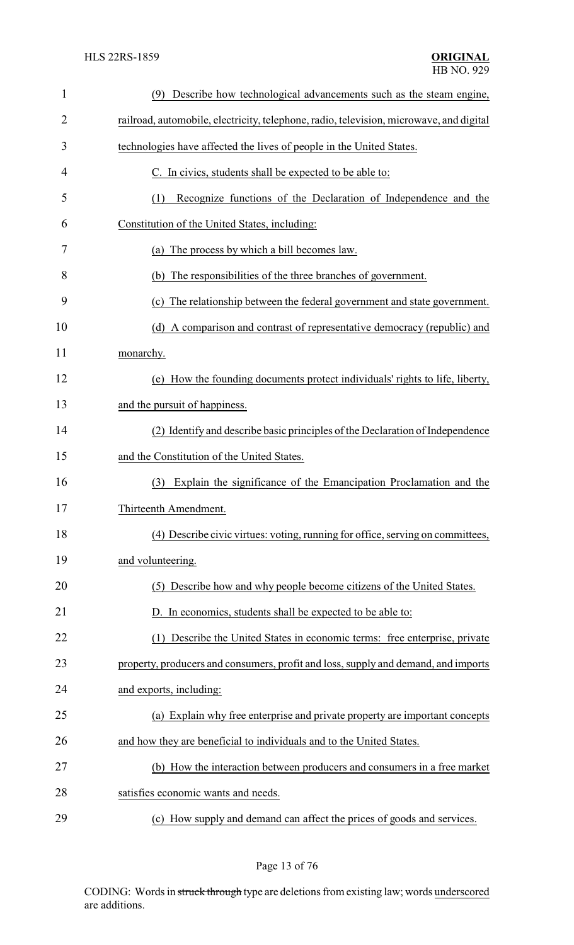| $\mathbf{1}$   | Describe how technological advancements such as the steam engine,<br>(9)                |
|----------------|-----------------------------------------------------------------------------------------|
| $\overline{2}$ | railroad, automobile, electricity, telephone, radio, television, microwave, and digital |
| 3              | technologies have affected the lives of people in the United States.                    |
| 4              | C. In civics, students shall be expected to be able to:                                 |
| 5              | Recognize functions of the Declaration of Independence and the<br>(1)                   |
| 6              | Constitution of the United States, including:                                           |
| 7              | The process by which a bill becomes law.<br>(a)                                         |
| 8              | (b) The responsibilities of the three branches of government.                           |
| 9              | (c) The relationship between the federal government and state government.               |
| 10             | (d) A comparison and contrast of representative democracy (republic) and                |
| 11             | monarchy.                                                                               |
| 12             | (e) How the founding documents protect individuals' rights to life, liberty,            |
| 13             | and the pursuit of happiness.                                                           |
| 14             | (2) Identify and describe basic principles of the Declaration of Independence           |
| 15             | and the Constitution of the United States.                                              |
| 16             | Explain the significance of the Emancipation Proclamation and the<br>(3)                |
| 17             | Thirteenth Amendment.                                                                   |
| 18             | (4) Describe civic virtues: voting, running for office, serving on committees,          |
| 19             | and volunteering.                                                                       |
| 20             | (5) Describe how and why people become citizens of the United States.                   |
| 21             | D. In economics, students shall be expected to be able to:                              |
| 22             | Describe the United States in economic terms: free enterprise, private<br>(1)           |
| 23             | property, producers and consumers, profit and loss, supply and demand, and imports      |
| 24             | and exports, including:                                                                 |
| 25             | (a) Explain why free enterprise and private property are important concepts             |
| 26             | and how they are beneficial to individuals and to the United States.                    |
| 27             | (b) How the interaction between producers and consumers in a free market                |
| 28             | satisfies economic wants and needs.                                                     |
| 29             | (c) How supply and demand can affect the prices of goods and services.                  |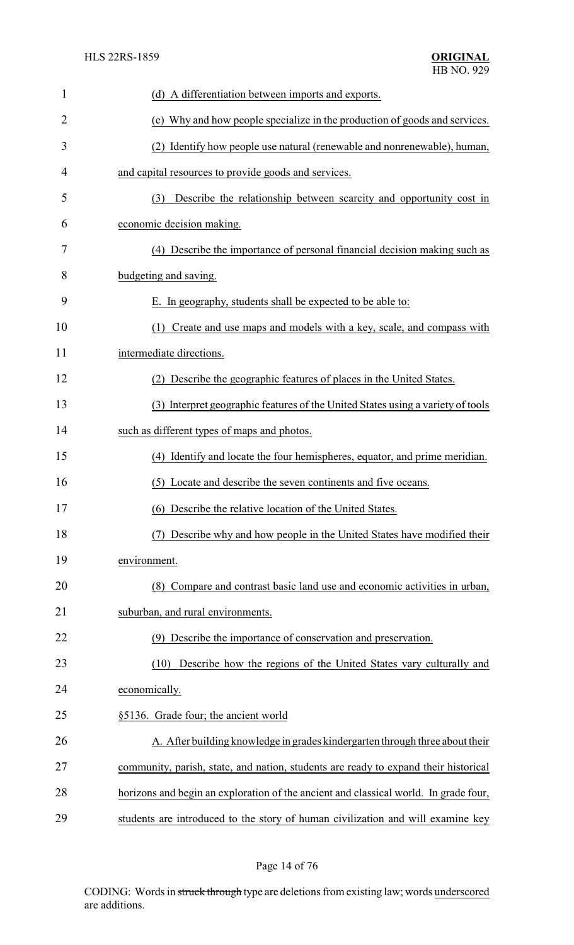| 1              | (d) A differentiation between imports and exports.                                   |
|----------------|--------------------------------------------------------------------------------------|
| $\overline{2}$ | (e) Why and how people specialize in the production of goods and services.           |
| 3              | (2) Identify how people use natural (renewable and nonrenewable), human,             |
| 4              | and capital resources to provide goods and services.                                 |
| 5              | Describe the relationship between scarcity and opportunity cost in<br>(3)            |
| 6              | economic decision making.                                                            |
| 7              | (4) Describe the importance of personal financial decision making such as            |
| 8              | budgeting and saving.                                                                |
| 9              | E. In geography, students shall be expected to be able to:                           |
| 10             | (1) Create and use maps and models with a key, scale, and compass with               |
| 11             | intermediate directions.                                                             |
| 12             | Describe the geographic features of places in the United States.                     |
| 13             | (3) Interpret geographic features of the United States using a variety of tools      |
| 14             | such as different types of maps and photos.                                          |
| 15             | Identify and locate the four hemispheres, equator, and prime meridian.<br>(4)        |
| 16             | (5) Locate and describe the seven continents and five oceans.                        |
| 17             | (6) Describe the relative location of the United States.                             |
| 18             | Describe why and how people in the United States have modified their                 |
| 19             | environment.                                                                         |
| 20             | Compare and contrast basic land use and economic activities in urban,<br>(8)         |
| 21             | suburban, and rural environments.                                                    |
| 22             | (9) Describe the importance of conservation and preservation.                        |
| 23             | (10) Describe how the regions of the United States vary culturally and               |
| 24             | economically.                                                                        |
| 25             | §5136. Grade four; the ancient world                                                 |
| 26             | A. After building knowledge in grades kindergarten through three about their         |
| 27             | community, parish, state, and nation, students are ready to expand their historical  |
| 28             | horizons and begin an exploration of the ancient and classical world. In grade four, |
| 29             | students are introduced to the story of human civilization and will examine key      |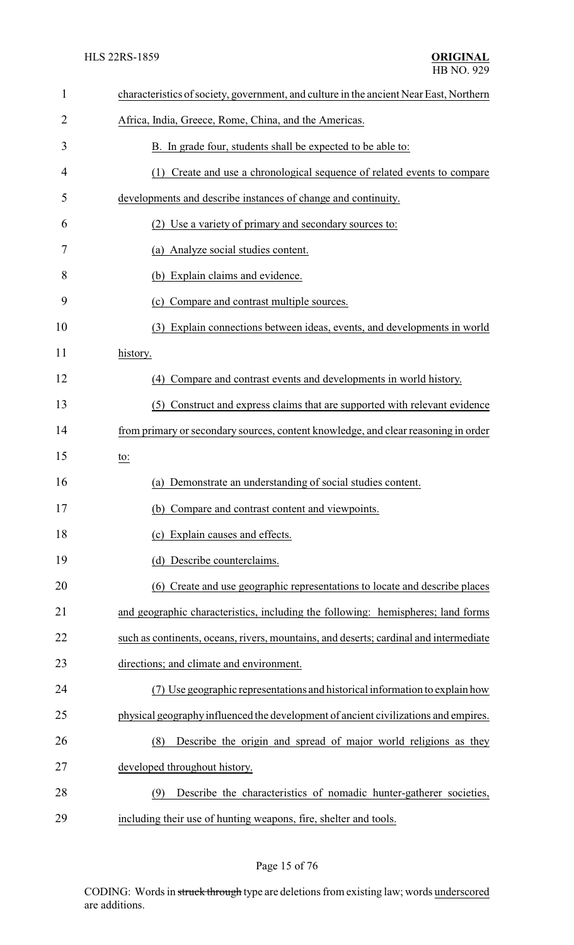| $\mathbf{1}$ | characteristics of society, government, and culture in the ancient Near East, Northern |
|--------------|----------------------------------------------------------------------------------------|
| 2            | Africa, India, Greece, Rome, China, and the Americas.                                  |
| 3            | B. In grade four, students shall be expected to be able to:                            |
| 4            | Create and use a chronological sequence of related events to compare<br>(1)            |
| 5            | developments and describe instances of change and continuity.                          |
| 6            | (2) Use a variety of primary and secondary sources to:                                 |
| 7            | (a) Analyze social studies content.                                                    |
| 8            | (b) Explain claims and evidence.                                                       |
| 9            | (c) Compare and contrast multiple sources.                                             |
| 10           | Explain connections between ideas, events, and developments in world<br>(3)            |
| 11           | history.                                                                               |
| 12           | (4) Compare and contrast events and developments in world history.                     |
| 13           | Construct and express claims that are supported with relevant evidence<br>(5)          |
| 14           | from primary or secondary sources, content knowledge, and clear reasoning in order     |
| 15           | to:                                                                                    |
| 16           | Demonstrate an understanding of social studies content.<br>(a)                         |
| 17           | (b) Compare and contrast content and viewpoints.                                       |
| 18           | (c) Explain causes and effects.                                                        |
| 19           | (d) Describe counterclaims.                                                            |
| 20           | (6) Create and use geographic representations to locate and describe places            |
| 21           | and geographic characteristics, including the following: hemispheres; land forms       |
| 22           | such as continents, oceans, rivers, mountains, and deserts; cardinal and intermediate  |
| 23           | directions; and climate and environment.                                               |
| 24           | (7) Use geographic representations and historical information to explain how           |
| 25           | physical geography influenced the development of ancient civilizations and empires.    |
| 26           | Describe the origin and spread of major world religions as they<br>(8)                 |
| 27           | developed throughout history.                                                          |
| 28           | Describe the characteristics of nomadic hunter-gatherer societies,<br>(9)              |
| 29           | including their use of hunting weapons, fire, shelter and tools.                       |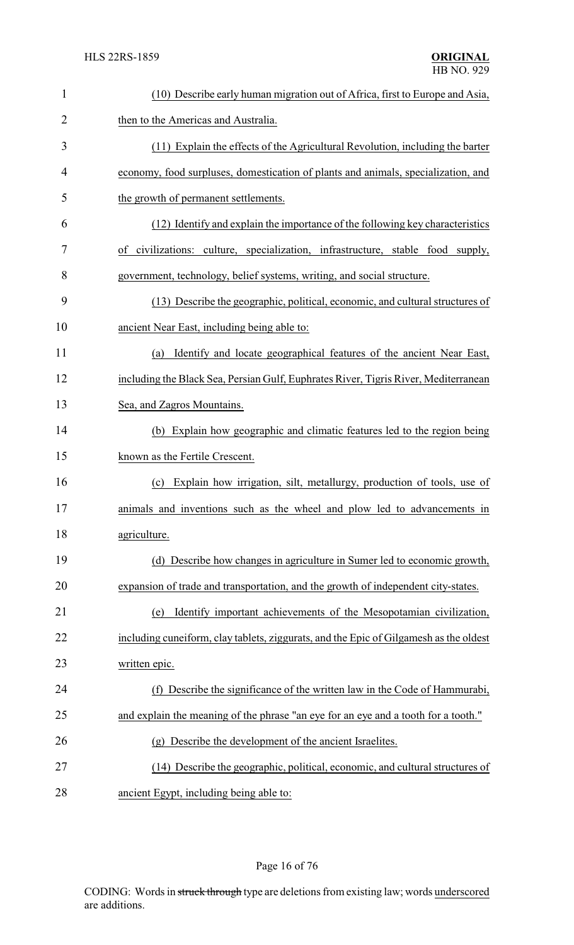| $\mathbf{1}$   | (10) Describe early human migration out of Africa, first to Europe and Asia,          |
|----------------|---------------------------------------------------------------------------------------|
| $\overline{2}$ | then to the Americas and Australia.                                                   |
| 3              | (11) Explain the effects of the Agricultural Revolution, including the barter         |
| 4              | economy, food surpluses, domestication of plants and animals, specialization, and     |
| 5              | the growth of permanent settlements.                                                  |
| 6              | (12) Identify and explain the importance of the following key characteristics         |
| 7              | of civilizations: culture, specialization, infrastructure, stable food supply,        |
| 8              | government, technology, belief systems, writing, and social structure.                |
| 9              | (13) Describe the geographic, political, economic, and cultural structures of         |
| 10             | ancient Near East, including being able to:                                           |
| 11             | Identify and locate geographical features of the ancient Near East,<br>(a)            |
| 12             | including the Black Sea, Persian Gulf, Euphrates River, Tigris River, Mediterranean   |
| 13             | Sea, and Zagros Mountains.                                                            |
| 14             | (b) Explain how geographic and climatic features led to the region being              |
| 15             | known as the Fertile Crescent.                                                        |
| 16             | Explain how irrigation, silt, metallurgy, production of tools, use of<br>(c)          |
| 17             | animals and inventions such as the wheel and plow led to advancements in              |
| 18             | agriculture.                                                                          |
| 19             | (d) Describe how changes in agriculture in Sumer led to economic growth,              |
| 20             | expansion of trade and transportation, and the growth of independent city-states.     |
| 21             | Identify important achievements of the Mesopotamian civilization,<br>(e)              |
| 22             | including cuneiform, clay tablets, ziggurats, and the Epic of Gilgamesh as the oldest |
| 23             | written epic.                                                                         |
| 24             | (f) Describe the significance of the written law in the Code of Hammurabi,            |
| 25             | and explain the meaning of the phrase "an eye for an eye and a tooth for a tooth."    |
| 26             | (g) Describe the development of the ancient Israelites.                               |
| 27             | (14) Describe the geographic, political, economic, and cultural structures of         |
| 28             | ancient Egypt, including being able to:                                               |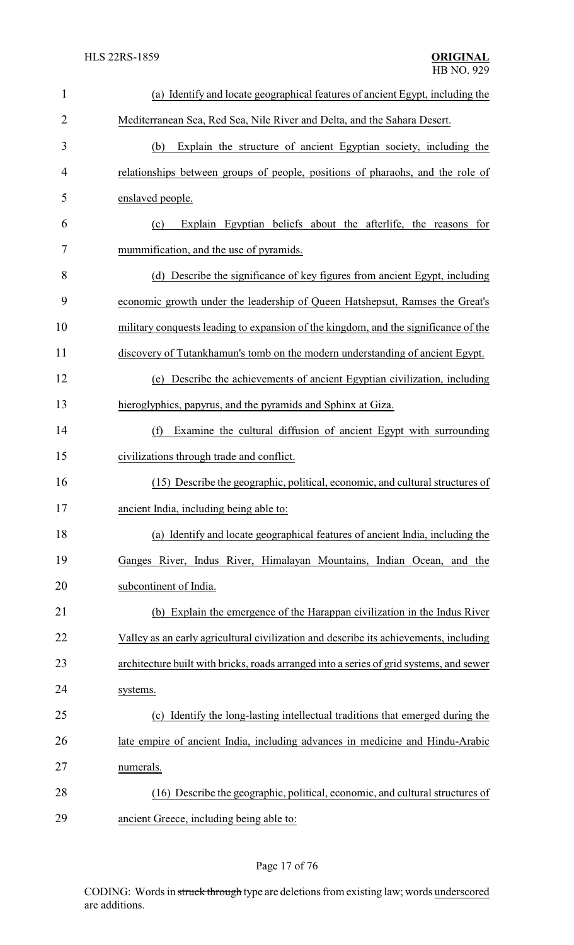| $\mathbf{1}$   | (a) Identify and locate geographical features of ancient Egypt, including the           |
|----------------|-----------------------------------------------------------------------------------------|
| $\overline{2}$ | Mediterranean Sea, Red Sea, Nile River and Delta, and the Sahara Desert.                |
| 3              | Explain the structure of ancient Egyptian society, including the<br>(b)                 |
| 4              | relationships between groups of people, positions of pharaohs, and the role of          |
| 5              | enslaved people.                                                                        |
| 6              | Explain Egyptian beliefs about the afterlife, the reasons<br>(c)<br>for                 |
| 7              | mummification, and the use of pyramids.                                                 |
| 8              | (d) Describe the significance of key figures from ancient Egypt, including              |
| 9              | economic growth under the leadership of Queen Hatshepsut, Ramses the Great's            |
| 10             | military conquests leading to expansion of the kingdom, and the significance of the     |
| 11             | discovery of Tutankhamun's tomb on the modern understanding of ancient Egypt.           |
| 12             | (e) Describe the achievements of ancient Egyptian civilization, including               |
| 13             | hieroglyphics, papyrus, and the pyramids and Sphinx at Giza.                            |
| 14             | (f)<br>Examine the cultural diffusion of ancient Egypt with surrounding                 |
| 15             | civilizations through trade and conflict.                                               |
| 16             | (15) Describe the geographic, political, economic, and cultural structures of           |
| 17             | ancient India, including being able to:                                                 |
| 18             | (a) Identify and locate geographical features of ancient India, including the           |
| 19             | Ganges River, Indus River, Himalayan Mountains, Indian Ocean, and the                   |
| 20             | subcontinent of India.                                                                  |
| 21             | (b) Explain the emergence of the Harappan civilization in the Indus River               |
| 22             | Valley as an early agricultural civilization and describe its achievements, including   |
| 23             | architecture built with bricks, roads arranged into a series of grid systems, and sewer |
| 24             | systems.                                                                                |
| 25             | Identify the long-lasting intellectual traditions that emerged during the<br>(c)        |
| 26             | late empire of ancient India, including advances in medicine and Hindu-Arabic           |
| 27             | numerals.                                                                               |
| 28             | (16) Describe the geographic, political, economic, and cultural structures of           |
| 29             | ancient Greece, including being able to:                                                |

## Page 17 of 76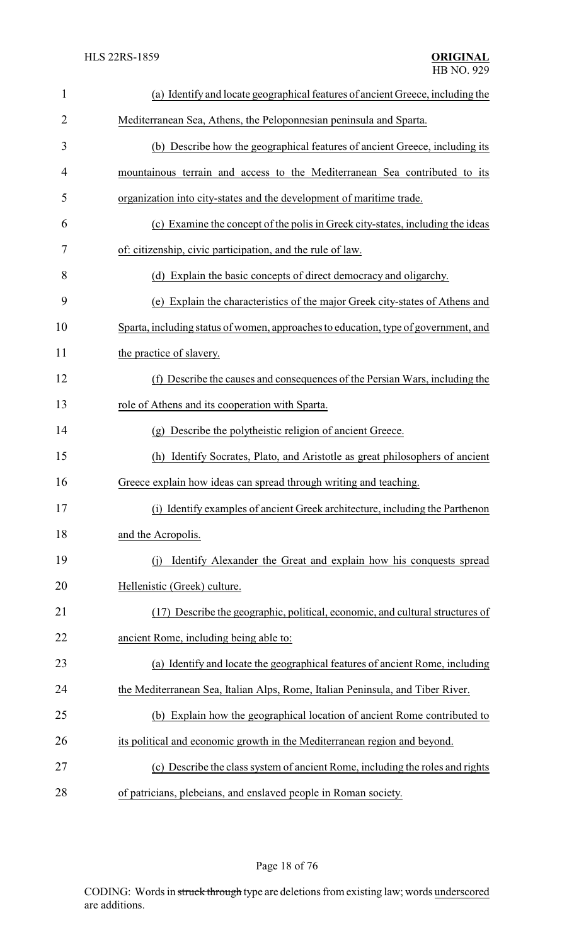| $\mathbf{1}$   | (a) Identify and locate geographical features of ancient Greece, including the      |
|----------------|-------------------------------------------------------------------------------------|
| 2              | Mediterranean Sea, Athens, the Peloponnesian peninsula and Sparta.                  |
| 3              | (b) Describe how the geographical features of ancient Greece, including its         |
| $\overline{4}$ | mountainous terrain and access to the Mediterranean Sea contributed to its          |
| 5              | organization into city-states and the development of maritime trade.                |
| 6              | (c) Examine the concept of the polis in Greek city-states, including the ideas      |
| 7              | of: citizenship, civic participation, and the rule of law.                          |
| 8              | (d) Explain the basic concepts of direct democracy and oligarchy.                   |
| 9              | (e) Explain the characteristics of the major Greek city-states of Athens and        |
| 10             | Sparta, including status of women, approaches to education, type of government, and |
| 11             | the practice of slavery.                                                            |
| 12             | (f) Describe the causes and consequences of the Persian Wars, including the         |
| 13             | role of Athens and its cooperation with Sparta.                                     |
| 14             | (g) Describe the polytheistic religion of ancient Greece.                           |
| 15             | Identify Socrates, Plato, and Aristotle as great philosophers of ancient<br>(h)     |
| 16             | Greece explain how ideas can spread through writing and teaching.                   |
| 17             | (i) Identify examples of ancient Greek architecture, including the Parthenon        |
| 18             | and the Acropolis.                                                                  |
| 19             | Identify Alexander the Great and explain how his conquests spread                   |
| 20             | Hellenistic (Greek) culture.                                                        |
| 21             | (17) Describe the geographic, political, economic, and cultural structures of       |
| 22             | ancient Rome, including being able to:                                              |
| 23             | (a) Identify and locate the geographical features of ancient Rome, including        |
| 24             | the Mediterranean Sea, Italian Alps, Rome, Italian Peninsula, and Tiber River.      |
| 25             | (b) Explain how the geographical location of ancient Rome contributed to            |
| 26             | its political and economic growth in the Mediterranean region and beyond.           |
| 27             | (c) Describe the class system of ancient Rome, including the roles and rights       |
| 28             | of patricians, plebeians, and enslaved people in Roman society.                     |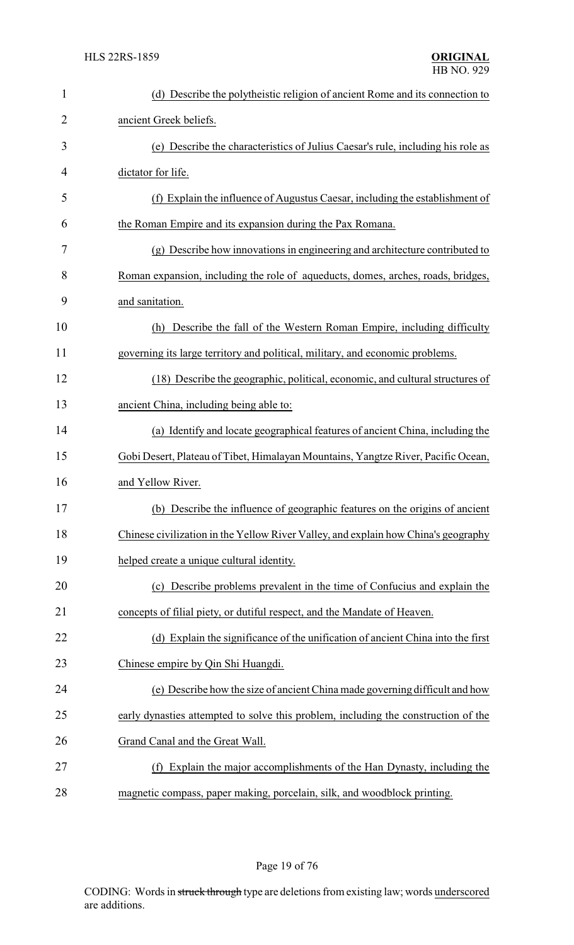| 1              | (d) Describe the polytheistic religion of ancient Rome and its connection to       |
|----------------|------------------------------------------------------------------------------------|
| $\overline{2}$ | ancient Greek beliefs.                                                             |
| 3              | (e) Describe the characteristics of Julius Caesar's rule, including his role as    |
| 4              | dictator for life.                                                                 |
| 5              | (f) Explain the influence of Augustus Caesar, including the establishment of       |
| 6              | the Roman Empire and its expansion during the Pax Romana.                          |
| 7              | (g) Describe how innovations in engineering and architecture contributed to        |
| 8              | Roman expansion, including the role of aqueducts, domes, arches, roads, bridges,   |
| 9              | and sanitation.                                                                    |
| 10             | Describe the fall of the Western Roman Empire, including difficulty<br>(h)         |
| 11             | governing its large territory and political, military, and economic problems.      |
| 12             | (18) Describe the geographic, political, economic, and cultural structures of      |
| 13             | ancient China, including being able to:                                            |
| 14             | (a) Identify and locate geographical features of ancient China, including the      |
| 15             | Gobi Desert, Plateau of Tibet, Himalayan Mountains, Yangtze River, Pacific Ocean,  |
| 16             | and Yellow River.                                                                  |
| 17             | (b) Describe the influence of geographic features on the origins of ancient        |
| 18             | Chinese civilization in the Yellow River Valley, and explain how China's geography |
| 19             | helped create a unique cultural identity.                                          |
| 20             | Describe problems prevalent in the time of Confucius and explain the<br>(c)        |
| 21             | concepts of filial piety, or dutiful respect, and the Mandate of Heaven.           |
| 22             | (d) Explain the significance of the unification of ancient China into the first    |
| 23             | Chinese empire by Qin Shi Huangdi.                                                 |
| 24             | (e) Describe how the size of ancient China made governing difficult and how        |
| 25             | early dynastics attempted to solve this problem, including the construction of the |
| 26             | Grand Canal and the Great Wall.                                                    |
| 27             | Explain the major accomplishments of the Han Dynasty, including the<br>(f)         |
| 28             | magnetic compass, paper making, porcelain, silk, and woodblock printing.           |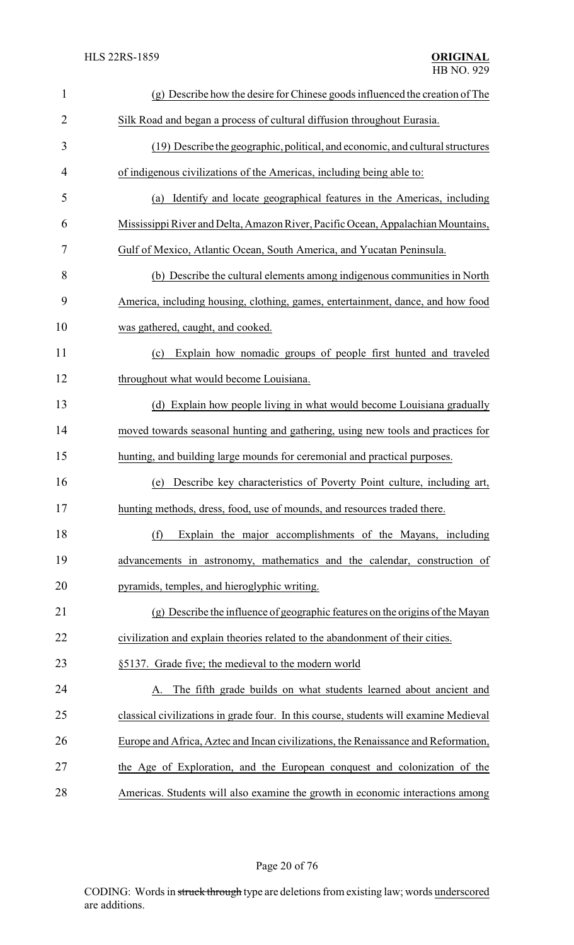| $\mathbf{1}$   | (g) Describe how the desire for Chinese goods influenced the creation of The          |
|----------------|---------------------------------------------------------------------------------------|
| $\overline{2}$ | Silk Road and began a process of cultural diffusion throughout Eurasia.               |
| 3              | (19) Describe the geographic, political, and economic, and cultural structures        |
| 4              | of indigenous civilizations of the Americas, including being able to:                 |
| 5              | Identify and locate geographical features in the Americas, including<br>(a)           |
| 6              | Mississippi River and Delta, Amazon River, Pacific Ocean, Appalachian Mountains,      |
| 7              | Gulf of Mexico, Atlantic Ocean, South America, and Yucatan Peninsula.                 |
| 8              | (b) Describe the cultural elements among indigenous communities in North              |
| 9              | America, including housing, clothing, games, entertainment, dance, and how food       |
| 10             | was gathered, caught, and cooked.                                                     |
| 11             | Explain how nomadic groups of people first hunted and traveled<br>(c)                 |
| 12             | throughout what would become Louisiana.                                               |
| 13             | (d) Explain how people living in what would become Louisiana gradually                |
| 14             | moved towards seasonal hunting and gathering, using new tools and practices for       |
| 15             | hunting, and building large mounds for ceremonial and practical purposes.             |
| 16             | Describe key characteristics of Poverty Point culture, including art,<br>(e)          |
| 17             | hunting methods, dress, food, use of mounds, and resources traded there.              |
| 18             | Explain the major accomplishments of the Mayans, including<br>(f)                     |
| 19             | advancements in astronomy, mathematics and the calendar, construction of              |
| 20             | pyramids, temples, and hieroglyphic writing.                                          |
| 21             | (g) Describe the influence of geographic features on the origins of the Mayan         |
| 22             | civilization and explain theories related to the abandonment of their cities.         |
| 23             | §5137. Grade five; the medieval to the modern world                                   |
| 24             | The fifth grade builds on what students learned about ancient and<br>А.               |
| 25             | classical civilizations in grade four. In this course, students will examine Medieval |
| 26             | Europe and Africa, Aztec and Incan civilizations, the Renaissance and Reformation,    |
| 27             | the Age of Exploration, and the European conquest and colonization of the             |
| 28             | Americas. Students will also examine the growth in economic interactions among        |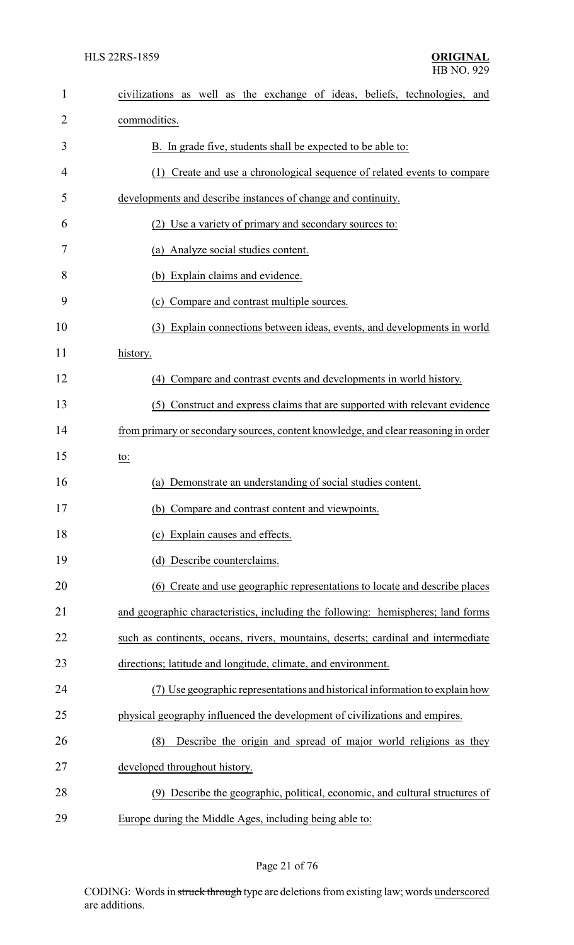| $\mathbf{1}$ | civilizations as well as the exchange of ideas, beliefs, technologies, and         |
|--------------|------------------------------------------------------------------------------------|
| 2            | commodities.                                                                       |
| 3            | B. In grade five, students shall be expected to be able to:                        |
| 4            | (1) Create and use a chronological sequence of related events to compare           |
| 5            | developments and describe instances of change and continuity.                      |
| 6            | (2) Use a variety of primary and secondary sources to:                             |
| 7            | (a) Analyze social studies content.                                                |
| 8            | (b) Explain claims and evidence.                                                   |
| 9            | (c) Compare and contrast multiple sources.                                         |
| 10           | Explain connections between ideas, events, and developments in world<br>(3)        |
| 11           | history.                                                                           |
| 12           | Compare and contrast events and developments in world history.<br>(4)              |
| 13           | Construct and express claims that are supported with relevant evidence<br>(5)      |
| 14           | from primary or secondary sources, content knowledge, and clear reasoning in order |
| 15           | <u>to:</u>                                                                         |
| 16           | (a) Demonstrate an understanding of social studies content.                        |
| 17           | (b) Compare and contrast content and viewpoints.                                   |
| 18           | (c) Explain causes and effects.                                                    |
| 19           | (d) Describe counterclaims.                                                        |
| 20           | (6) Create and use geographic representations to locate and describe places        |
| 21           | and geographic characteristics, including the following: hemispheres; land forms   |
| 22           | such as continents, oceans, rivers, mountains, deserts; cardinal and intermediate  |
| 23           | directions; latitude and longitude, climate, and environment.                      |
| 24           | (7) Use geographic representations and historical information to explain how       |
| 25           | physical geography influenced the development of civilizations and empires.        |
| 26           | Describe the origin and spread of major world religions as they<br>(8)             |
| 27           | developed throughout history.                                                      |
| 28           | (9) Describe the geographic, political, economic, and cultural structures of       |
| 29           | Europe during the Middle Ages, including being able to:                            |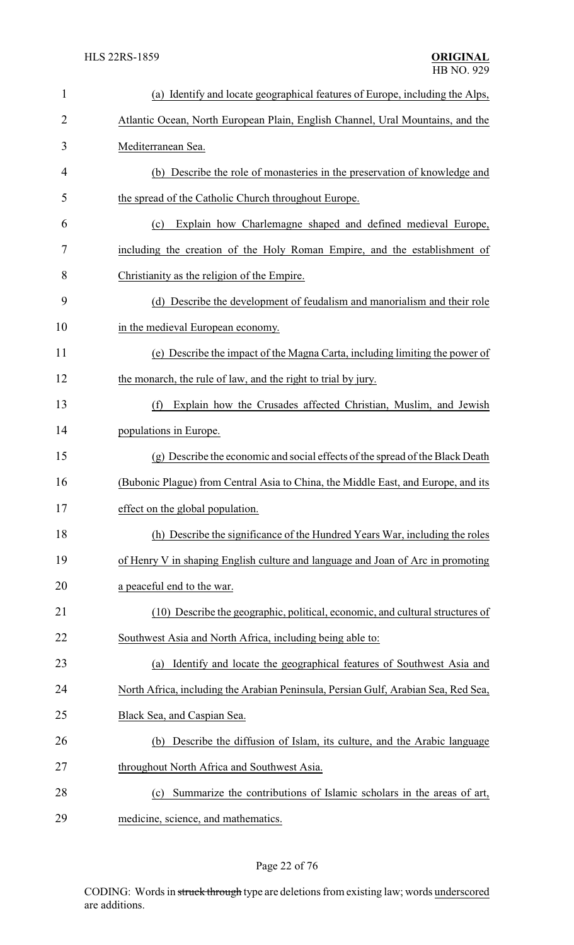| 1              | (a) Identify and locate geographical features of Europe, including the Alps,       |
|----------------|------------------------------------------------------------------------------------|
| $\overline{2}$ | Atlantic Ocean, North European Plain, English Channel, Ural Mountains, and the     |
| 3              | Mediterranean Sea.                                                                 |
| 4              | (b) Describe the role of monasteries in the preservation of knowledge and          |
| 5              | the spread of the Catholic Church throughout Europe.                               |
| 6              | Explain how Charlemagne shaped and defined medieval Europe,<br>(c)                 |
| 7              | including the creation of the Holy Roman Empire, and the establishment of          |
| 8              | Christianity as the religion of the Empire.                                        |
| 9              | (d) Describe the development of feudalism and manorialism and their role           |
| 10             | in the medieval European economy.                                                  |
| 11             | (e) Describe the impact of the Magna Carta, including limiting the power of        |
| 12             | the monarch, the rule of law, and the right to trial by jury.                      |
| 13             | Explain how the Crusades affected Christian, Muslim, and Jewish<br>(f)             |
| 14             | populations in Europe.                                                             |
| 15             | (g) Describe the economic and social effects of the spread of the Black Death      |
| 16             | (Bubonic Plague) from Central Asia to China, the Middle East, and Europe, and its  |
| 17             | effect on the global population.                                                   |
| 18             | (h) Describe the significance of the Hundred Years War, including the roles        |
| 19             | of Henry V in shaping English culture and language and Joan of Arc in promoting    |
| 20             | a peaceful end to the war.                                                         |
| 21             | (10) Describe the geographic, political, economic, and cultural structures of      |
| 22             | Southwest Asia and North Africa, including being able to:                          |
| 23             | Identify and locate the geographical features of Southwest Asia and<br>(a)         |
| 24             | North Africa, including the Arabian Peninsula, Persian Gulf, Arabian Sea, Red Sea, |
| 25             | Black Sea, and Caspian Sea.                                                        |
| 26             | Describe the diffusion of Islam, its culture, and the Arabic language<br>(b)       |
| 27             | throughout North Africa and Southwest Asia.                                        |
| 28             | Summarize the contributions of Islamic scholars in the areas of art,<br>(c)        |
| 29             | medicine, science, and mathematics.                                                |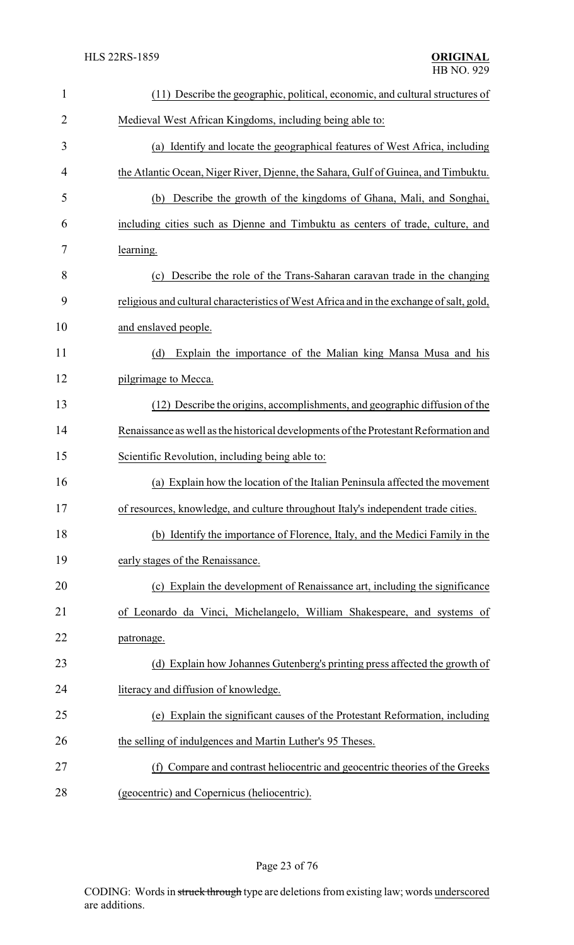| $\mathbf{1}$   | (11) Describe the geographic, political, economic, and cultural structures of            |
|----------------|------------------------------------------------------------------------------------------|
| $\overline{2}$ | Medieval West African Kingdoms, including being able to:                                 |
| 3              | (a) Identify and locate the geographical features of West Africa, including              |
| $\overline{4}$ | the Atlantic Ocean, Niger River, Djenne, the Sahara, Gulf of Guinea, and Timbuktu.       |
| 5              | (b) Describe the growth of the kingdoms of Ghana, Mali, and Songhai,                     |
| 6              | including cities such as Djenne and Timbuktu as centers of trade, culture, and           |
| 7              | learning.                                                                                |
| 8              | (c) Describe the role of the Trans-Saharan caravan trade in the changing                 |
| 9              | religious and cultural characteristics of West Africa and in the exchange of salt, gold, |
| 10             | and enslaved people.                                                                     |
| 11             | Explain the importance of the Malian king Mansa Musa and his<br>(d)                      |
| 12             | pilgrimage to Mecca.                                                                     |
| 13             | (12) Describe the origins, accomplishments, and geographic diffusion of the              |
| 14             | Renaissance as well as the historical developments of the Protestant Reformation and     |
| 15             | Scientific Revolution, including being able to:                                          |
| 16             | (a) Explain how the location of the Italian Peninsula affected the movement              |
| 17             | of resources, knowledge, and culture throughout Italy's independent trade cities.        |
| 18             | (b) Identify the importance of Florence, Italy, and the Medici Family in the             |
| 19             | early stages of the Renaissance.                                                         |
| 20             | (c) Explain the development of Renaissance art, including the significance               |
| 21             | of Leonardo da Vinci, Michelangelo, William Shakespeare, and systems of                  |
| 22             | patronage.                                                                               |
| 23             | (d) Explain how Johannes Gutenberg's printing press affected the growth of               |
| 24             | literacy and diffusion of knowledge.                                                     |
| 25             | (e) Explain the significant causes of the Protestant Reformation, including              |
| 26             | the selling of indulgences and Martin Luther's 95 Theses.                                |
| 27             | (f) Compare and contrast heliocentric and geocentric theories of the Greeks              |
| 28             | (geocentric) and Copernicus (heliocentric).                                              |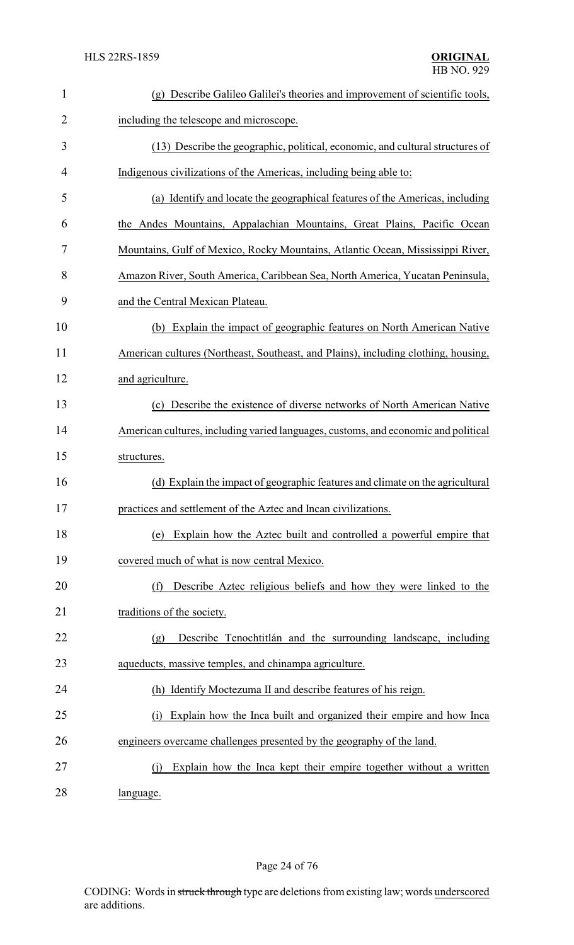| $\mathbf{1}$   | (g) Describe Galileo Galilei's theories and improvement of scientific tools,       |
|----------------|------------------------------------------------------------------------------------|
| $\overline{2}$ | including the telescope and microscope.                                            |
| 3              | (13) Describe the geographic, political, economic, and cultural structures of      |
| 4              | Indigenous civilizations of the Americas, including being able to:                 |
| 5              | (a) Identify and locate the geographical features of the Americas, including       |
| 6              | the Andes Mountains, Appalachian Mountains, Great Plains, Pacific Ocean            |
| 7              | Mountains, Gulf of Mexico, Rocky Mountains, Atlantic Ocean, Mississippi River,     |
| 8              | Amazon River, South America, Caribbean Sea, North America, Yucatan Peninsula,      |
| 9              | and the Central Mexican Plateau.                                                   |
| 10             | Explain the impact of geographic features on North American Native<br>(b)          |
| 11             | American cultures (Northeast, Southeast, and Plains), including clothing, housing, |
| 12             | and agriculture.                                                                   |
| 13             | (c) Describe the existence of diverse networks of North American Native            |
| 14             | American cultures, including varied languages, customs, and economic and political |
| 15             | structures.                                                                        |
| 16             | (d) Explain the impact of geographic features and climate on the agricultural      |
| 17             | practices and settlement of the Aztec and Incan civilizations.                     |
| 18             | (e) Explain how the Aztec built and controlled a powerful empire that              |
| 19             | covered much of what is now central Mexico.                                        |
| 20             | Describe Aztec religious beliefs and how they were linked to the<br>(f)            |
| 21             | traditions of the society.                                                         |
| 22             | Describe Tenochtitlán and the surrounding landscape, including<br>(g)              |
| 23             | aqueducts, massive temples, and chinampa agriculture.                              |
| 24             | (h) Identify Moctezuma II and describe features of his reign.                      |
| 25             | Explain how the Inca built and organized their empire and how Inca<br>(i)          |
| 26             | engineers overcame challenges presented by the geography of the land.              |
| 27             | Explain how the Inca kept their empire together without a written<br>(i)           |
| 28             | language.                                                                          |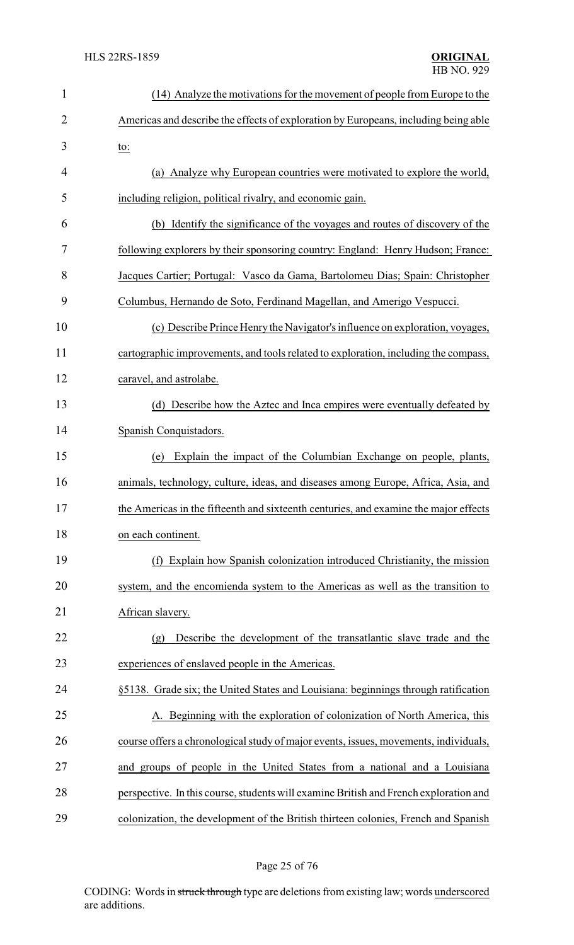| $\mathbf{1}$   | (14) Analyze the motivations for the movement of people from Europe to the            |
|----------------|---------------------------------------------------------------------------------------|
| $\overline{2}$ | Americas and describe the effects of exploration by Europeans, including being able   |
| 3              | <u>to:</u>                                                                            |
| 4              | (a) Analyze why European countries were motivated to explore the world,               |
| 5              | including religion, political rivalry, and economic gain.                             |
| 6              | (b) Identify the significance of the voyages and routes of discovery of the           |
| 7              | following explorers by their sponsoring country: England: Henry Hudson; France:       |
| 8              | Jacques Cartier; Portugal: Vasco da Gama, Bartolomeu Dias; Spain: Christopher         |
| 9              | Columbus, Hernando de Soto, Ferdinand Magellan, and Amerigo Vespucci.                 |
| 10             | (c) Describe Prince Henry the Navigator's influence on exploration, voyages,          |
| 11             | cartographic improvements, and tools related to exploration, including the compass,   |
| 12             | caravel, and astrolabe.                                                               |
| 13             | (d) Describe how the Aztec and Inca empires were eventually defeated by               |
| 14             | Spanish Conquistadors.                                                                |
| 15             | Explain the impact of the Columbian Exchange on people, plants,<br>(e)                |
| 16             | animals, technology, culture, ideas, and diseases among Europe, Africa, Asia, and     |
| 17             | the Americas in the fifteenth and sixteenth centuries, and examine the major effects  |
| 18             | on each continent.                                                                    |
| 19             | (f) Explain how Spanish colonization introduced Christianity, the mission             |
| 20             | system, and the encomienda system to the Americas as well as the transition to        |
| 21             | African slavery.                                                                      |
| 22             | Describe the development of the transatlantic slave trade and the<br>(g)              |
| 23             | experiences of enslaved people in the Americas.                                       |
| 24             | §5138. Grade six; the United States and Louisiana: beginnings through ratification    |
| 25             | A. Beginning with the exploration of colonization of North America, this              |
| 26             | course offers a chronological study of major events, issues, movements, individuals,  |
| 27             | and groups of people in the United States from a national and a Louisiana             |
| 28             | perspective. In this course, students will examine British and French exploration and |
| 29             | colonization, the development of the British thirteen colonies, French and Spanish    |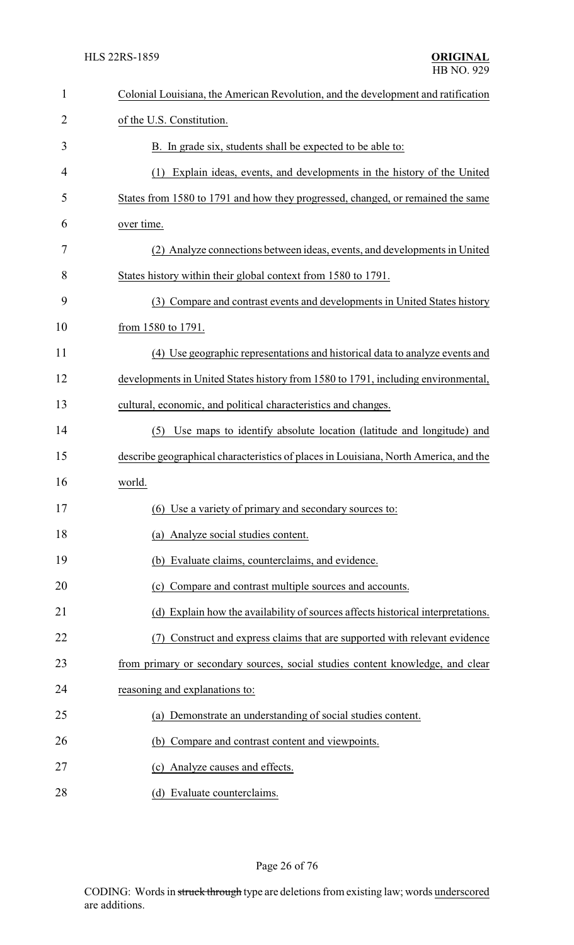| $\mathbf{1}$   | Colonial Louisiana, the American Revolution, and the development and ratification    |
|----------------|--------------------------------------------------------------------------------------|
| $\overline{2}$ | of the U.S. Constitution.                                                            |
| 3              | B. In grade six, students shall be expected to be able to:                           |
| 4              | Explain ideas, events, and developments in the history of the United<br>(1)          |
| 5              | States from 1580 to 1791 and how they progressed, changed, or remained the same      |
| 6              | over time.                                                                           |
| 7              | (2) Analyze connections between ideas, events, and developments in United            |
| 8              | States history within their global context from 1580 to 1791.                        |
| 9              | (3) Compare and contrast events and developments in United States history            |
| 10             | from 1580 to 1791.                                                                   |
| 11             | (4) Use geographic representations and historical data to analyze events and         |
| 12             | developments in United States history from 1580 to 1791, including environmental,    |
| 13             | cultural, economic, and political characteristics and changes.                       |
| 14             | Use maps to identify absolute location (latitude and longitude) and<br>(5)           |
| 15             | describe geographical characteristics of places in Louisiana, North America, and the |
| 16             | world.                                                                               |
| 17             | (6) Use a variety of primary and secondary sources to:                               |
| 18             | (a) Analyze social studies content.                                                  |
| 19             | (b) Evaluate claims, counterclaims, and evidence.                                    |
| 20             | (c) Compare and contrast multiple sources and accounts.                              |
| 21             | (d) Explain how the availability of sources affects historical interpretations.      |
| 22             | Construct and express claims that are supported with relevant evidence               |
| 23             | from primary or secondary sources, social studies content knowledge, and clear       |
| 24             | reasoning and explanations to:                                                       |
| 25             | (a) Demonstrate an understanding of social studies content.                          |
| 26             | (b) Compare and contrast content and viewpoints.                                     |
| 27             | (c) Analyze causes and effects.                                                      |
| 28             | (d) Evaluate counterclaims.                                                          |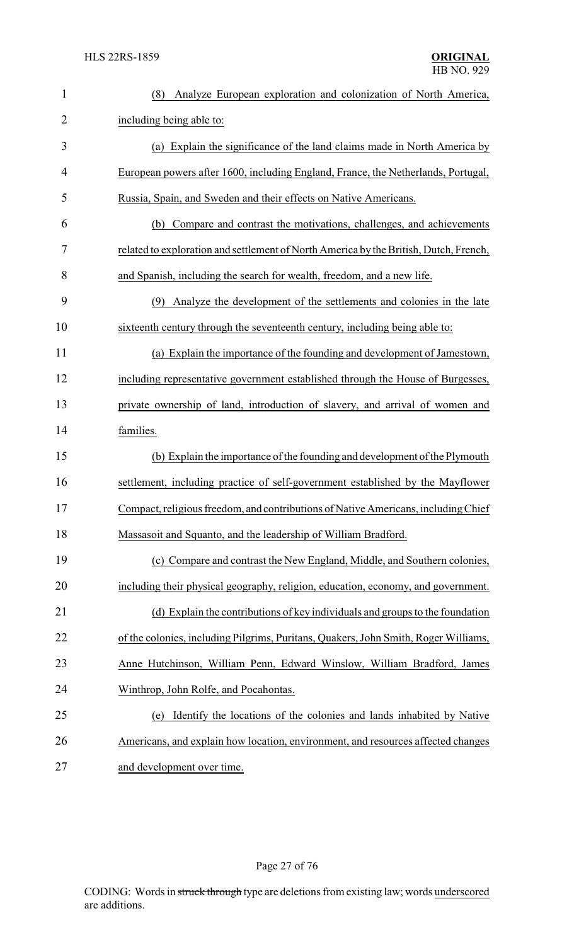| $\mathbf{1}$   | Analyze European exploration and colonization of North America,<br>(8)                |
|----------------|---------------------------------------------------------------------------------------|
| $\overline{2}$ | including being able to:                                                              |
| 3              | (a) Explain the significance of the land claims made in North America by              |
| 4              | European powers after 1600, including England, France, the Netherlands, Portugal,     |
| 5              | Russia, Spain, and Sweden and their effects on Native Americans.                      |
| 6              | Compare and contrast the motivations, challenges, and achievements<br>(b)             |
| 7              | related to exploration and settlement of North America by the British, Dutch, French, |
| 8              | and Spanish, including the search for wealth, freedom, and a new life.                |
| 9              | (9) Analyze the development of the settlements and colonies in the late               |
| 10             | sixteenth century through the seventeenth century, including being able to:           |
| 11             | (a) Explain the importance of the founding and development of Jamestown,              |
| 12             | including representative government established through the House of Burgesses,       |
| 13             | private ownership of land, introduction of slavery, and arrival of women and          |
| 14             | families.                                                                             |
| 15             | (b) Explain the importance of the founding and development of the Plymouth            |
| 16             | settlement, including practice of self-government established by the Mayflower        |
| 17             | Compact, religious freedom, and contributions of Native Americans, including Chief    |
| 18             | Massasoit and Squanto, and the leadership of William Bradford.                        |
| 19             | (c) Compare and contrast the New England, Middle, and Southern colonies,              |
| 20             | including their physical geography, religion, education, economy, and government.     |
| 21             | (d) Explain the contributions of key individuals and groups to the foundation         |
| 22             | of the colonies, including Pilgrims, Puritans, Quakers, John Smith, Roger Williams,   |
| 23             | Anne Hutchinson, William Penn, Edward Winslow, William Bradford, James                |
| 24             | Winthrop, John Rolfe, and Pocahontas.                                                 |
| 25             | Identify the locations of the colonies and lands inhabited by Native<br>(e)           |
| 26             | Americans, and explain how location, environment, and resources affected changes      |
| 27             | and development over time.                                                            |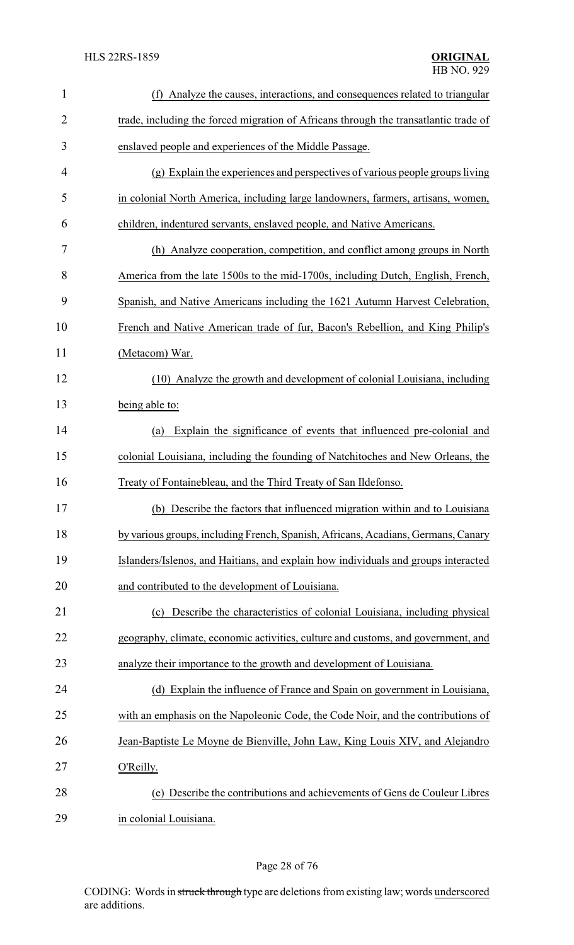| $\mathbf{1}$   | (f) Analyze the causes, interactions, and consequences related to triangular         |
|----------------|--------------------------------------------------------------------------------------|
| $\overline{2}$ | trade, including the forced migration of Africans through the transatlantic trade of |
| 3              | enslaved people and experiences of the Middle Passage.                               |
| 4              | (g) Explain the experiences and perspectives of various people groups living         |
| 5              | in colonial North America, including large landowners, farmers, artisans, women,     |
| 6              | children, indentured servants, enslaved people, and Native Americans.                |
| 7              | (h) Analyze cooperation, competition, and conflict among groups in North             |
| 8              | America from the late 1500s to the mid-1700s, including Dutch, English, French,      |
| 9              | Spanish, and Native Americans including the 1621 Autumn Harvest Celebration,         |
| 10             | French and Native American trade of fur, Bacon's Rebellion, and King Philip's        |
| 11             | (Metacom) War.                                                                       |
| 12             | (10) Analyze the growth and development of colonial Louisiana, including             |
| 13             | being able to:                                                                       |
| 14             | Explain the significance of events that influenced pre-colonial and<br>(a)           |
| 15             | colonial Louisiana, including the founding of Natchitoches and New Orleans, the      |
| 16             | Treaty of Fontainebleau, and the Third Treaty of San Ildefonso.                      |
| 17             | (b) Describe the factors that influenced migration within and to Louisiana           |
| 18             | by various groups, including French, Spanish, Africans, Acadians, Germans, Canary    |
| 19             | Islanders/Islenos, and Haitians, and explain how individuals and groups interacted   |
| 20             | and contributed to the development of Louisiana.                                     |
| 21             | Describe the characteristics of colonial Louisiana, including physical<br>(c)        |
| 22             | geography, climate, economic activities, culture and customs, and government, and    |
| 23             | analyze their importance to the growth and development of Louisiana.                 |
| 24             | (d) Explain the influence of France and Spain on government in Louisiana,            |
| 25             | with an emphasis on the Napoleonic Code, the Code Noir, and the contributions of     |
| 26             | Jean-Baptiste Le Moyne de Bienville, John Law, King Louis XIV, and Alejandro         |
| 27             | O'Reilly.                                                                            |
| 28             | (e) Describe the contributions and achievements of Gens de Couleur Libres            |
| 29             | in colonial Louisiana.                                                               |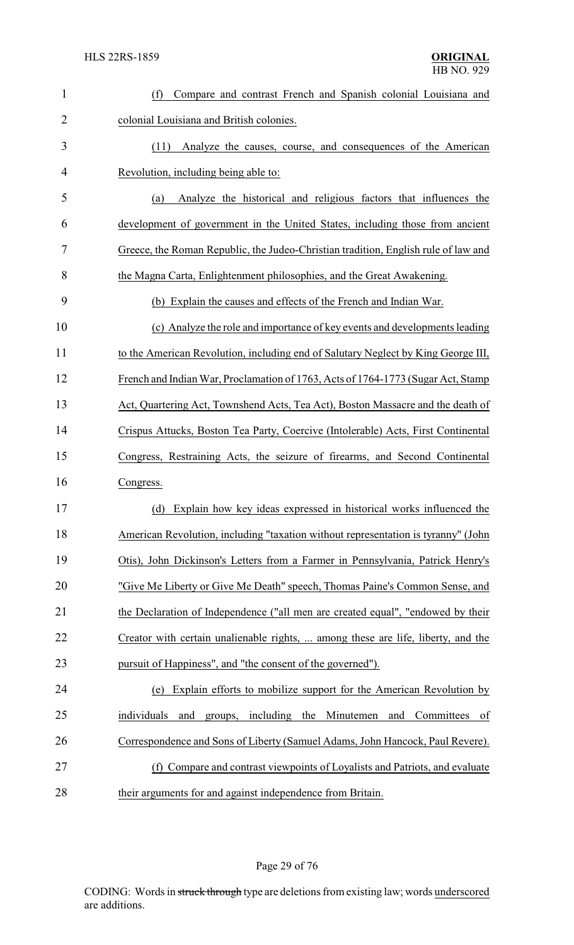| $\mathbf{1}$   | (f)<br>Compare and contrast French and Spanish colonial Louisiana and               |
|----------------|-------------------------------------------------------------------------------------|
| $\overline{2}$ | colonial Louisiana and British colonies.                                            |
| 3              | (11)<br>Analyze the causes, course, and consequences of the American                |
| 4              | Revolution, including being able to:                                                |
| 5              | Analyze the historical and religious factors that influences the<br>(a)             |
| 6              | development of government in the United States, including those from ancient        |
| 7              | Greece, the Roman Republic, the Judeo-Christian tradition, English rule of law and  |
| 8              | the Magna Carta, Enlightenment philosophies, and the Great Awakening.               |
| 9              | (b) Explain the causes and effects of the French and Indian War.                    |
| 10             | (c) Analyze the role and importance of key events and developments leading          |
| 11             | to the American Revolution, including end of Salutary Neglect by King George III,   |
| 12             | French and Indian War, Proclamation of 1763, Acts of 1764-1773 (Sugar Act, Stamp    |
| 13             | Act, Quartering Act, Townshend Acts, Tea Act), Boston Massacre and the death of     |
| 14             | Crispus Attucks, Boston Tea Party, Coercive (Intolerable) Acts, First Continental   |
| 15             | Congress, Restraining Acts, the seizure of firearms, and Second Continental         |
| 16             | Congress.                                                                           |
| 17             | (d) Explain how key ideas expressed in historical works influenced the              |
| 18             | American Revolution, including "taxation without representation is tyranny" (John   |
| 19             | Otis), John Dickinson's Letters from a Farmer in Pennsylvania, Patrick Henry's      |
| 20             | "Give Me Liberty or Give Me Death" speech, Thomas Paine's Common Sense, and         |
| 21             | the Declaration of Independence ("all men are created equal", "endowed by their     |
| 22             | Creator with certain unalienable rights,  among these are life, liberty, and the    |
| 23             | pursuit of Happiness", and "the consent of the governed").                          |
| 24             | Explain efforts to mobilize support for the American Revolution by<br>(e)           |
| 25             | individuals<br>including the Minutemen<br>and<br>and<br>Committees<br>groups,<br>of |
| 26             | Correspondence and Sons of Liberty (Samuel Adams, John Hancock, Paul Revere).       |
| 27             | (f) Compare and contrast viewpoints of Loyalists and Patriots, and evaluate         |
| 28             | their arguments for and against independence from Britain.                          |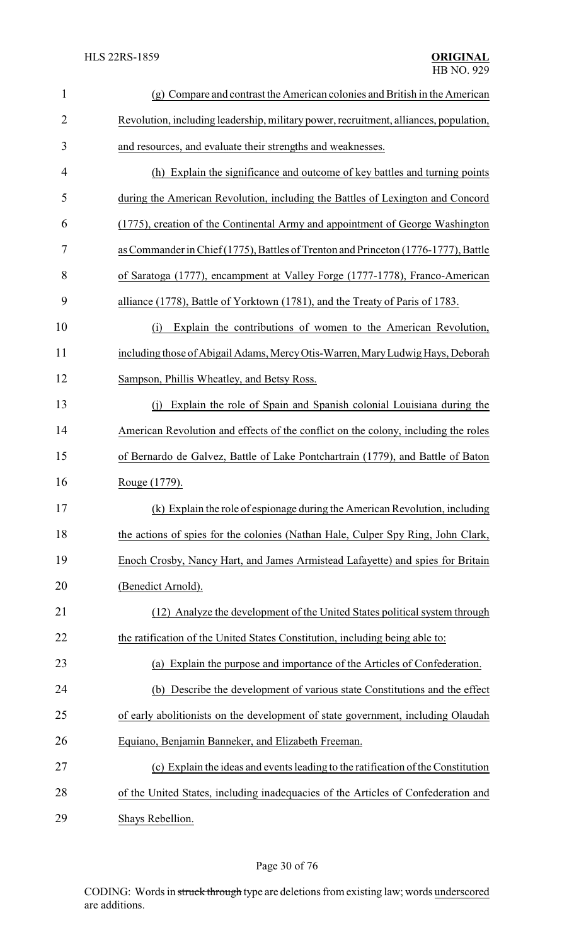| $\mathbf{1}$   | (g) Compare and contrast the American colonies and British in the American            |
|----------------|---------------------------------------------------------------------------------------|
| $\overline{2}$ | Revolution, including leadership, military power, recruitment, alliances, population, |
| 3              | and resources, and evaluate their strengths and weaknesses.                           |
| 4              | (h) Explain the significance and outcome of key battles and turning points            |
| 5              | during the American Revolution, including the Battles of Lexington and Concord        |
| 6              | (1775), creation of the Continental Army and appointment of George Washington         |
| 7              | as Commander in Chief (1775), Battles of Trenton and Princeton (1776-1777), Battle    |
| 8              | of Saratoga (1777), encampment at Valley Forge (1777-1778), Franco-American           |
| 9              | alliance (1778), Battle of Yorktown (1781), and the Treaty of Paris of 1783.          |
| 10             | Explain the contributions of women to the American Revolution,<br>(i)                 |
| 11             | including those of Abigail Adams, Mercy Otis-Warren, Mary Ludwig Hays, Deborah        |
| 12             | Sampson, Phillis Wheatley, and Betsy Ross.                                            |
| 13             | Explain the role of Spain and Spanish colonial Louisiana during the<br>(i)            |
| 14             | American Revolution and effects of the conflict on the colony, including the roles    |
| 15             | of Bernardo de Galvez, Battle of Lake Pontchartrain (1779), and Battle of Baton       |
| 16             | Rouge (1779).                                                                         |
| 17             | (k) Explain the role of espionage during the American Revolution, including           |
| 18             | the actions of spies for the colonies (Nathan Hale, Culper Spy Ring, John Clark,      |
| 19             | Enoch Crosby, Nancy Hart, and James Armistead Lafayette) and spies for Britain        |
| 20             | (Benedict Arnold).                                                                    |
| 21             | (12) Analyze the development of the United States political system through            |
| 22             | the ratification of the United States Constitution, including being able to:          |
| 23             | (a) Explain the purpose and importance of the Articles of Confederation.              |
| 24             | Describe the development of various state Constitutions and the effect<br>(b)         |
| 25             | of early abolitionists on the development of state government, including Olaudah      |
| 26             | Equiano, Benjamin Banneker, and Elizabeth Freeman.                                    |
| 27             | (c) Explain the ideas and events leading to the ratification of the Constitution      |
| 28             | of the United States, including inadequacies of the Articles of Confederation and     |
| 29             | Shays Rebellion.                                                                      |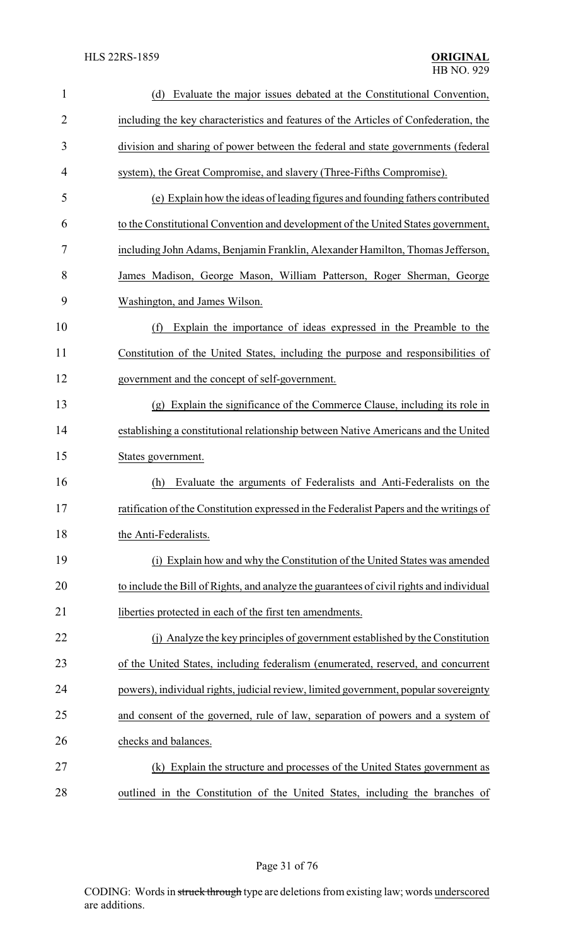| $\mathbf{1}$   | (d)<br>Evaluate the major issues debated at the Constitutional Convention,               |
|----------------|------------------------------------------------------------------------------------------|
| $\overline{2}$ | including the key characteristics and features of the Articles of Confederation, the     |
| 3              | division and sharing of power between the federal and state governments (federal         |
| 4              | system), the Great Compromise, and slavery (Three-Fifths Compromise).                    |
| 5              | (e) Explain how the ideas of leading figures and founding fathers contributed            |
| 6              | to the Constitutional Convention and development of the United States government,        |
| 7              | including John Adams, Benjamin Franklin, Alexander Hamilton, Thomas Jefferson,           |
| 8              | James Madison, George Mason, William Patterson, Roger Sherman, George                    |
| 9              | Washington, and James Wilson.                                                            |
| 10             | Explain the importance of ideas expressed in the Preamble to the<br>(f)                  |
| 11             | Constitution of the United States, including the purpose and responsibilities of         |
| 12             | government and the concept of self-government.                                           |
| 13             | (g) Explain the significance of the Commerce Clause, including its role in               |
| 14             | establishing a constitutional relationship between Native Americans and the United       |
| 15             | States government.                                                                       |
| 16             | Evaluate the arguments of Federalists and Anti-Federalists on the<br>(h)                 |
| 17             | ratification of the Constitution expressed in the Federalist Papers and the writings of  |
| 18             | the Anti-Federalists.                                                                    |
| 19             | (i) Explain how and why the Constitution of the United States was amended                |
| 20             | to include the Bill of Rights, and analyze the guarantees of civil rights and individual |
| 21             | liberties protected in each of the first ten amendments.                                 |
| 22             | (i) Analyze the key principles of government established by the Constitution             |
| 23             | of the United States, including federalism (enumerated, reserved, and concurrent         |
| 24             | powers), individual rights, judicial review, limited government, popular sovereignty     |
| 25             | and consent of the governed, rule of law, separation of powers and a system of           |
| 26             | checks and balances.                                                                     |
| 27             | (k) Explain the structure and processes of the United States government as               |
| 28             | outlined in the Constitution of the United States, including the branches of             |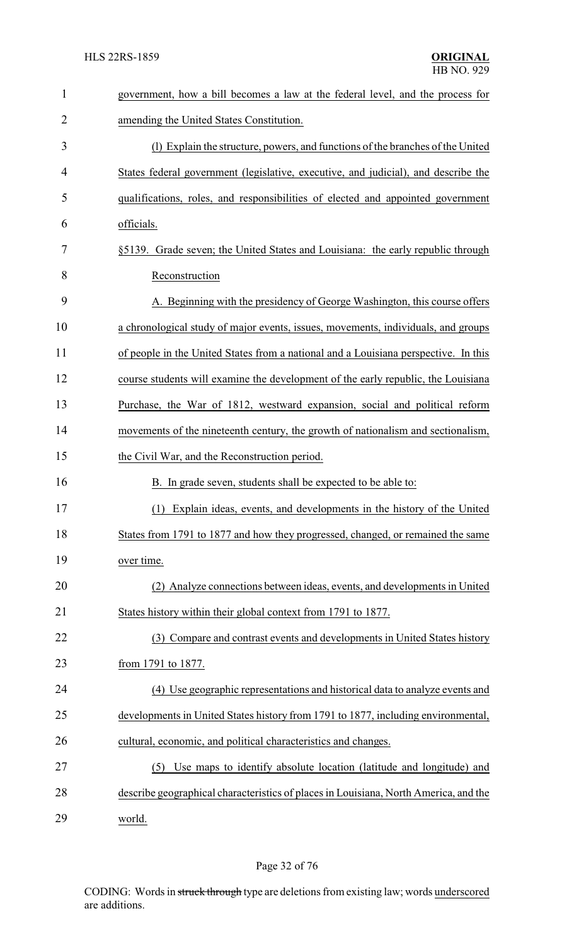| $\mathbf{1}$   | government, how a bill becomes a law at the federal level, and the process for       |
|----------------|--------------------------------------------------------------------------------------|
| $\overline{2}$ | amending the United States Constitution.                                             |
| 3              | (1) Explain the structure, powers, and functions of the branches of the United       |
| 4              | States federal government (legislative, executive, and judicial), and describe the   |
| 5              | qualifications, roles, and responsibilities of elected and appointed government      |
| 6              | officials.                                                                           |
| 7              | §5139. Grade seven; the United States and Louisiana: the early republic through      |
| 8              | Reconstruction                                                                       |
| 9              | A. Beginning with the presidency of George Washington, this course offers            |
| 10             | a chronological study of major events, issues, movements, individuals, and groups    |
| 11             | of people in the United States from a national and a Louisiana perspective. In this  |
| 12             | course students will examine the development of the early republic, the Louisiana    |
| 13             | Purchase, the War of 1812, westward expansion, social and political reform           |
| 14             | movements of the nineteenth century, the growth of nationalism and sectionalism,     |
| 15             | the Civil War, and the Reconstruction period.                                        |
| 16             | B. In grade seven, students shall be expected to be able to:                         |
| 17             | (1) Explain ideas, events, and developments in the history of the United             |
| 18             | States from 1791 to 1877 and how they progressed, changed, or remained the same      |
| 19             | over time.                                                                           |
| 20             | (2) Analyze connections between ideas, events, and developments in United            |
| 21             | States history within their global context from 1791 to 1877.                        |
| 22             | (3) Compare and contrast events and developments in United States history            |
| 23             | from 1791 to 1877.                                                                   |
| 24             | (4) Use geographic representations and historical data to analyze events and         |
| 25             | developments in United States history from 1791 to 1877, including environmental,    |
| 26             | cultural, economic, and political characteristics and changes.                       |
| 27             | Use maps to identify absolute location (latitude and longitude) and<br>(5)           |
| 28             | describe geographical characteristics of places in Louisiana, North America, and the |
| 29             | world.                                                                               |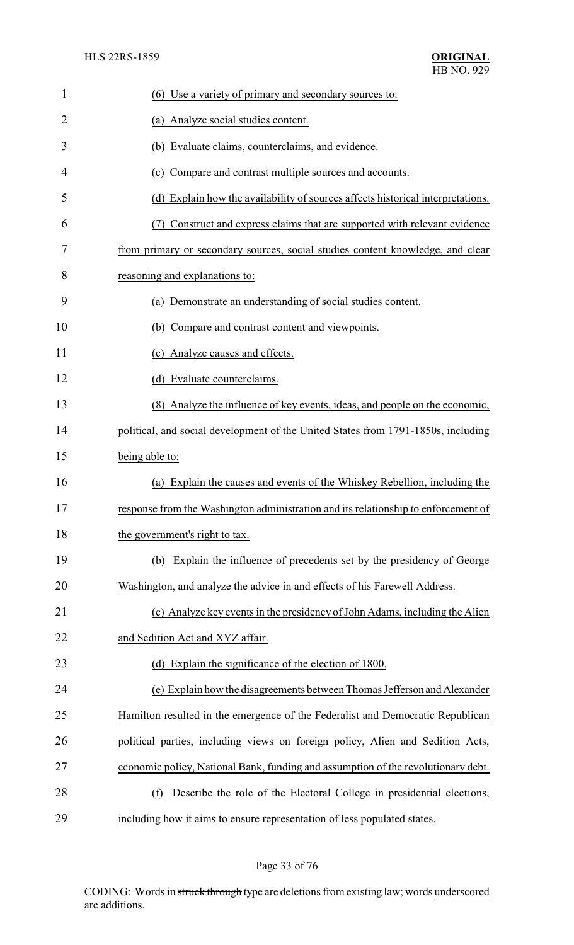| $\mathbf{1}$   | (6) Use a variety of primary and secondary sources to:                             |
|----------------|------------------------------------------------------------------------------------|
| $\overline{2}$ | (a) Analyze social studies content.                                                |
| 3              | (b) Evaluate claims, counterclaims, and evidence.                                  |
| 4              | (c) Compare and contrast multiple sources and accounts.                            |
| 5              | (d) Explain how the availability of sources affects historical interpretations.    |
| 6              | Construct and express claims that are supported with relevant evidence             |
| 7              | from primary or secondary sources, social studies content knowledge, and clear     |
| 8              | reasoning and explanations to:                                                     |
| 9              | (a) Demonstrate an understanding of social studies content.                        |
| 10             | (b) Compare and contrast content and viewpoints.                                   |
| 11             | (c) Analyze causes and effects.                                                    |
| 12             | (d) Evaluate counterclaims.                                                        |
| 13             | (8) Analyze the influence of key events, ideas, and people on the economic,        |
| 14             | political, and social development of the United States from 1791-1850s, including  |
| 15             | being able to:                                                                     |
| 16             | Explain the causes and events of the Whiskey Rebellion, including the<br>(a)       |
| 17             | response from the Washington administration and its relationship to enforcement of |
| 18             | the government's right to tax.                                                     |
| 19             | (b) Explain the influence of precedents set by the presidency of George            |
| 20             | Washington, and analyze the advice in and effects of his Farewell Address.         |
| 21             | (c) Analyze key events in the presidency of John Adams, including the Alien        |
| 22             | and Sedition Act and XYZ affair.                                                   |
| 23             | (d) Explain the significance of the election of 1800.                              |
| 24             | (e) Explain how the disagreements between Thomas Jefferson and Alexander           |
| 25             | Hamilton resulted in the emergence of the Federalist and Democratic Republican     |
| 26             | political parties, including views on foreign policy, Alien and Sedition Acts,     |
| 27             | economic policy, National Bank, funding and assumption of the revolutionary debt.  |
| 28             | Describe the role of the Electoral College in presidential elections,<br>(f)       |
| 29             | including how it aims to ensure representation of less populated states.           |

Page 33 of 76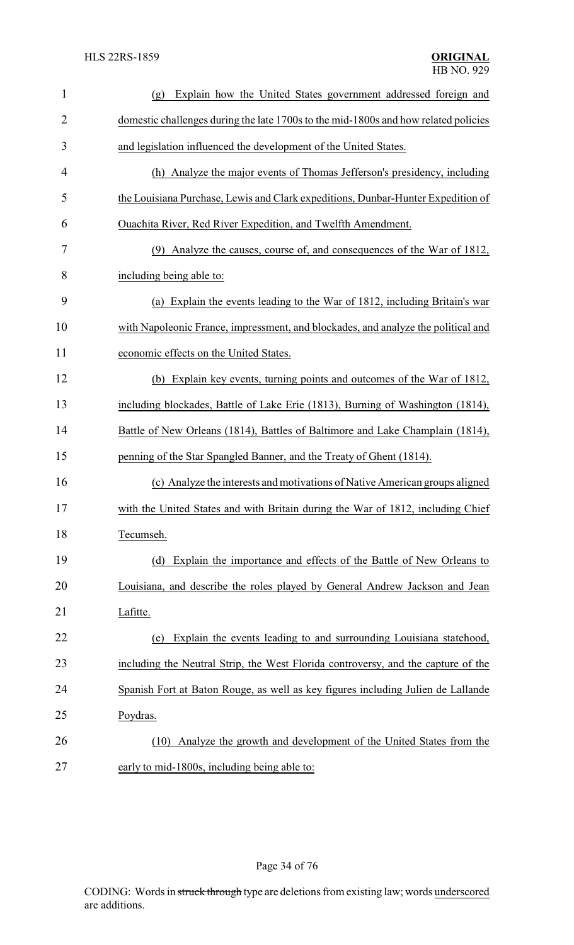| $\mathbf{1}$   | Explain how the United States government addressed foreign and<br>(g)               |
|----------------|-------------------------------------------------------------------------------------|
| $\overline{2}$ | domestic challenges during the late 1700s to the mid-1800s and how related policies |
| 3              | and legislation influenced the development of the United States.                    |
| $\overline{4}$ | (h) Analyze the major events of Thomas Jefferson's presidency, including            |
| 5              | the Louisiana Purchase, Lewis and Clark expeditions, Dunbar-Hunter Expedition of    |
| 6              | Ouachita River, Red River Expedition, and Twelfth Amendment.                        |
| 7              | (9) Analyze the causes, course of, and consequences of the War of 1812,             |
| 8              | including being able to:                                                            |
| 9              | (a) Explain the events leading to the War of 1812, including Britain's war          |
| 10             | with Napoleonic France, impressment, and blockades, and analyze the political and   |
| 11             | economic effects on the United States.                                              |
| 12             | (b) Explain key events, turning points and outcomes of the War of 1812,             |
| 13             | including blockades, Battle of Lake Erie (1813), Burning of Washington (1814),      |
| 14             | Battle of New Orleans (1814), Battles of Baltimore and Lake Champlain (1814),       |
| 15             | penning of the Star Spangled Banner, and the Treaty of Ghent (1814).                |
| 16             | (c) Analyze the interests and motivations of Native American groups aligned         |
| 17             | with the United States and with Britain during the War of 1812, including Chief     |
| 18             | Tecumseh.                                                                           |
| 19             | Explain the importance and effects of the Battle of New Orleans to<br>(d)           |
| 20             | Louisiana, and describe the roles played by General Andrew Jackson and Jean         |
| 21             | Lafitte.                                                                            |
| 22             | Explain the events leading to and surrounding Louisiana statehood,<br>(e)           |
| 23             | including the Neutral Strip, the West Florida controversy, and the capture of the   |
| 24             | Spanish Fort at Baton Rouge, as well as key figures including Julien de Lallande    |
| 25             | Poydras.                                                                            |
| 26             | Analyze the growth and development of the United States from the<br>(10)            |
| 27             | early to mid-1800s, including being able to:                                        |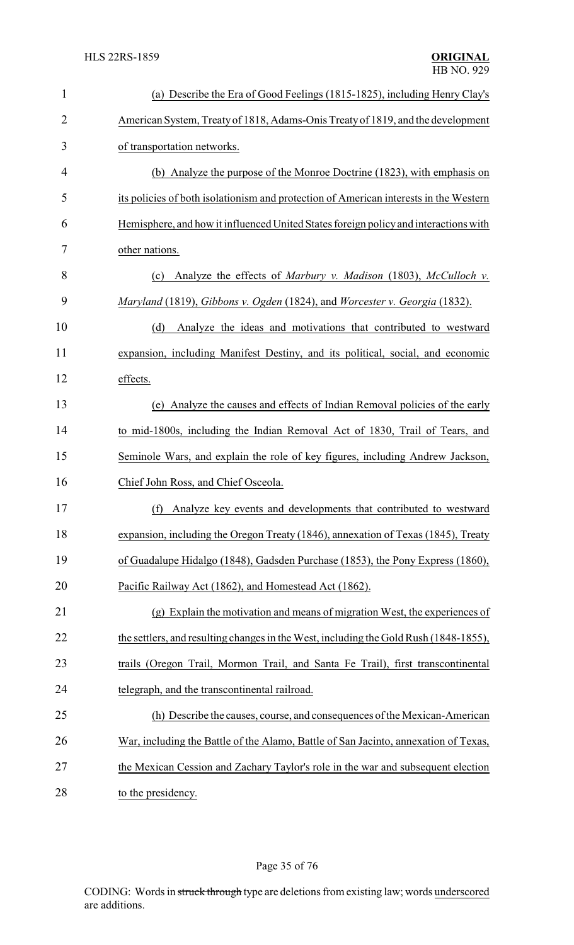| $\mathbf{1}$   | (a) Describe the Era of Good Feelings (1815-1825), including Henry Clay's             |
|----------------|---------------------------------------------------------------------------------------|
| $\overline{2}$ | American System, Treaty of 1818, Adams-Onis Treaty of 1819, and the development       |
| 3              | of transportation networks.                                                           |
| 4              | (b) Analyze the purpose of the Monroe Doctrine (1823), with emphasis on               |
| 5              | its policies of both isolationism and protection of American interests in the Western |
| 6              | Hemisphere, and how it influenced United States foreign policy and interactions with  |
| 7              | other nations.                                                                        |
| 8              | Analyze the effects of Marbury v. Madison (1803), McCulloch v.<br>(c)                 |
| 9              | Maryland (1819), Gibbons v. Ogden (1824), and Worcester v. Georgia (1832).            |
| 10             | (d)<br>Analyze the ideas and motivations that contributed to westward                 |
| 11             | expansion, including Manifest Destiny, and its political, social, and economic        |
| 12             | effects.                                                                              |
| 13             | (e) Analyze the causes and effects of Indian Removal policies of the early            |
| 14             | to mid-1800s, including the Indian Removal Act of 1830, Trail of Tears, and           |
| 15             | Seminole Wars, and explain the role of key figures, including Andrew Jackson,         |
| 16             | Chief John Ross, and Chief Osceola.                                                   |
| 17             | (f) Analyze key events and developments that contributed to westward                  |
| 18             | expansion, including the Oregon Treaty (1846), annexation of Texas (1845), Treaty     |
| 19             | of Guadalupe Hidalgo (1848), Gadsden Purchase (1853), the Pony Express (1860),        |
| 20             | Pacific Railway Act (1862), and Homestead Act (1862).                                 |
| 21             | (g) Explain the motivation and means of migration West, the experiences of            |
| 22             | the settlers, and resulting changes in the West, including the Gold Rush (1848-1855), |
| 23             | trails (Oregon Trail, Mormon Trail, and Santa Fe Trail), first transcontinental       |
| 24             | telegraph, and the transcontinental railroad.                                         |
| 25             | (h) Describe the causes, course, and consequences of the Mexican-American             |
| 26             | War, including the Battle of the Alamo, Battle of San Jacinto, annexation of Texas,   |
| 27             | the Mexican Cession and Zachary Taylor's role in the war and subsequent election      |
| 28             | to the presidency.                                                                    |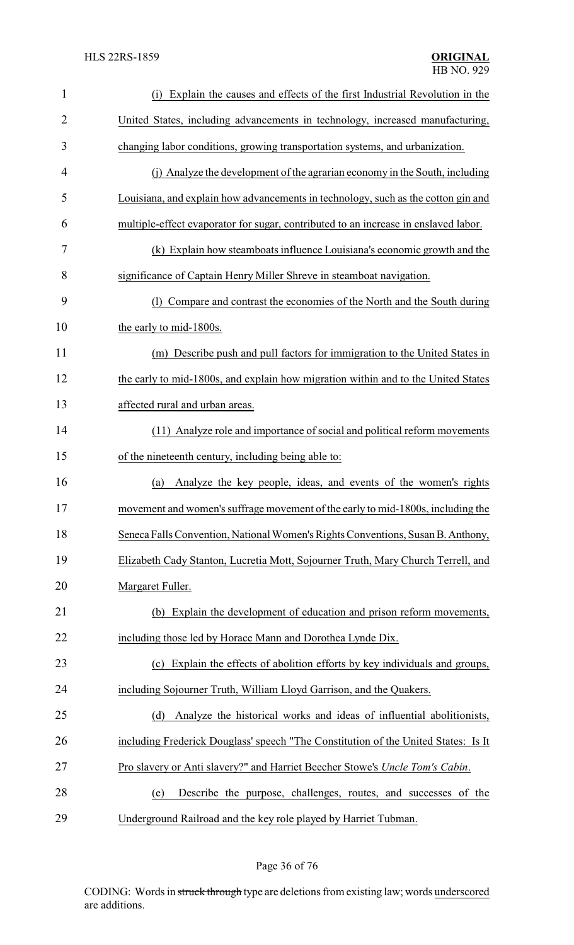| $\mathbf{1}$   | Explain the causes and effects of the first Industrial Revolution in the<br>(i)     |
|----------------|-------------------------------------------------------------------------------------|
| $\overline{2}$ | United States, including advancements in technology, increased manufacturing,       |
| 3              | changing labor conditions, growing transportation systems, and urbanization.        |
| 4              | (i) Analyze the development of the agrarian economy in the South, including         |
| 5              | Louisiana, and explain how advancements in technology, such as the cotton gin and   |
| 6              | multiple-effect evaporator for sugar, contributed to an increase in enslaved labor. |
| 7              | (k) Explain how steamboats influence Louisiana's economic growth and the            |
| 8              | significance of Captain Henry Miller Shreve in steamboat navigation.                |
| 9              | Compare and contrast the economies of the North and the South during                |
| 10             | the early to mid-1800s.                                                             |
| 11             | (m) Describe push and pull factors for immigration to the United States in          |
| 12             | the early to mid-1800s, and explain how migration within and to the United States   |
| 13             | affected rural and urban areas.                                                     |
| 14             | (11) Analyze role and importance of social and political reform movements           |
| 15             | of the nineteenth century, including being able to:                                 |
| 16             | Analyze the key people, ideas, and events of the women's rights<br>(a)              |
| 17             | movement and women's suffrage movement of the early to mid-1800s, including the     |
| 18             | Seneca Falls Convention, National Women's Rights Conventions, Susan B. Anthony,     |
| 19             | Elizabeth Cady Stanton, Lucretia Mott, Sojourner Truth, Mary Church Terrell, and    |
| 20             | Margaret Fuller.                                                                    |
| 21             | (b) Explain the development of education and prison reform movements,               |
| 22             | including those led by Horace Mann and Dorothea Lynde Dix.                          |
| 23             | (c) Explain the effects of abolition efforts by key individuals and groups,         |
| 24             | including Sojourner Truth, William Lloyd Garrison, and the Quakers.                 |
| 25             | Analyze the historical works and ideas of influential abolitionists,<br>(d)         |
| 26             | including Frederick Douglass' speech "The Constitution of the United States: Is It  |
| 27             | Pro slavery or Anti slavery?" and Harriet Beecher Stowe's Uncle Tom's Cabin.        |
| 28             | Describe the purpose, challenges, routes, and successes of the<br>(e)               |
| 29             | Underground Railroad and the key role played by Harriet Tubman.                     |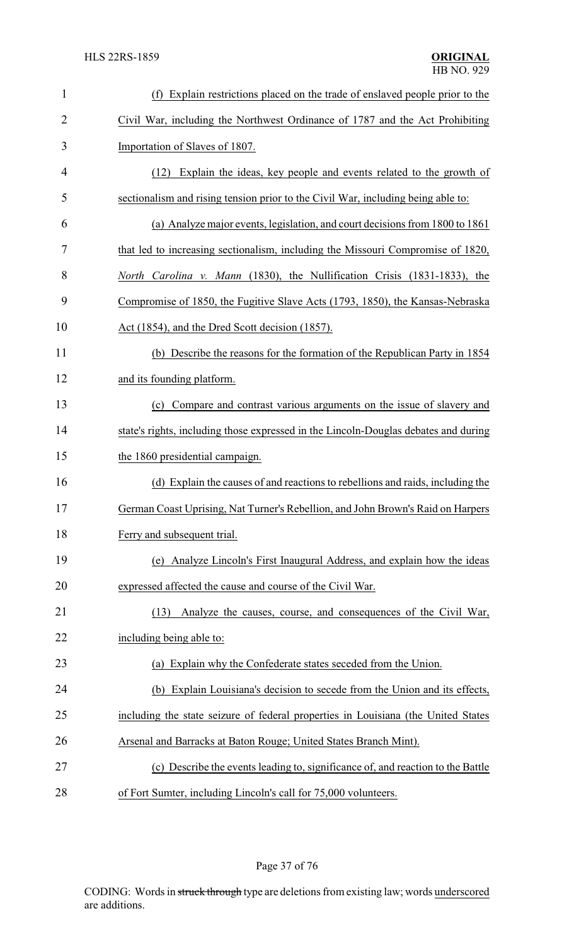| $\mathbf{1}$   | (f) Explain restrictions placed on the trade of enslaved people prior to the        |
|----------------|-------------------------------------------------------------------------------------|
| $\overline{2}$ | Civil War, including the Northwest Ordinance of 1787 and the Act Prohibiting        |
| 3              | Importation of Slaves of 1807.                                                      |
| 4              | Explain the ideas, key people and events related to the growth of<br>(12)           |
| 5              | sectionalism and rising tension prior to the Civil War, including being able to:    |
| 6              | (a) Analyze major events, legislation, and court decisions from 1800 to 1861        |
| 7              | that led to increasing sectionalism, including the Missouri Compromise of 1820,     |
| 8              | North Carolina v. Mann (1830), the Nullification Crisis (1831-1833), the            |
| 9              | Compromise of 1850, the Fugitive Slave Acts (1793, 1850), the Kansas-Nebraska       |
| 10             | Act (1854), and the Dred Scott decision (1857).                                     |
| 11             | (b) Describe the reasons for the formation of the Republican Party in 1854          |
| 12             | and its founding platform.                                                          |
| 13             | Compare and contrast various arguments on the issue of slavery and<br>(c)           |
| 14             | state's rights, including those expressed in the Lincoln-Douglas debates and during |
| 15             | the 1860 presidential campaign.                                                     |
| 16             | (d) Explain the causes of and reactions to rebellions and raids, including the      |
| 17             | German Coast Uprising, Nat Turner's Rebellion, and John Brown's Raid on Harpers     |
| 18             | Ferry and subsequent trial.                                                         |
| 19             | (e) Analyze Lincoln's First Inaugural Address, and explain how the ideas            |
| 20             | expressed affected the cause and course of the Civil War.                           |
| 21             | (13)<br>Analyze the causes, course, and consequences of the Civil War,              |
| 22             | including being able to:                                                            |
| 23             | (a) Explain why the Confederate states seceded from the Union.                      |
| 24             | (b) Explain Louisiana's decision to secede from the Union and its effects,          |
| 25             | including the state seizure of federal properties in Louisiana (the United States   |
| 26             | Arsenal and Barracks at Baton Rouge; United States Branch Mint).                    |
| 27             | (c) Describe the events leading to, significance of, and reaction to the Battle     |
| 28             | of Fort Sumter, including Lincoln's call for 75,000 volunteers.                     |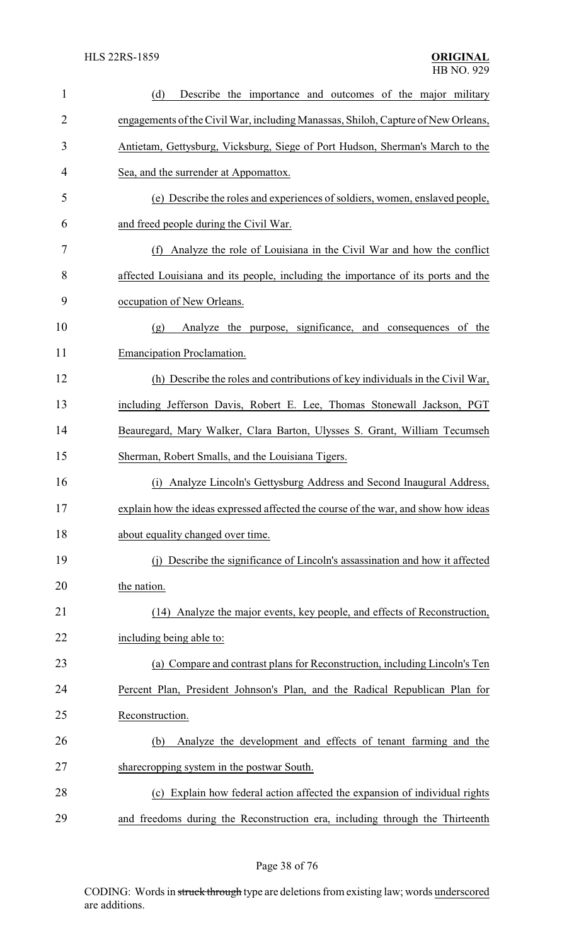| $\mathbf{1}$ | (d)<br>Describe the importance and outcomes of the major military                  |
|--------------|------------------------------------------------------------------------------------|
| 2            | engagements of the Civil War, including Manassas, Shiloh, Capture of New Orleans,  |
| 3            | Antietam, Gettysburg, Vicksburg, Siege of Port Hudson, Sherman's March to the      |
| 4            | Sea, and the surrender at Appomattox.                                              |
| 5            | (e) Describe the roles and experiences of soldiers, women, enslaved people,        |
| 6            | and freed people during the Civil War.                                             |
| 7            | (f) Analyze the role of Louisiana in the Civil War and how the conflict            |
| 8            | affected Louisiana and its people, including the importance of its ports and the   |
| 9            | occupation of New Orleans.                                                         |
| 10           | Analyze the purpose, significance, and consequences of the<br>(g)                  |
| 11           | <b>Emancipation Proclamation.</b>                                                  |
| 12           | (h) Describe the roles and contributions of key individuals in the Civil War,      |
| 13           | including Jefferson Davis, Robert E. Lee, Thomas Stonewall Jackson, PGT            |
| 14           | Beauregard, Mary Walker, Clara Barton, Ulysses S. Grant, William Tecumseh          |
| 15           | Sherman, Robert Smalls, and the Louisiana Tigers.                                  |
| 16           | Analyze Lincoln's Gettysburg Address and Second Inaugural Address,<br>(i)          |
| 17           | explain how the ideas expressed affected the course of the war, and show how ideas |
| 18           | about equality changed over time.                                                  |
| 19           | Describe the significance of Lincoln's assassination and how it affected           |
| 20           | the nation.                                                                        |
| 21           | (14) Analyze the major events, key people, and effects of Reconstruction,          |
| 22           | including being able to:                                                           |
| 23           | (a) Compare and contrast plans for Reconstruction, including Lincoln's Ten         |
| 24           | Percent Plan, President Johnson's Plan, and the Radical Republican Plan for        |
| 25           | Reconstruction.                                                                    |
| 26           | Analyze the development and effects of tenant farming and the<br>(b)               |
| 27           | sharecropping system in the postwar South.                                         |
| 28           | (c) Explain how federal action affected the expansion of individual rights         |
| 29           | and freedoms during the Reconstruction era, including through the Thirteenth       |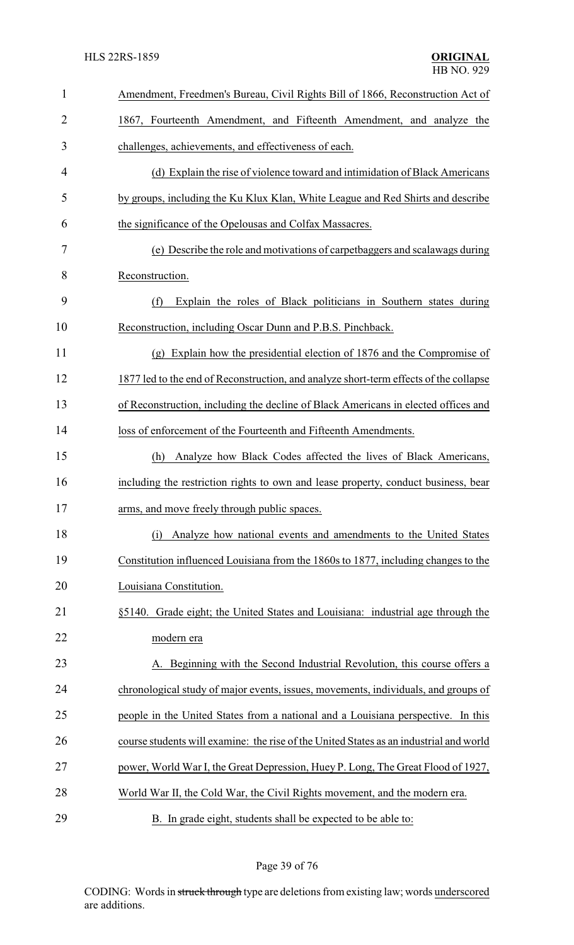| $\mathbf{1}$   | Amendment, Freedmen's Bureau, Civil Rights Bill of 1866, Reconstruction Act of         |
|----------------|----------------------------------------------------------------------------------------|
| $\overline{2}$ | 1867, Fourteenth Amendment, and Fifteenth Amendment, and analyze the                   |
| 3              | challenges, achievements, and effectiveness of each.                                   |
| 4              | (d) Explain the rise of violence toward and intimidation of Black Americans            |
| 5              | by groups, including the Ku Klux Klan, White League and Red Shirts and describe        |
| 6              | the significance of the Opelousas and Colfax Massacres.                                |
| 7              | (e) Describe the role and motivations of carpetbaggers and scalawags during            |
| 8              | Reconstruction.                                                                        |
| 9              | Explain the roles of Black politicians in Southern states during<br>(f)                |
| 10             | Reconstruction, including Oscar Dunn and P.B.S. Pinchback.                             |
| 11             | (g) Explain how the presidential election of 1876 and the Compromise of                |
| 12             | 1877 led to the end of Reconstruction, and analyze short-term effects of the collapse  |
| 13             | of Reconstruction, including the decline of Black Americans in elected offices and     |
| 14             | loss of enforcement of the Fourteenth and Fifteenth Amendments.                        |
| 15             | Analyze how Black Codes affected the lives of Black Americans,<br>(h)                  |
| 16             | including the restriction rights to own and lease property, conduct business, bear     |
| 17             | arms, and move freely through public spaces.                                           |
| 18             | Analyze how national events and amendments to the United States<br>(i)                 |
| 19             | Constitution influenced Louisiana from the 1860s to 1877, including changes to the     |
| 20             | Louisiana Constitution.                                                                |
| 21             | §5140. Grade eight; the United States and Louisiana: industrial age through the        |
| 22             | modern era                                                                             |
| 23             | A. Beginning with the Second Industrial Revolution, this course offers a               |
| 24             | chronological study of major events, issues, movements, individuals, and groups of     |
| 25             | people in the United States from a national and a Louisiana perspective. In this       |
| 26             | course students will examine: the rise of the United States as an industrial and world |
| 27             | power, World War I, the Great Depression, Huey P. Long, The Great Flood of 1927,       |
| 28             | World War II, the Cold War, the Civil Rights movement, and the modern era.             |
| 29             | B. In grade eight, students shall be expected to be able to:                           |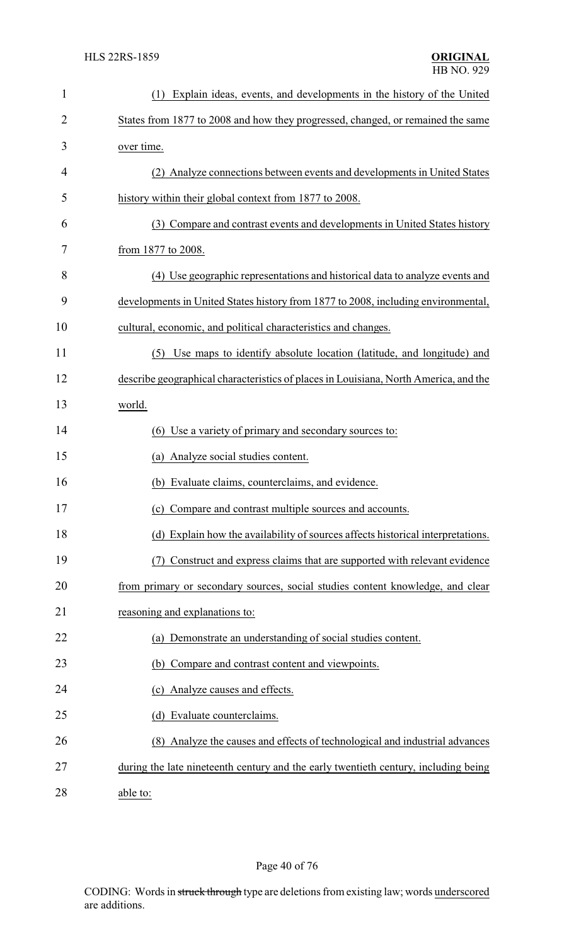| $\mathbf{1}$   | (1) Explain ideas, events, and developments in the history of the United             |
|----------------|--------------------------------------------------------------------------------------|
| $\overline{2}$ | States from 1877 to 2008 and how they progressed, changed, or remained the same      |
| 3              | over time.                                                                           |
| 4              | (2) Analyze connections between events and developments in United States             |
| 5              | history within their global context from 1877 to 2008.                               |
| 6              | (3) Compare and contrast events and developments in United States history            |
| 7              | from 1877 to 2008.                                                                   |
| 8              | (4) Use geographic representations and historical data to analyze events and         |
| 9              | developments in United States history from 1877 to 2008, including environmental,    |
| 10             | cultural, economic, and political characteristics and changes.                       |
| 11             | (5) Use maps to identify absolute location (latitude, and longitude) and             |
| 12             | describe geographical characteristics of places in Louisiana, North America, and the |
| 13             | world.                                                                               |
| 14             | (6) Use a variety of primary and secondary sources to:                               |
| 15             | (a) Analyze social studies content.                                                  |
| 16             | (b) Evaluate claims, counterclaims, and evidence.                                    |
| 17             | (c) Compare and contrast multiple sources and accounts.                              |
| 18             | (d) Explain how the availability of sources affects historical interpretations.      |
| 19             | Construct and express claims that are supported with relevant evidence<br>(7)        |
| 20             | from primary or secondary sources, social studies content knowledge, and clear       |
| 21             | reasoning and explanations to:                                                       |
| 22             | (a) Demonstrate an understanding of social studies content.                          |
| 23             | (b) Compare and contrast content and viewpoints.                                     |
| 24             | (c) Analyze causes and effects.                                                      |
| 25             | (d) Evaluate counterclaims.                                                          |
| 26             | (8) Analyze the causes and effects of technological and industrial advances          |
| 27             | during the late nineteenth century and the early twentieth century, including being  |
| 28             | able to:                                                                             |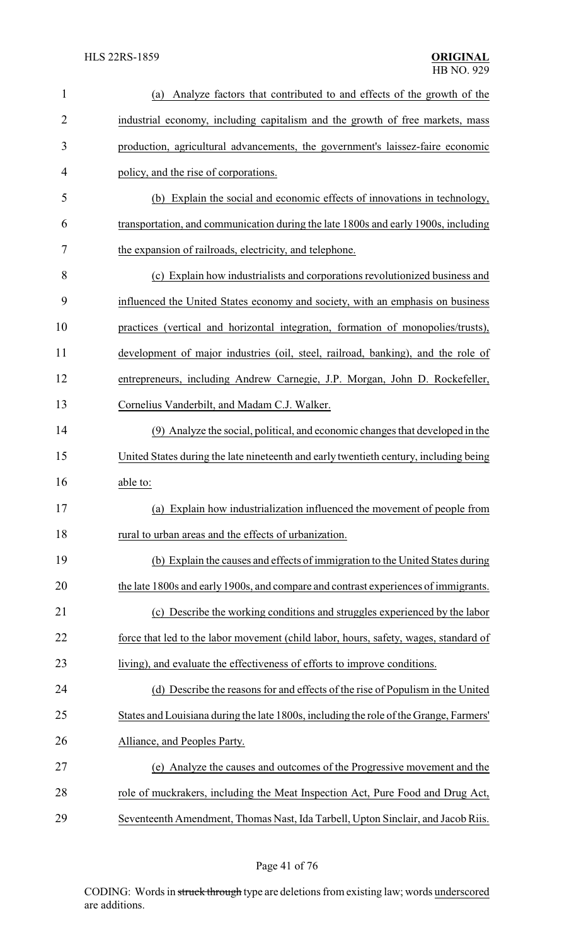| $\mathbf{1}$   | Analyze factors that contributed to and effects of the growth of the<br>(a)            |
|----------------|----------------------------------------------------------------------------------------|
| $\overline{2}$ | industrial economy, including capitalism and the growth of free markets, mass          |
| 3              | production, agricultural advancements, the government's laissez-faire economic         |
| $\overline{4}$ | policy, and the rise of corporations.                                                  |
| 5              | (b) Explain the social and economic effects of innovations in technology,              |
| 6              | transportation, and communication during the late 1800s and early 1900s, including     |
| 7              | the expansion of railroads, electricity, and telephone.                                |
| 8              | (c) Explain how industrialists and corporations revolutionized business and            |
| 9              | influenced the United States economy and society, with an emphasis on business         |
| 10             | practices (vertical and horizontal integration, formation of monopolies/trusts),       |
| 11             | development of major industries (oil, steel, railroad, banking), and the role of       |
| 12             | entrepreneurs, including Andrew Carnegie, J.P. Morgan, John D. Rockefeller,            |
| 13             | Cornelius Vanderbilt, and Madam C.J. Walker.                                           |
| 14             | (9) Analyze the social, political, and economic changes that developed in the          |
| 15             | United States during the late nineteenth and early twentieth century, including being  |
| 16             | able to:                                                                               |
| 17             | (a) Explain how industrialization influenced the movement of people from               |
| 18             | rural to urban areas and the effects of urbanization.                                  |
| 19             | (b) Explain the causes and effects of immigration to the United States during          |
| 20             | the late 1800s and early 1900s, and compare and contrast experiences of immigrants.    |
| 21             | (c) Describe the working conditions and struggles experienced by the labor             |
| 22             | force that led to the labor movement (child labor, hours, safety, wages, standard of   |
| 23             | living), and evaluate the effectiveness of efforts to improve conditions.              |
| 24             | (d) Describe the reasons for and effects of the rise of Populism in the United         |
| 25             | States and Louisiana during the late 1800s, including the role of the Grange, Farmers' |
| 26             | Alliance, and Peoples Party.                                                           |
| 27             | (e) Analyze the causes and outcomes of the Progressive movement and the                |
| 28             | role of muckrakers, including the Meat Inspection Act, Pure Food and Drug Act,         |
| 29             | Seventeenth Amendment, Thomas Nast, Ida Tarbell, Upton Sinclair, and Jacob Riis.       |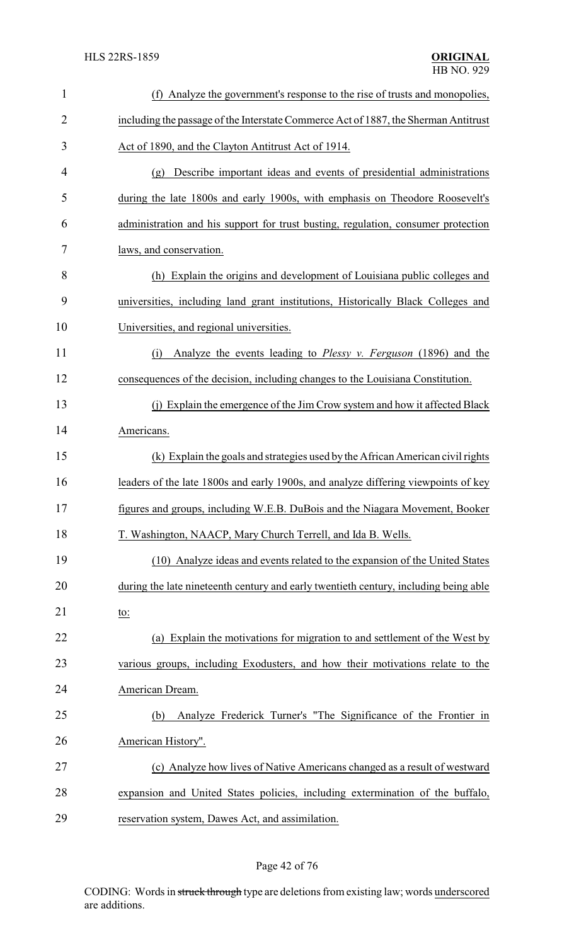| $\mathbf{1}$   | (f) Analyze the government's response to the rise of trusts and monopolies,          |
|----------------|--------------------------------------------------------------------------------------|
| $\overline{2}$ | including the passage of the Interstate Commerce Act of 1887, the Sherman Antitrust  |
| 3              | Act of 1890, and the Clayton Antitrust Act of 1914.                                  |
| 4              | Describe important ideas and events of presidential administrations<br>(g)           |
| 5              | during the late 1800s and early 1900s, with emphasis on Theodore Roosevelt's         |
| 6              | administration and his support for trust busting, regulation, consumer protection    |
| 7              | laws, and conservation.                                                              |
| 8              | (h) Explain the origins and development of Louisiana public colleges and             |
| 9              | universities, including land grant institutions, Historically Black Colleges and     |
| 10             | Universities, and regional universities.                                             |
| 11             | (i) Analyze the events leading to <i>Plessy v. Ferguson</i> (1896) and the           |
| 12             | consequences of the decision, including changes to the Louisiana Constitution.       |
| 13             | (j) Explain the emergence of the Jim Crow system and how it affected Black           |
| 14             | Americans.                                                                           |
| 15             | (k) Explain the goals and strategies used by the African American civil rights       |
| 16             | leaders of the late 1800s and early 1900s, and analyze differing viewpoints of key   |
| 17             | figures and groups, including W.E.B. DuBois and the Niagara Movement, Booker         |
| 18             | T. Washington, NAACP, Mary Church Terrell, and Ida B. Wells.                         |
| 19             | (10) Analyze ideas and events related to the expansion of the United States          |
| 20             | during the late nineteenth century and early twentieth century, including being able |
| 21             | <u>to:</u>                                                                           |
| 22             | (a) Explain the motivations for migration to and settlement of the West by           |
| 23             | various groups, including Exodusters, and how their motivations relate to the        |
| 24             | American Dream.                                                                      |
| 25             | Analyze Frederick Turner's "The Significance of the Frontier in<br>(b)               |
| 26             | American History".                                                                   |
| 27             | (c) Analyze how lives of Native Americans changed as a result of westward            |
| 28             | expansion and United States policies, including extermination of the buffalo,        |
| 29             | reservation system, Dawes Act, and assimilation.                                     |

## Page 42 of 76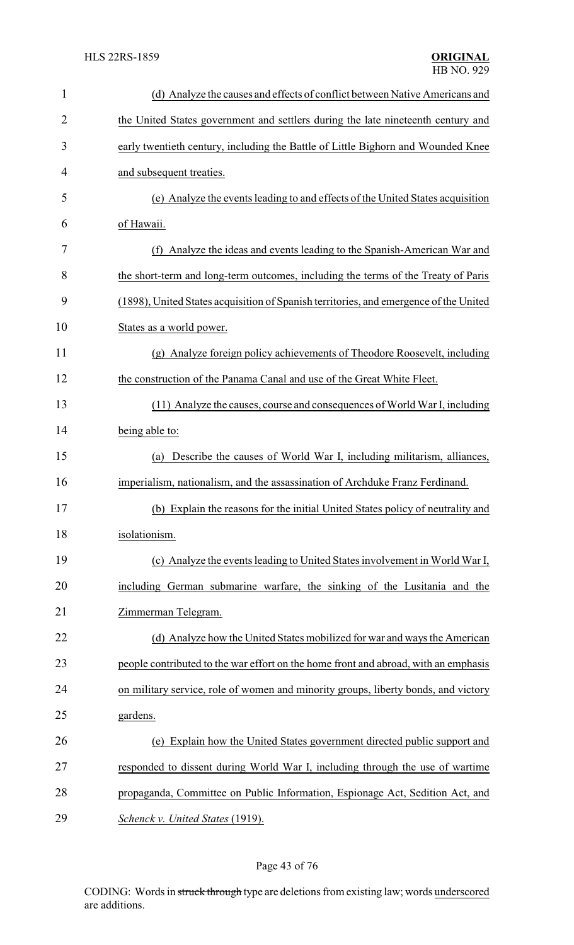| $\mathbf{1}$   | (d) Analyze the causes and effects of conflict between Native Americans and           |
|----------------|---------------------------------------------------------------------------------------|
| $\overline{2}$ | the United States government and settlers during the late nineteenth century and      |
| 3              | early twentieth century, including the Battle of Little Bighorn and Wounded Knee      |
| 4              | and subsequent treaties.                                                              |
| 5              | (e) Analyze the events leading to and effects of the United States acquisition        |
| 6              | of Hawaii.                                                                            |
| 7              | (f) Analyze the ideas and events leading to the Spanish-American War and              |
| 8              | the short-term and long-term outcomes, including the terms of the Treaty of Paris     |
| 9              | (1898), United States acquisition of Spanish territories, and emergence of the United |
| 10             | States as a world power.                                                              |
| 11             | (g) Analyze foreign policy achievements of Theodore Roosevelt, including              |
| 12             | the construction of the Panama Canal and use of the Great White Fleet.                |
| 13             | (11) Analyze the causes, course and consequences of World War I, including            |
| 14             | being able to:                                                                        |
| 15             | Describe the causes of World War I, including militarism, alliances,<br>(a)           |
| 16             | imperialism, nationalism, and the assassination of Archduke Franz Ferdinand.          |
| 17             | (b) Explain the reasons for the initial United States policy of neutrality and        |
| 18             | isolationism.                                                                         |
| 19             | (c) Analyze the events leading to United States involvement in World War I,           |
| 20             | including German submarine warfare, the sinking of the Lusitania and the              |
| 21             | Zimmerman Telegram.                                                                   |
| 22             | (d) Analyze how the United States mobilized for war and ways the American             |
| 23             | people contributed to the war effort on the home front and abroad, with an emphasis   |
| 24             | on military service, role of women and minority groups, liberty bonds, and victory    |
| 25             | gardens.                                                                              |
| 26             | (e) Explain how the United States government directed public support and              |
| 27             | responded to dissent during World War I, including through the use of wartime         |
| 28             | propaganda, Committee on Public Information, Espionage Act, Sedition Act, and         |
| 29             | Schenck v. United States (1919).                                                      |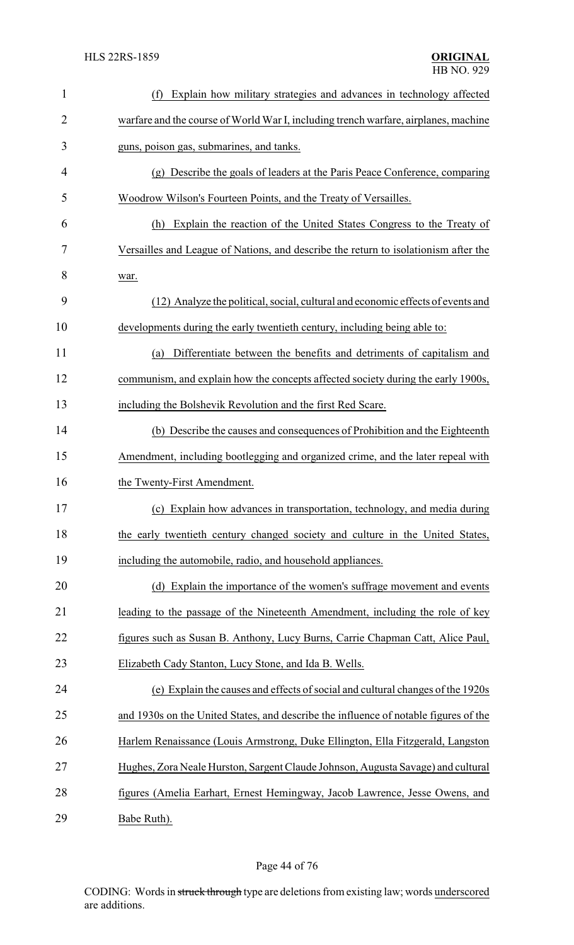| $\mathbf{1}$   | Explain how military strategies and advances in technology affected<br>(f)           |
|----------------|--------------------------------------------------------------------------------------|
| $\overline{2}$ | warfare and the course of World War I, including trench warfare, airplanes, machine  |
| 3              | guns, poison gas, submarines, and tanks.                                             |
| 4              | (g) Describe the goals of leaders at the Paris Peace Conference, comparing           |
| 5              | Woodrow Wilson's Fourteen Points, and the Treaty of Versailles.                      |
| 6              | Explain the reaction of the United States Congress to the Treaty of<br>(h)           |
| 7              | Versailles and League of Nations, and describe the return to isolationism after the  |
| 8              | war.                                                                                 |
| 9              | (12) Analyze the political, social, cultural and economic effects of events and      |
| 10             | developments during the early twentieth century, including being able to:            |
| 11             | Differentiate between the benefits and detriments of capitalism and<br>(a)           |
| 12             | communism, and explain how the concepts affected society during the early 1900s,     |
| 13             | including the Bolshevik Revolution and the first Red Scare.                          |
| 14             | (b) Describe the causes and consequences of Prohibition and the Eighteenth           |
| 15             | Amendment, including bootlegging and organized crime, and the later repeal with      |
| 16             | the Twenty-First Amendment.                                                          |
| 17             | (c) Explain how advances in transportation, technology, and media during             |
| 18             | the early twentieth century changed society and culture in the United States,        |
| 19             | including the automobile, radio, and household appliances.                           |
| 20             | (d) Explain the importance of the women's suffrage movement and events               |
| 21             | leading to the passage of the Nineteenth Amendment, including the role of key        |
| 22             | figures such as Susan B. Anthony, Lucy Burns, Carrie Chapman Catt, Alice Paul,       |
| 23             | Elizabeth Cady Stanton, Lucy Stone, and Ida B. Wells.                                |
| 24             | (e) Explain the causes and effects of social and cultural changes of the 1920s       |
| 25             | and 1930s on the United States, and describe the influence of notable figures of the |
| 26             | Harlem Renaissance (Louis Armstrong, Duke Ellington, Ella Fitzgerald, Langston       |
| 27             | Hughes, Zora Neale Hurston, Sargent Claude Johnson, Augusta Savage) and cultural     |
| 28             | figures (Amelia Earhart, Ernest Hemingway, Jacob Lawrence, Jesse Owens, and          |
| 29             | Babe Ruth).                                                                          |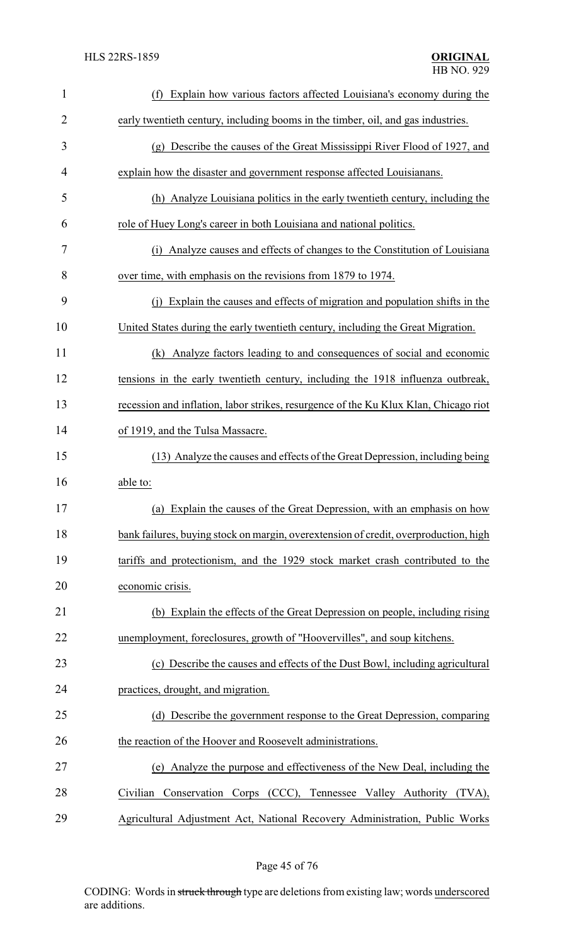| $\mathbf{1}$   | (f) Explain how various factors affected Louisiana's economy during the              |
|----------------|--------------------------------------------------------------------------------------|
| $\overline{2}$ | early twentieth century, including booms in the timber, oil, and gas industries.     |
| 3              | (g) Describe the causes of the Great Mississippi River Flood of 1927, and            |
| 4              | explain how the disaster and government response affected Louisianans.               |
| 5              | (h) Analyze Louisiana politics in the early twentieth century, including the         |
| 6              | role of Huey Long's career in both Louisiana and national politics.                  |
| 7              | (i) Analyze causes and effects of changes to the Constitution of Louisiana           |
| 8              | over time, with emphasis on the revisions from 1879 to 1974.                         |
| 9              | Explain the causes and effects of migration and population shifts in the             |
| 10             | United States during the early twentieth century, including the Great Migration.     |
| 11             | (k) Analyze factors leading to and consequences of social and economic               |
| 12             | tensions in the early twentieth century, including the 1918 influenza outbreak,      |
| 13             | recession and inflation, labor strikes, resurgence of the Ku Klux Klan, Chicago riot |
| 14             | of 1919, and the Tulsa Massacre.                                                     |
| 15             | (13) Analyze the causes and effects of the Great Depression, including being         |
| 16             | able to:                                                                             |
| 17             | (a) Explain the causes of the Great Depression, with an emphasis on how              |
| 18             | bank failures, buying stock on margin, overextension of credit, overproduction, high |
| 19             | tariffs and protectionism, and the 1929 stock market crash contributed to the        |
| 20             | economic crisis.                                                                     |
| 21             | (b) Explain the effects of the Great Depression on people, including rising          |
| 22             | unemployment, foreclosures, growth of "Hoovervilles", and soup kitchens.             |
| 23             | (c) Describe the causes and effects of the Dust Bowl, including agricultural         |
| 24             | practices, drought, and migration.                                                   |
| 25             | (d) Describe the government response to the Great Depression, comparing              |
| 26             | the reaction of the Hoover and Roosevelt administrations.                            |
| 27             | (e) Analyze the purpose and effectiveness of the New Deal, including the             |
| 28             | Conservation Corps (CCC), Tennessee Valley Authority (TVA),<br>Civilian              |
| 29             | Agricultural Adjustment Act, National Recovery Administration, Public Works          |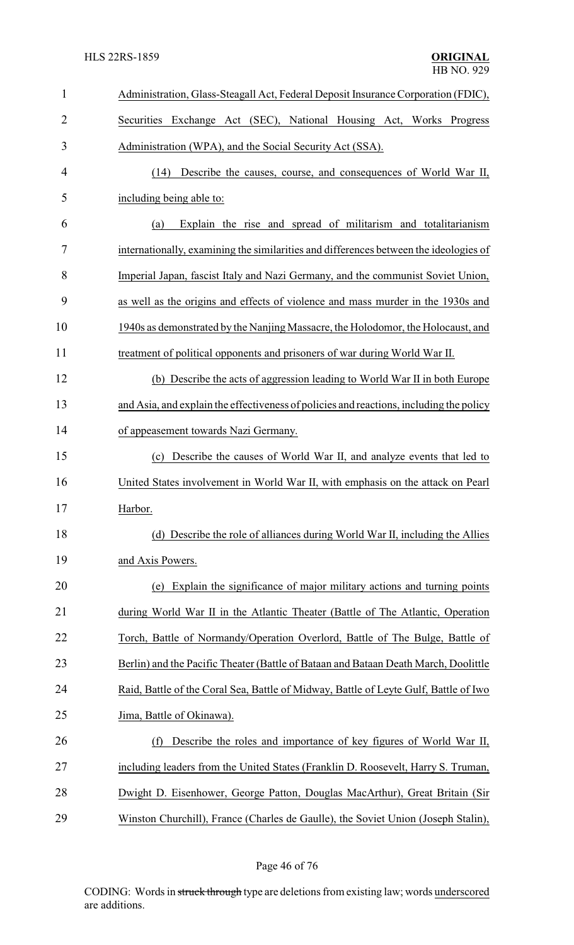| $\mathbf{1}$   | Administration, Glass-Steagall Act, Federal Deposit Insurance Corporation (FDIC),       |
|----------------|-----------------------------------------------------------------------------------------|
| $\overline{2}$ | Securities Exchange Act (SEC), National Housing Act, Works Progress                     |
| 3              | Administration (WPA), and the Social Security Act (SSA).                                |
| $\overline{4}$ | (14)<br>Describe the causes, course, and consequences of World War II,                  |
| 5              | including being able to:                                                                |
| 6              | Explain the rise and spread of militarism and totalitarianism<br>(a)                    |
| 7              | internationally, examining the similarities and differences between the ideologies of   |
| 8              | Imperial Japan, fascist Italy and Nazi Germany, and the communist Soviet Union,         |
| 9              | as well as the origins and effects of violence and mass murder in the 1930s and         |
| 10             | 1940s as demonstrated by the Nanjing Massacre, the Holodomor, the Holocaust, and        |
| 11             | treatment of political opponents and prisoners of war during World War II.              |
| 12             | (b) Describe the acts of aggression leading to World War II in both Europe              |
| 13             | and Asia, and explain the effectiveness of policies and reactions, including the policy |
| 14             | of appeasement towards Nazi Germany.                                                    |
| 15             | Describe the causes of World War II, and analyze events that led to<br>(c)              |
| 16             | United States involvement in World War II, with emphasis on the attack on Pearl         |
| 17             | Harbor.                                                                                 |
| 18             | (d) Describe the role of alliances during World War II, including the Allies            |
| 19             | and Axis Powers.                                                                        |
| 20             | Explain the significance of major military actions and turning points<br>(e)            |
| 21             | during World War II in the Atlantic Theater (Battle of The Atlantic, Operation          |
| 22             | Torch, Battle of Normandy/Operation Overlord, Battle of The Bulge, Battle of            |
| 23             | Berlin) and the Pacific Theater (Battle of Bataan and Bataan Death March, Doolittle     |
| 24             | Raid, Battle of the Coral Sea, Battle of Midway, Battle of Leyte Gulf, Battle of Iwo    |
| 25             | Jima, Battle of Okinawa).                                                               |
| 26             | Describe the roles and importance of key figures of World War II,<br>(f)                |
| 27             | including leaders from the United States (Franklin D. Roosevelt, Harry S. Truman,       |
| 28             | Dwight D. Eisenhower, George Patton, Douglas MacArthur), Great Britain (Sir             |
| 29             | Winston Churchill), France (Charles de Gaulle), the Soviet Union (Joseph Stalin),       |

Page 46 of 76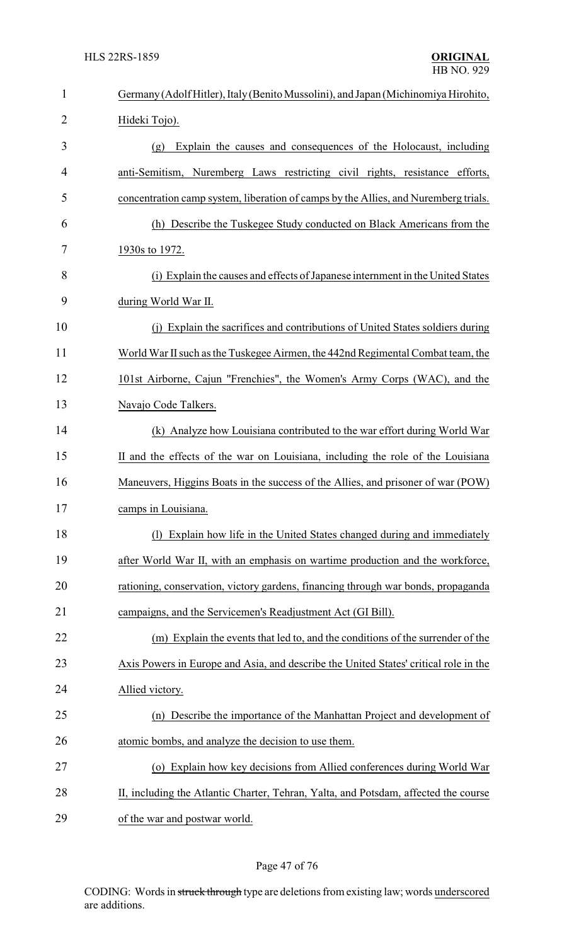| $\mathbf{1}$ | Germany (Adolf Hitler), Italy (Benito Mussolini), and Japan (Michinomiya Hirohito,   |
|--------------|--------------------------------------------------------------------------------------|
| 2            | Hideki Tojo).                                                                        |
| 3            | Explain the causes and consequences of the Holocaust, including<br>(g)               |
| 4            | anti-Semitism, Nuremberg Laws restricting civil rights, resistance efforts,          |
| 5            | concentration camp system, liberation of camps by the Allies, and Nuremberg trials.  |
| 6            | (h) Describe the Tuskegee Study conducted on Black Americans from the                |
| 7            | 1930s to 1972.                                                                       |
| 8            | (i) Explain the causes and effects of Japanese internment in the United States       |
| 9            | during World War II.                                                                 |
| 10           | Explain the sacrifices and contributions of United States soldiers during<br>(i)     |
| 11           | World War II such as the Tuskegee Airmen, the 442nd Regimental Combat team, the      |
| 12           | 101st Airborne, Cajun "Frenchies", the Women's Army Corps (WAC), and the             |
| 13           | Navajo Code Talkers.                                                                 |
| 14           | (k) Analyze how Louisiana contributed to the war effort during World War             |
| 15           | II and the effects of the war on Louisiana, including the role of the Louisiana      |
| 16           | Maneuvers, Higgins Boats in the success of the Allies, and prisoner of war (POW)     |
| 17           | camps in Louisiana.                                                                  |
| 18           | Explain how life in the United States changed during and immediately<br>(1)          |
| 19           | after World War II, with an emphasis on wartime production and the workforce,        |
| 20           | rationing, conservation, victory gardens, financing through war bonds, propaganda    |
| 21           | campaigns, and the Servicemen's Readjustment Act (GI Bill).                          |
| 22           | (m) Explain the events that led to, and the conditions of the surrender of the       |
| 23           | Axis Powers in Europe and Asia, and describe the United States' critical role in the |
| 24           | Allied victory.                                                                      |
| 25           | (n) Describe the importance of the Manhattan Project and development of              |
| 26           | atomic bombs, and analyze the decision to use them.                                  |
| 27           | (o) Explain how key decisions from Allied conferences during World War               |
| 28           | II, including the Atlantic Charter, Tehran, Yalta, and Potsdam, affected the course  |
| 29           | of the war and postwar world.                                                        |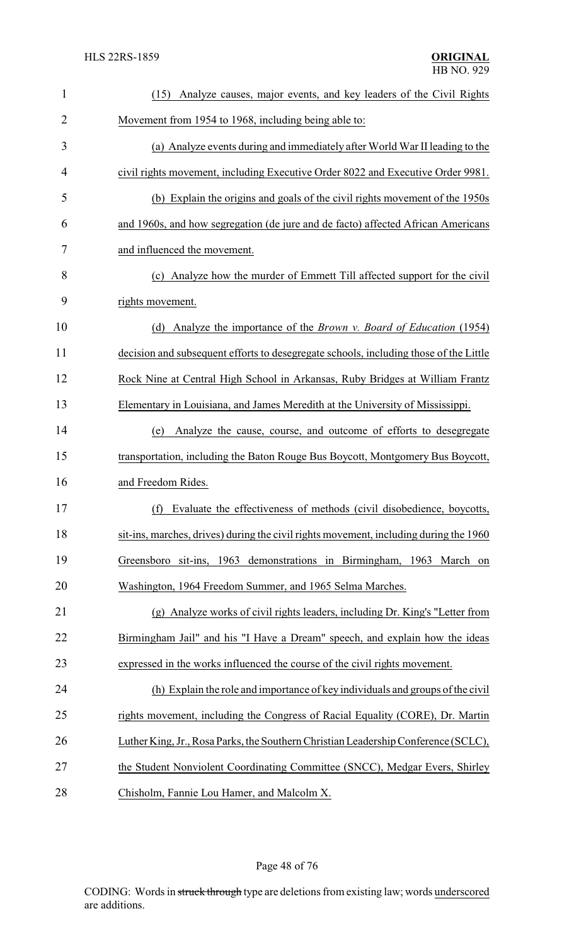| $\mathbf{1}$   | Analyze causes, major events, and key leaders of the Civil Rights<br>(15)             |
|----------------|---------------------------------------------------------------------------------------|
| $\overline{2}$ | Movement from 1954 to 1968, including being able to:                                  |
| 3              | (a) Analyze events during and immediately after World War II leading to the           |
| 4              | civil rights movement, including Executive Order 8022 and Executive Order 9981.       |
| 5              | (b) Explain the origins and goals of the civil rights movement of the 1950s           |
| 6              | and 1960s, and how segregation (de jure and de facto) affected African Americans      |
| 7              | and influenced the movement.                                                          |
| 8              | (c) Analyze how the murder of Emmett Till affected support for the civil              |
| 9              | rights movement.                                                                      |
| 10             | Analyze the importance of the <i>Brown v. Board of Education</i> (1954)<br>(d)        |
| 11             | decision and subsequent efforts to desegregate schools, including those of the Little |
| 12             | Rock Nine at Central High School in Arkansas, Ruby Bridges at William Frantz          |
| 13             | Elementary in Louisiana, and James Meredith at the University of Mississippi.         |
| 14             | Analyze the cause, course, and outcome of efforts to desegregate<br>(e)               |
| 15             | transportation, including the Baton Rouge Bus Boycott, Montgomery Bus Boycott,        |
| 16             | and Freedom Rides.                                                                    |
| 17             | (f) Evaluate the effectiveness of methods (civil disobedience, boycotts,              |
| 18             | sit-ins, marches, drives) during the civil rights movement, including during the 1960 |
| 19             | Greensboro sit-ins, 1963 demonstrations in Birmingham, 1963 March on                  |
| 20             | Washington, 1964 Freedom Summer, and 1965 Selma Marches.                              |
| 21             | (g) Analyze works of civil rights leaders, including Dr. King's "Letter from          |
| 22             | Birmingham Jail" and his "I Have a Dream" speech, and explain how the ideas           |
| 23             | expressed in the works influenced the course of the civil rights movement.            |
| 24             | (h) Explain the role and importance of key individuals and groups of the civil        |
| 25             | rights movement, including the Congress of Racial Equality (CORE), Dr. Martin         |
| 26             | Luther King, Jr., Rosa Parks, the Southern Christian Leadership Conference (SCLC),    |
| 27             | the Student Nonviolent Coordinating Committee (SNCC), Medgar Evers, Shirley           |
| $\Omega$       | Chichalus Founie Lou Hausen and Malachus V                                            |

28 Chisholm, Fannie Lou Hamer, and Malcolm X.

Page 48 of 76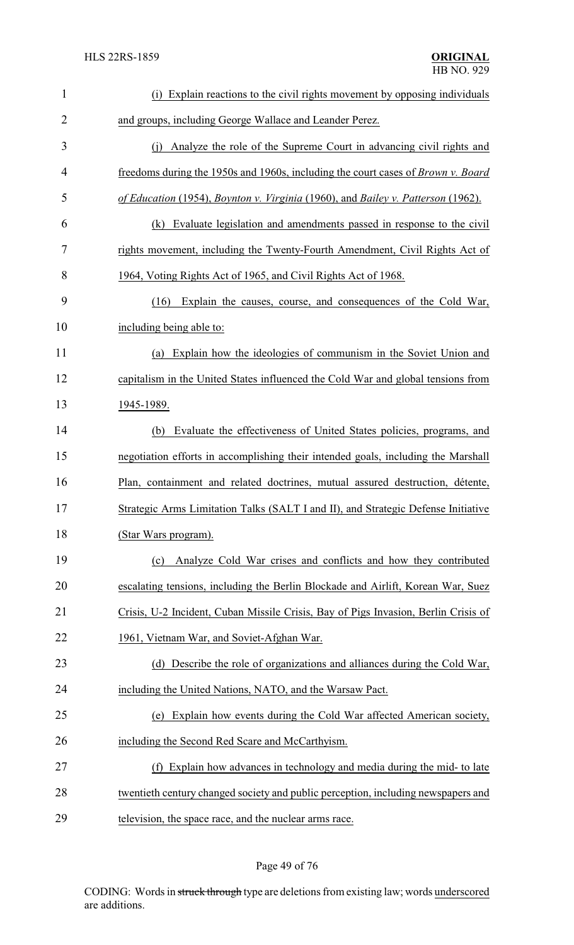| $\mathbf{1}$   | (i) Explain reactions to the civil rights movement by opposing individuals              |
|----------------|-----------------------------------------------------------------------------------------|
| $\overline{2}$ | and groups, including George Wallace and Leander Perez.                                 |
| 3              | Analyze the role of the Supreme Court in advancing civil rights and<br>(i)              |
| 4              | freedoms during the 1950s and 1960s, including the court cases of <i>Brown v. Board</i> |
| 5              | of Education (1954), Boynton v. Virginia (1960), and Bailey v. Patterson (1962).        |
| 6              | Evaluate legislation and amendments passed in response to the civil<br>(k)              |
| 7              | rights movement, including the Twenty-Fourth Amendment, Civil Rights Act of             |
| 8              | 1964, Voting Rights Act of 1965, and Civil Rights Act of 1968.                          |
| 9              | Explain the causes, course, and consequences of the Cold War,<br>(16)                   |
| 10             | including being able to:                                                                |
| 11             | (a) Explain how the ideologies of communism in the Soviet Union and                     |
| 12             | capitalism in the United States influenced the Cold War and global tensions from        |
| 13             | 1945-1989.                                                                              |
| 14             | Evaluate the effectiveness of United States policies, programs, and<br>(b)              |
| 15             | negotiation efforts in accomplishing their intended goals, including the Marshall       |
| 16             | Plan, containment and related doctrines, mutual assured destruction, détente,           |
| 17             | Strategic Arms Limitation Talks (SALT I and II), and Strategic Defense Initiative       |
| 18             | (Star Wars program).                                                                    |
| 19             | Analyze Cold War crises and conflicts and how they contributed<br>(c)                   |
| 20             | escalating tensions, including the Berlin Blockade and Airlift, Korean War, Suez        |
| 21             | Crisis, U-2 Incident, Cuban Missile Crisis, Bay of Pigs Invasion, Berlin Crisis of      |
| 22             | 1961, Vietnam War, and Soviet-Afghan War.                                               |
| 23             | (d) Describe the role of organizations and alliances during the Cold War,               |
| 24             | including the United Nations, NATO, and the Warsaw Pact.                                |
| 25             | Explain how events during the Cold War affected American society,<br>(e)                |
| 26             | including the Second Red Scare and McCarthyism.                                         |
| 27             | Explain how advances in technology and media during the mid- to late<br>(f)             |
| 28             | twentieth century changed society and public perception, including newspapers and       |
| 29             | television, the space race, and the nuclear arms race.                                  |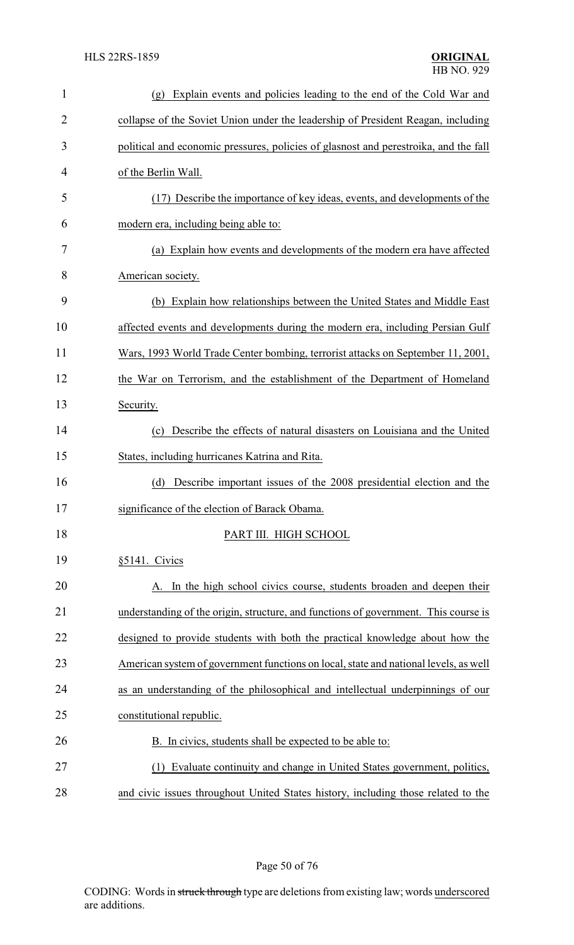| 1              | Explain events and policies leading to the end of the Cold War and<br>(g)            |
|----------------|--------------------------------------------------------------------------------------|
| $\overline{2}$ | collapse of the Soviet Union under the leadership of President Reagan, including     |
| 3              | political and economic pressures, policies of glasnost and perestroika, and the fall |
| 4              | of the Berlin Wall.                                                                  |
| 5              | (17) Describe the importance of key ideas, events, and developments of the           |
| 6              | modern era, including being able to:                                                 |
| 7              | (a) Explain how events and developments of the modern era have affected              |
| 8              | American society.                                                                    |
| 9              | (b) Explain how relationships between the United States and Middle East              |
| 10             | affected events and developments during the modern era, including Persian Gulf       |
| 11             | Wars, 1993 World Trade Center bombing, terrorist attacks on September 11, 2001,      |
| 12             | the War on Terrorism, and the establishment of the Department of Homeland            |
| 13             | Security.                                                                            |
| 14             | Describe the effects of natural disasters on Louisiana and the United<br>(c)         |
| 15             | States, including hurricanes Katrina and Rita.                                       |
| 16             | Describe important issues of the 2008 presidential election and the<br>(d)           |
| 17             | significance of the election of Barack Obama.                                        |
| 18             | PART III. HIGH SCHOOL                                                                |
| 19             | §5141. Civics                                                                        |
| 20             | In the high school civics course, students broaden and deepen their                  |
| 21             | understanding of the origin, structure, and functions of government. This course is  |
| 22             | designed to provide students with both the practical knowledge about how the         |
| 23             | American system of government functions on local, state and national levels, as well |
| 24             | as an understanding of the philosophical and intellectual underpinnings of our       |
| 25             | constitutional republic.                                                             |
| 26             | B. In civics, students shall be expected to be able to:                              |
| 27             | Evaluate continuity and change in United States government, politics,                |
| 28             | and civic issues throughout United States history, including those related to the    |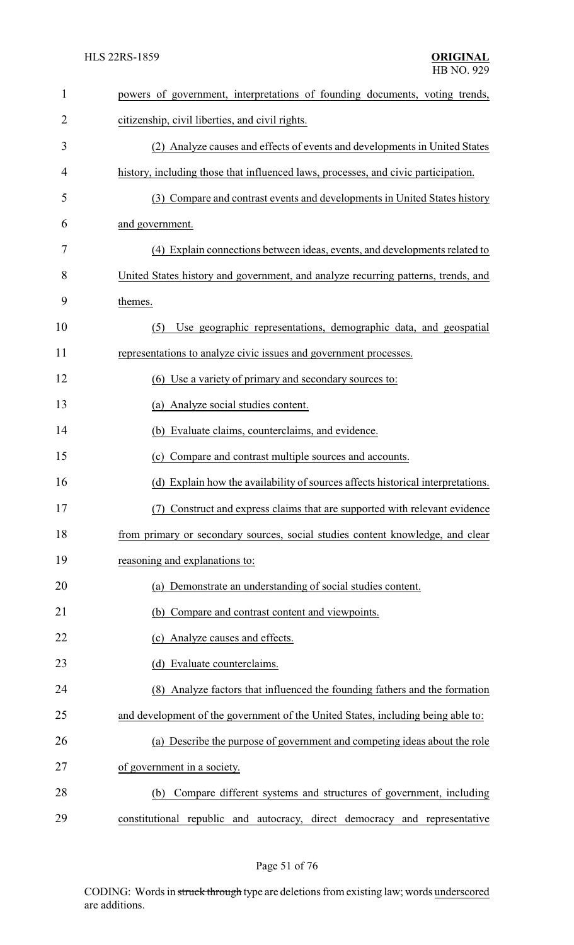| $\mathbf{1}$ | powers of government, interpretations of founding documents, voting trends,        |
|--------------|------------------------------------------------------------------------------------|
| 2            | citizenship, civil liberties, and civil rights.                                    |
| 3            | (2) Analyze causes and effects of events and developments in United States         |
| 4            | history, including those that influenced laws, processes, and civic participation. |
| 5            | (3) Compare and contrast events and developments in United States history          |
| 6            | and government.                                                                    |
| 7            | (4) Explain connections between ideas, events, and developments related to         |
| 8            | United States history and government, and analyze recurring patterns, trends, and  |
| 9            | themes.                                                                            |
| 10           | Use geographic representations, demographic data, and geospatial<br>(5)            |
| 11           | representations to analyze civic issues and government processes.                  |
| 12           | (6) Use a variety of primary and secondary sources to:                             |
| 13           | (a) Analyze social studies content.                                                |
| 14           | (b) Evaluate claims, counterclaims, and evidence.                                  |
| 15           | (c) Compare and contrast multiple sources and accounts.                            |
| 16           | (d) Explain how the availability of sources affects historical interpretations.    |
| 17           | (7) Construct and express claims that are supported with relevant evidence         |
| 18           | from primary or secondary sources, social studies content knowledge, and clear     |
| 19           | reasoning and explanations to:                                                     |
| 20           | (a) Demonstrate an understanding of social studies content.                        |
| 21           | (b) Compare and contrast content and viewpoints.                                   |
| 22           | (c) Analyze causes and effects.                                                    |
| 23           | (d) Evaluate counterclaims.                                                        |
| 24           | (8) Analyze factors that influenced the founding fathers and the formation         |
| 25           | and development of the government of the United States, including being able to:   |
| 26           | (a) Describe the purpose of government and competing ideas about the role          |
| 27           | of government in a society.                                                        |
| 28           | Compare different systems and structures of government, including<br>(b)           |
| 29           | constitutional republic and autocracy, direct democracy and representative         |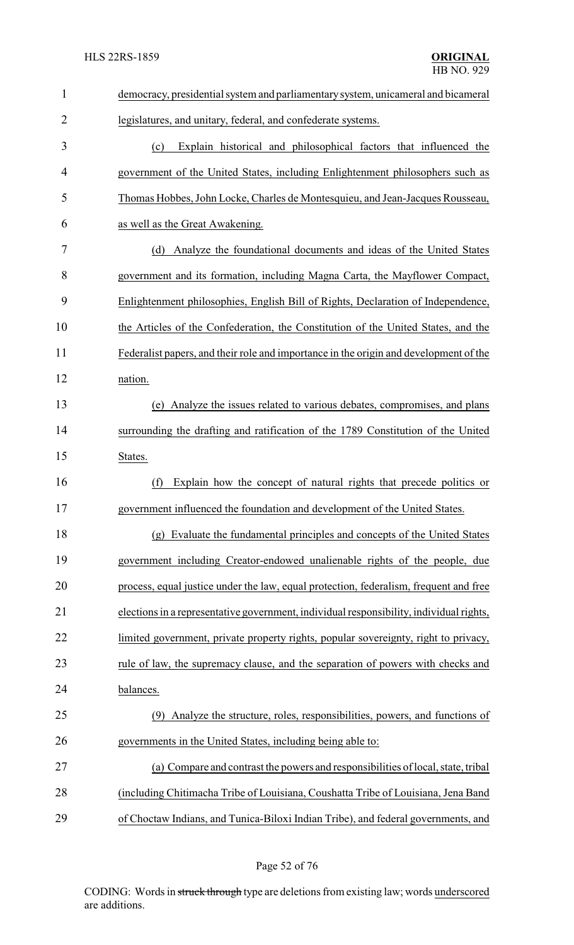| $\mathbf{1}$ | democracy, presidential system and parliamentary system, unicameral and bicameral       |
|--------------|-----------------------------------------------------------------------------------------|
| 2            | legislatures, and unitary, federal, and confederate systems.                            |
| 3            | Explain historical and philosophical factors that influenced the<br>(c)                 |
| 4            | government of the United States, including Enlightenment philosophers such as           |
| 5            | Thomas Hobbes, John Locke, Charles de Montesquieu, and Jean-Jacques Rousseau,           |
| 6            | as well as the Great Awakening.                                                         |
| 7            | Analyze the foundational documents and ideas of the United States<br>(d)                |
| 8            | government and its formation, including Magna Carta, the Mayflower Compact,             |
| 9            | Enlightenment philosophies, English Bill of Rights, Declaration of Independence,        |
| 10           | the Articles of the Confederation, the Constitution of the United States, and the       |
| 11           | Federalist papers, and their role and importance in the origin and development of the   |
| 12           | nation.                                                                                 |
| 13           | (e) Analyze the issues related to various debates, compromises, and plans               |
| 14           | surrounding the drafting and ratification of the 1789 Constitution of the United        |
| 15           | States.                                                                                 |
| 16           | (f)<br>Explain how the concept of natural rights that precede politics or               |
| 17           | government influenced the foundation and development of the United States               |
| 18           | (g) Evaluate the fundamental principles and concepts of the United States               |
| 19           | government including Creator-endowed unalienable rights of the people, due              |
| 20           | process, equal justice under the law, equal protection, federalism, frequent and free   |
| 21           | elections in a representative government, individual responsibility, individual rights, |
| 22           | limited government, private property rights, popular sovereignty, right to privacy,     |
| 23           | rule of law, the supremacy clause, and the separation of powers with checks and         |
| 24           | balances.                                                                               |
| 25           | Analyze the structure, roles, responsibilities, powers, and functions of<br>(9)         |
| 26           | governments in the United States, including being able to:                              |
| 27           | (a) Compare and contrast the powers and responsibilities of local, state, tribal        |
| 28           | (including Chitimacha Tribe of Louisiana, Coushatta Tribe of Louisiana, Jena Band       |
| 29           | of Choctaw Indians, and Tunica-Biloxi Indian Tribe), and federal governments, and       |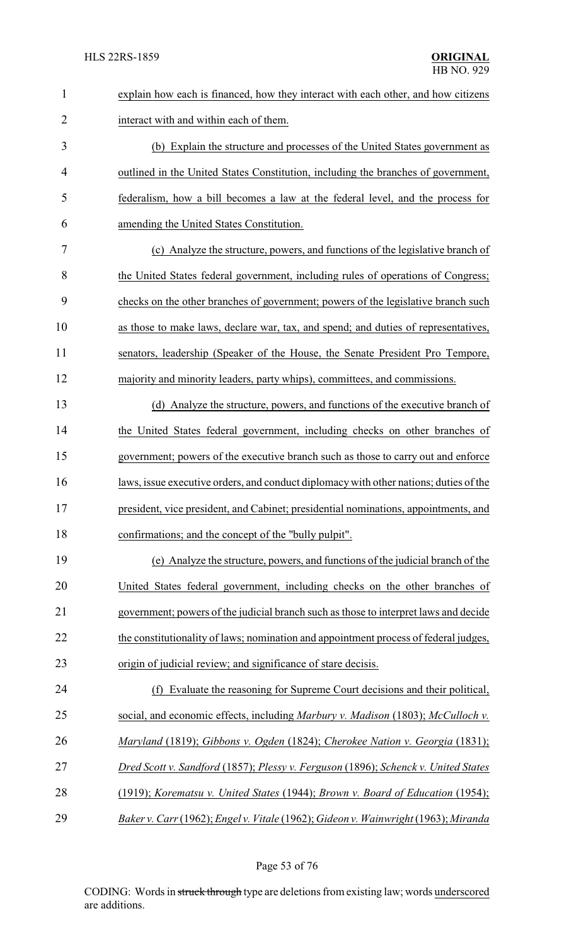| $\mathbf{1}$   | explain how each is financed, how they interact with each other, and how citizens     |
|----------------|---------------------------------------------------------------------------------------|
| $\overline{2}$ | interact with and within each of them.                                                |
| 3              | (b) Explain the structure and processes of the United States government as            |
| $\overline{4}$ | outlined in the United States Constitution, including the branches of government,     |
| 5              | federalism, how a bill becomes a law at the federal level, and the process for        |
| 6              | amending the United States Constitution.                                              |
| 7              | (c) Analyze the structure, powers, and functions of the legislative branch of         |
| 8              | the United States federal government, including rules of operations of Congress;      |
| 9              | checks on the other branches of government; powers of the legislative branch such     |
| 10             | as those to make laws, declare war, tax, and spend; and duties of representatives,    |
| 11             | senators, leadership (Speaker of the House, the Senate President Pro Tempore,         |
| 12             | majority and minority leaders, party whips), committees, and commissions.             |
| 13             | (d) Analyze the structure, powers, and functions of the executive branch of           |
| 14             | the United States federal government, including checks on other branches of           |
| 15             | government; powers of the executive branch such as those to carry out and enforce     |
| 16             | laws, issue executive orders, and conduct diplomacy with other nations; duties of the |
| 17             | president, vice president, and Cabinet; presidential nominations, appointments, and   |
| 18             | confirmations; and the concept of the "bully pulpit".                                 |
| 19             | (e) Analyze the structure, powers, and functions of the judicial branch of the        |
| 20             | United States federal government, including checks on the other branches of           |
| 21             | government; powers of the judicial branch such as those to interpret laws and decide  |
| 22             | the constitutionality of laws; nomination and appointment process of federal judges,  |
| 23             | origin of judicial review; and significance of stare decisis.                         |
| 24             | (f) Evaluate the reasoning for Supreme Court decisions and their political,           |
| 25             | social, and economic effects, including Marbury v. Madison (1803); McCulloch v.       |
| 26             | Maryland (1819); Gibbons v. Ogden (1824); Cherokee Nation v. Georgia (1831);          |
| 27             | Dred Scott v. Sandford (1857); Plessy v. Ferguson (1896); Schenck v. United States    |
| 28             | (1919); Korematsu v. United States (1944); Brown v. Board of Education (1954);        |
| 29             | Baker v. Carr (1962); Engel v. Vitale (1962); Gideon v. Wainwright (1963); Miranda    |

Page 53 of 76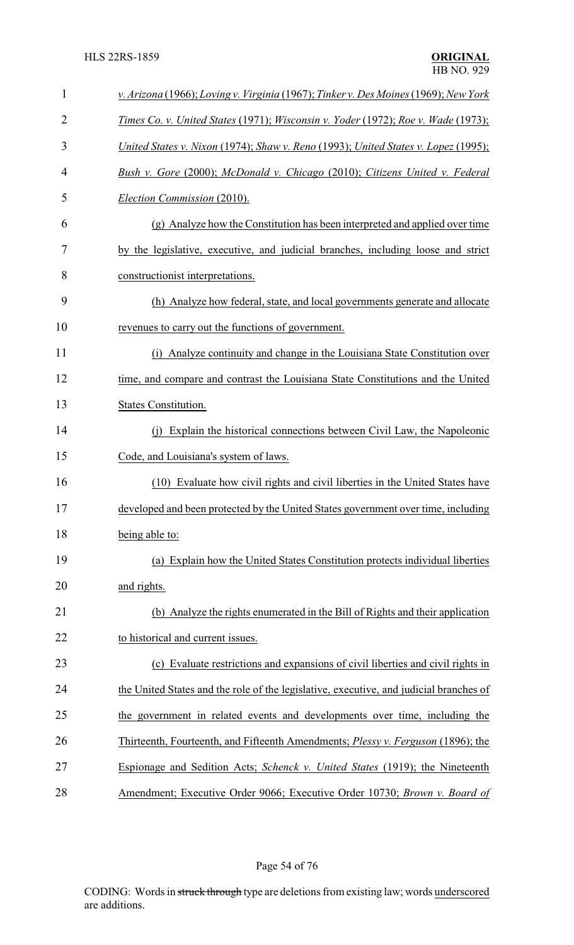| 1              | v. Arizona (1966); Loving v. Virginia (1967); Tinker v. Des Moines (1969); New York     |
|----------------|-----------------------------------------------------------------------------------------|
| $\overline{2}$ | Times Co. v. United States (1971); Wisconsin v. Yoder (1972); Roe v. Wade (1973);       |
| 3              | United States v. Nixon (1974); Shaw v. Reno (1993); United States v. Lopez (1995);      |
| $\overline{4}$ | Bush v. Gore (2000); McDonald v. Chicago (2010); Citizens United v. Federal             |
| 5              | Election Commission (2010).                                                             |
| 6              | (g) Analyze how the Constitution has been interpreted and applied over time             |
| 7              | by the legislative, executive, and judicial branches, including loose and strict        |
| 8              | constructionist interpretations.                                                        |
| 9              | (h) Analyze how federal, state, and local governments generate and allocate             |
| 10             | revenues to carry out the functions of government.                                      |
| 11             | Analyze continuity and change in the Louisiana State Constitution over<br>(1)           |
| 12             | time, and compare and contrast the Louisiana State Constitutions and the United         |
| 13             | States Constitution.                                                                    |
| 14             | Explain the historical connections between Civil Law, the Napoleonic                    |
| 15             | Code, and Louisiana's system of laws.                                                   |
| 16             | (10) Evaluate how civil rights and civil liberties in the United States have            |
| 17             | developed and been protected by the United States government over time, including       |
| 18             | being able to:                                                                          |
| 19             | (a) Explain how the United States Constitution protects individual liberties            |
| 20             | and rights.                                                                             |
| 21             | (b) Analyze the rights enumerated in the Bill of Rights and their application           |
| 22             | to historical and current issues.                                                       |
| 23             | (c) Evaluate restrictions and expansions of civil liberties and civil rights in         |
| 24             | the United States and the role of the legislative, executive, and judicial branches of  |
| 25             | the government in related events and developments over time, including the              |
| 26             | Thirteenth, Fourteenth, and Fifteenth Amendments; <i>Plessy v. Ferguson</i> (1896); the |
| 27             | Espionage and Sedition Acts; Schenck v. United States (1919); the Nineteenth            |
| 28             | Amendment; Executive Order 9066; Executive Order 10730; Brown v. Board of               |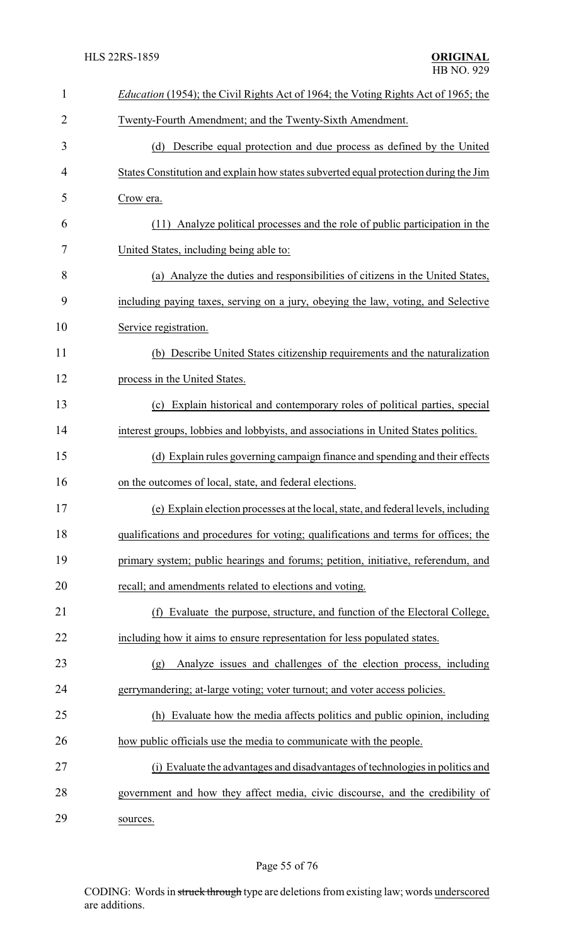| $\mathbf{1}$   | <i>Education</i> (1954); the Civil Rights Act of 1964; the Voting Rights Act of 1965; the |
|----------------|-------------------------------------------------------------------------------------------|
| $\overline{2}$ | Twenty-Fourth Amendment; and the Twenty-Sixth Amendment.                                  |
| 3              | (d) Describe equal protection and due process as defined by the United                    |
| 4              | States Constitution and explain how states subverted equal protection during the Jim      |
| 5              | Crow era.                                                                                 |
| 6              | (11) Analyze political processes and the role of public participation in the              |
| 7              | United States, including being able to:                                                   |
| 8              | (a) Analyze the duties and responsibilities of citizens in the United States,             |
| 9              | including paying taxes, serving on a jury, obeying the law, voting, and Selective         |
| 10             | Service registration.                                                                     |
| 11             | (b) Describe United States citizenship requirements and the naturalization                |
| 12             | process in the United States.                                                             |
| 13             | (c) Explain historical and contemporary roles of political parties, special               |
| 14             | interest groups, lobbies and lobbyists, and associations in United States politics.       |
| 15             | (d) Explain rules governing campaign finance and spending and their effects               |
| 16             | on the outcomes of local, state, and federal elections.                                   |
| 17             | (e) Explain election processes at the local, state, and federal levels, including         |
| 18             | qualifications and procedures for voting; qualifications and terms for offices; the       |
| 19             | primary system; public hearings and forums; petition, initiative, referendum, and         |
| 20             | recall; and amendments related to elections and voting.                                   |
| 21             | Evaluate the purpose, structure, and function of the Electoral College,<br>(f)            |
| 22             | including how it aims to ensure representation for less populated states.                 |
| 23             | Analyze issues and challenges of the election process, including<br>(g)                   |
| 24             | gerrymandering; at-large voting; voter turnout; and voter access policies.                |
| 25             | Evaluate how the media affects politics and public opinion, including<br>(h)              |
| 26             | how public officials use the media to communicate with the people.                        |
| 27             | (i) Evaluate the advantages and disadvantages of technologies in politics and             |
| 28             | government and how they affect media, civic discourse, and the credibility of             |
| 29             | sources.                                                                                  |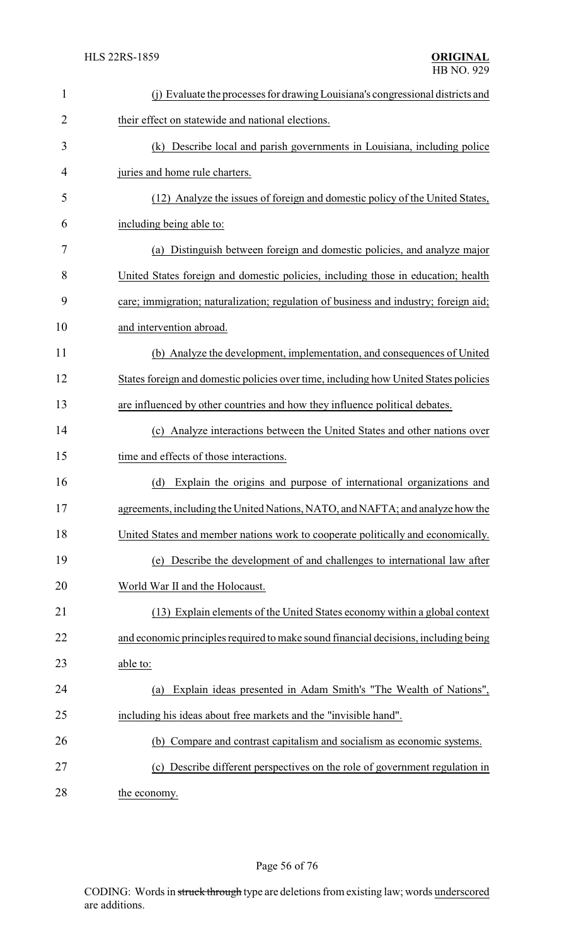| 1  | (i) Evaluate the processes for drawing Louisiana's congressional districts and       |
|----|--------------------------------------------------------------------------------------|
| 2  | their effect on statewide and national elections.                                    |
| 3  | (k) Describe local and parish governments in Louisiana, including police             |
| 4  | juries and home rule charters.                                                       |
| 5  | (12) Analyze the issues of foreign and domestic policy of the United States,         |
| 6  | including being able to:                                                             |
| 7  | (a) Distinguish between foreign and domestic policies, and analyze major             |
| 8  | United States foreign and domestic policies, including those in education; health    |
| 9  | care; immigration; naturalization; regulation of business and industry; foreign aid; |
| 10 | and intervention abroad.                                                             |
| 11 | (b) Analyze the development, implementation, and consequences of United              |
| 12 | States foreign and domestic policies over time, including how United States policies |
| 13 | are influenced by other countries and how they influence political debates.          |
| 14 | (c) Analyze interactions between the United States and other nations over            |
| 15 | time and effects of those interactions.                                              |
| 16 | (d)<br>Explain the origins and purpose of international organizations and            |
| 17 | agreements, including the United Nations, NATO, and NAFTA; and analyze how the       |
| 18 | United States and member nations work to cooperate politically and economically.     |
| 19 | Describe the development of and challenges to international law after<br>(e)         |
| 20 | World War II and the Holocaust.                                                      |
| 21 | (13) Explain elements of the United States economy within a global context           |
| 22 | and economic principles required to make sound financial decisions, including being  |
| 23 | able to:                                                                             |
| 24 | Explain ideas presented in Adam Smith's "The Wealth of Nations",<br>(a)              |
| 25 | including his ideas about free markets and the "invisible hand".                     |
| 26 | (b) Compare and contrast capitalism and socialism as economic systems.               |
| 27 | (c) Describe different perspectives on the role of government regulation in          |
| 28 | the economy.                                                                         |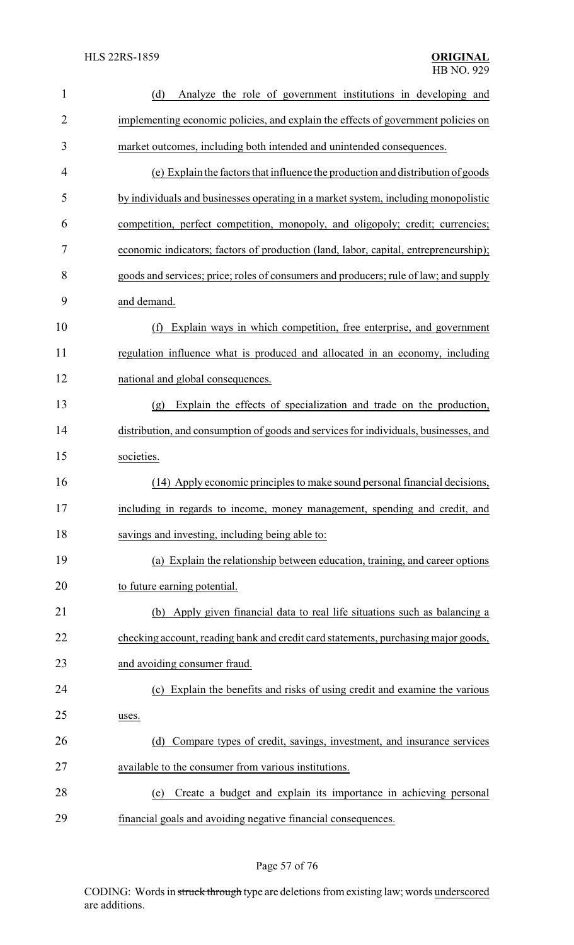| $\mathbf{1}$   | (d)<br>Analyze the role of government institutions in developing and                 |
|----------------|--------------------------------------------------------------------------------------|
| $\overline{2}$ | implementing economic policies, and explain the effects of government policies on    |
| 3              | market outcomes, including both intended and unintended consequences.                |
| 4              | (e) Explain the factors that influence the production and distribution of goods      |
| 5              | by individuals and businesses operating in a market system, including monopolistic   |
| 6              | competition, perfect competition, monopoly, and oligopoly; credit; currencies;       |
| 7              | economic indicators; factors of production (land, labor, capital, entrepreneurship); |
| 8              | goods and services; price; roles of consumers and producers; rule of law; and supply |
| 9              | and demand.                                                                          |
| 10             | Explain ways in which competition, free enterprise, and government<br>(f)            |
| 11             | regulation influence what is produced and allocated in an economy, including         |
| 12             | national and global consequences.                                                    |
| 13             | Explain the effects of specialization and trade on the production,<br>(g)            |
| 14             | distribution, and consumption of goods and services for individuals, businesses, and |
| 15             | societies.                                                                           |
| 16             | (14) Apply economic principles to make sound personal financial decisions,           |
| 17             | including in regards to income, money management, spending and credit, and           |
| 18             | savings and investing, including being able to:                                      |
| 19             | (a) Explain the relationship between education, training, and career options         |
| 20             | to future earning potential.                                                         |
| 21             | (b) Apply given financial data to real life situations such as balancing a           |
| 22             | checking account, reading bank and credit card statements, purchasing major goods,   |
| 23             | and avoiding consumer fraud.                                                         |
| 24             | (c) Explain the benefits and risks of using credit and examine the various           |
| 25             | uses.                                                                                |
| 26             | Compare types of credit, savings, investment, and insurance services<br>(d)          |
| 27             | available to the consumer from various institutions.                                 |
| 28             | Create a budget and explain its importance in achieving personal<br>(e)              |
| 29             | financial goals and avoiding negative financial consequences.                        |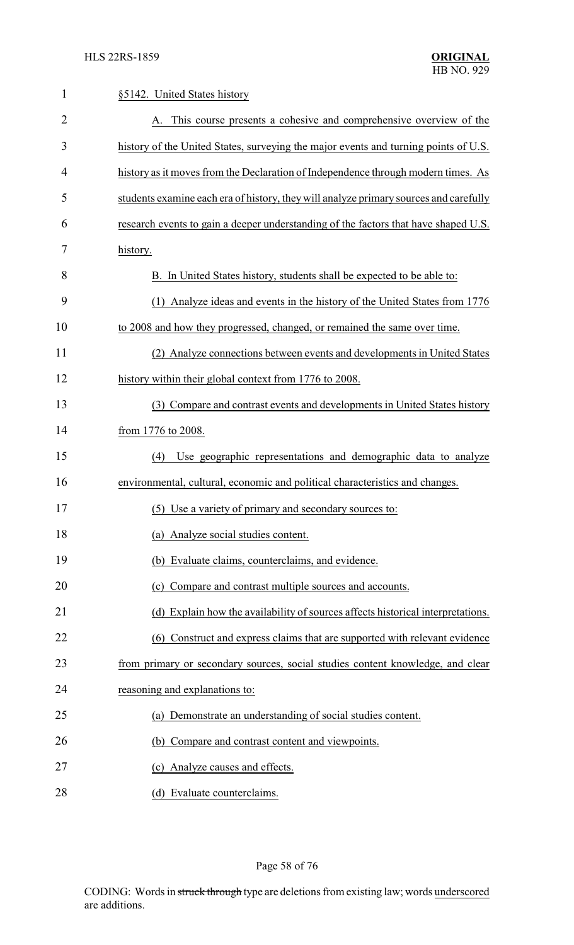| $\mathbf{1}$   | §5142. United States history                                                          |
|----------------|---------------------------------------------------------------------------------------|
| $\overline{2}$ | A. This course presents a cohesive and comprehensive overview of the                  |
| 3              | history of the United States, surveying the major events and turning points of U.S.   |
| 4              | history as it moves from the Declaration of Independence through modern times. As     |
| 5              | students examine each era of history, they will analyze primary sources and carefully |
| 6              | research events to gain a deeper understanding of the factors that have shaped U.S.   |
| 7              | history.                                                                              |
| 8              | B. In United States history, students shall be expected to be able to:                |
| 9              | (1) Analyze ideas and events in the history of the United States from 1776            |
| 10             | to 2008 and how they progressed, changed, or remained the same over time.             |
| 11             | (2) Analyze connections between events and developments in United States              |
| 12             | history within their global context from 1776 to 2008.                                |
| 13             | (3) Compare and contrast events and developments in United States history             |
| 14             | from 1776 to 2008.                                                                    |
| 15             | Use geographic representations and demographic data to analyze<br>(4)                 |
| 16             | environmental, cultural, economic and political characteristics and changes.          |
| 17             | (5) Use a variety of primary and secondary sources to:                                |
| 18             | (a) Analyze social studies content.                                                   |
| 19             | (b) Evaluate claims, counterclaims, and evidence.                                     |
| 20             | (c) Compare and contrast multiple sources and accounts.                               |
| 21             | (d) Explain how the availability of sources affects historical interpretations.       |
| 22             | Construct and express claims that are supported with relevant evidence<br>(6)         |
| 23             | from primary or secondary sources, social studies content knowledge, and clear        |
| 24             | reasoning and explanations to:                                                        |
| 25             | (a) Demonstrate an understanding of social studies content.                           |
| 26             | (b) Compare and contrast content and viewpoints.                                      |
| 27             | (c) Analyze causes and effects.                                                       |
| 28             | (d) Evaluate counterclaims.                                                           |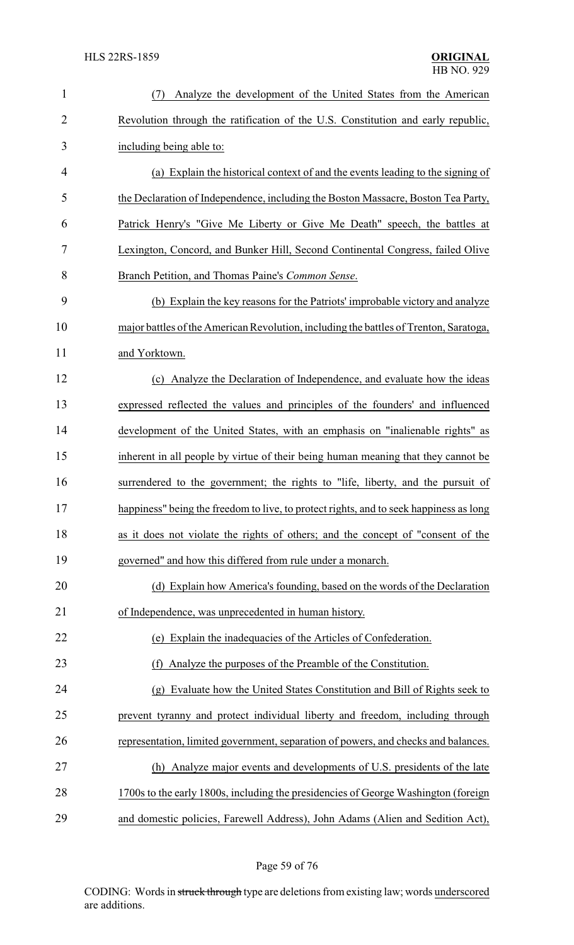| $\mathbf{1}$   | Analyze the development of the United States from the American<br>(7)                  |
|----------------|----------------------------------------------------------------------------------------|
| $\overline{2}$ | Revolution through the ratification of the U.S. Constitution and early republic,       |
| 3              | including being able to:                                                               |
| 4              | (a) Explain the historical context of and the events leading to the signing of         |
| 5              | the Declaration of Independence, including the Boston Massacre, Boston Tea Party,      |
| 6              | Patrick Henry's "Give Me Liberty or Give Me Death" speech, the battles at              |
| 7              | Lexington, Concord, and Bunker Hill, Second Continental Congress, failed Olive         |
| 8              | Branch Petition, and Thomas Paine's Common Sense.                                      |
| 9              | (b) Explain the key reasons for the Patriots' improbable victory and analyze           |
| 10             | major battles of the American Revolution, including the battles of Trenton, Saratoga,  |
| 11             | and Yorktown.                                                                          |
| 12             | (c) Analyze the Declaration of Independence, and evaluate how the ideas                |
| 13             | expressed reflected the values and principles of the founders' and influenced          |
| 14             | development of the United States, with an emphasis on "inalienable rights" as          |
| 15             | inherent in all people by virtue of their being human meaning that they cannot be      |
| 16             | surrendered to the government; the rights to "life, liberty, and the pursuit of        |
| 17             | happiness" being the freedom to live, to protect rights, and to seek happiness as long |
| 18             | as it does not violate the rights of others; and the concept of "consent of the        |
| 19             | governed" and how this differed from rule under a monarch.                             |
| 20             | (d) Explain how America's founding, based on the words of the Declaration              |
| 21             | of Independence, was unprecedented in human history.                                   |
| 22             | (e) Explain the inadequacies of the Articles of Confederation.                         |
| 23             | Analyze the purposes of the Preamble of the Constitution.<br>(f)                       |
| 24             | Evaluate how the United States Constitution and Bill of Rights seek to<br>(g)          |
| 25             | prevent tyranny and protect individual liberty and freedom, including through          |
| 26             | representation, limited government, separation of powers, and checks and balances.     |
| 27             | (h) Analyze major events and developments of U.S. presidents of the late               |
| 28             | 1700s to the early 1800s, including the presidencies of George Washington (foreign     |
| 29             | and domestic policies, Farewell Address), John Adams (Alien and Sedition Act),         |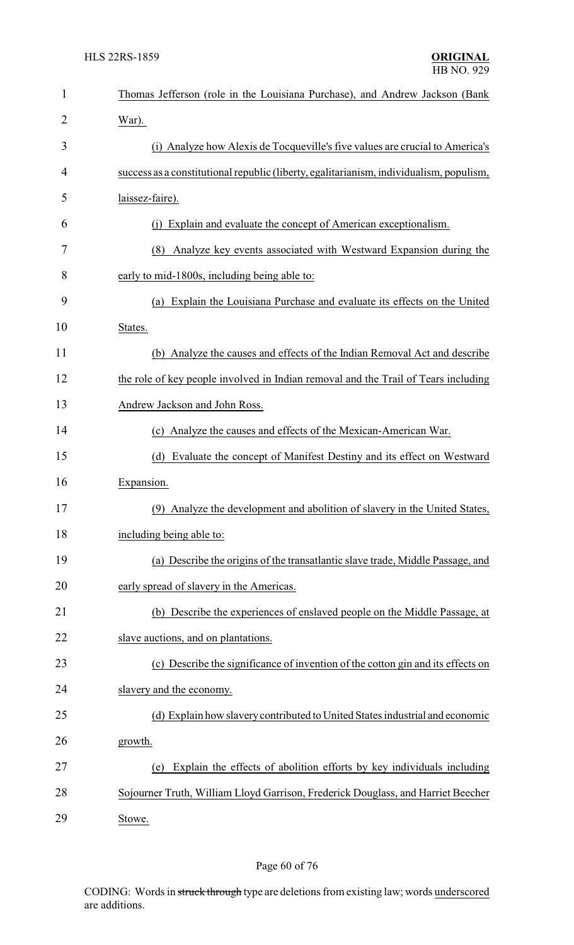| 1              | Thomas Jefferson (role in the Louisiana Purchase), and Andrew Jackson (Bank             |
|----------------|-----------------------------------------------------------------------------------------|
| $\overline{2}$ | War).                                                                                   |
| 3              | (i) Analyze how Alexis de Tocqueville's five values are crucial to America's            |
| 4              | success as a constitutional republic (liberty, egalitarianism, individualism, populism, |
| 5              | laissez-faire).                                                                         |
| 6              | Explain and evaluate the concept of American exceptionalism.<br>(i)                     |
| 7              | Analyze key events associated with Westward Expansion during the<br>(8)                 |
| 8              | early to mid-1800s, including being able to:                                            |
| 9              | (a) Explain the Louisiana Purchase and evaluate its effects on the United               |
| 10             | States.                                                                                 |
| 11             | (b) Analyze the causes and effects of the Indian Removal Act and describe               |
| 12             | the role of key people involved in Indian removal and the Trail of Tears including      |
| 13             | Andrew Jackson and John Ross.                                                           |
| 14             | (c) Analyze the causes and effects of the Mexican-American War.                         |
| 15             | Evaluate the concept of Manifest Destiny and its effect on Westward<br>(d)              |
| 16             | Expansion.                                                                              |
| 17             | (9) Analyze the development and abolition of slavery in the United States,              |
| 18             | including being able to:                                                                |
| 19             | (a) Describe the origins of the transatlantic slave trade, Middle Passage, and          |
| 20             | early spread of slavery in the Americas.                                                |
| 21             | (b) Describe the experiences of enslaved people on the Middle Passage, at               |
| 22             | slave auctions, and on plantations.                                                     |
| 23             | (c) Describe the significance of invention of the cotton gin and its effects on         |
| 24             | slavery and the economy.                                                                |
| 25             | (d) Explain how slavery contributed to United States industrial and economic            |
| 26             | growth.                                                                                 |
| 27             | Explain the effects of abolition efforts by key individuals including<br>(e)            |
| 28             | Sojourner Truth, William Lloyd Garrison, Frederick Douglass, and Harriet Beecher        |
| 29             | Stowe.                                                                                  |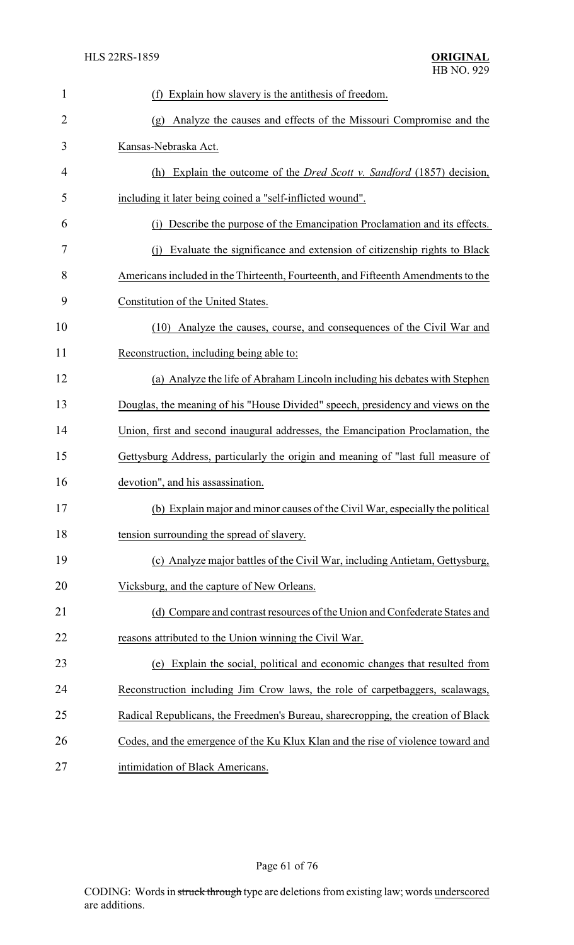| $\mathbf{1}$   | (f) Explain how slavery is the antithesis of freedom.                             |
|----------------|-----------------------------------------------------------------------------------|
| 2              | Analyze the causes and effects of the Missouri Compromise and the<br>(g)          |
| 3              | Kansas-Nebraska Act.                                                              |
| $\overline{4}$ | (h) Explain the outcome of the <i>Dred Scott v. Sandford</i> (1857) decision,     |
| 5              | including it later being coined a "self-inflicted wound".                         |
| 6              | Describe the purpose of the Emancipation Proclamation and its effects.<br>(i)     |
| 7              | Evaluate the significance and extension of citizenship rights to Black<br>(i)     |
| 8              | Americans included in the Thirteenth, Fourteenth, and Fifteenth Amendments to the |
| 9              | Constitution of the United States.                                                |
| 10             | (10) Analyze the causes, course, and consequences of the Civil War and            |
| 11             | Reconstruction, including being able to:                                          |
| 12             | (a) Analyze the life of Abraham Lincoln including his debates with Stephen        |
| 13             | Douglas, the meaning of his "House Divided" speech, presidency and views on the   |
| 14             | Union, first and second inaugural addresses, the Emancipation Proclamation, the   |
| 15             | Gettysburg Address, particularly the origin and meaning of "last full measure of  |
| 16             | devotion", and his assassination.                                                 |
| 17             | (b) Explain major and minor causes of the Civil War, especially the political     |
| 18             | tension surrounding the spread of slavery.                                        |
| 19             | (c) Analyze major battles of the Civil War, including Antietam, Gettysburg,       |
| 20             | Vicksburg, and the capture of New Orleans.                                        |
| 21             | (d) Compare and contrast resources of the Union and Confederate States and        |
| 22             | reasons attributed to the Union winning the Civil War.                            |
| 23             | (e) Explain the social, political and economic changes that resulted from         |
| 24             | Reconstruction including Jim Crow laws, the role of carpetbaggers, scalawags,     |
| 25             | Radical Republicans, the Freedmen's Bureau, sharecropping, the creation of Black  |
| 26             | Codes, and the emergence of the Ku Klux Klan and the rise of violence toward and  |
| 27             | intimidation of Black Americans.                                                  |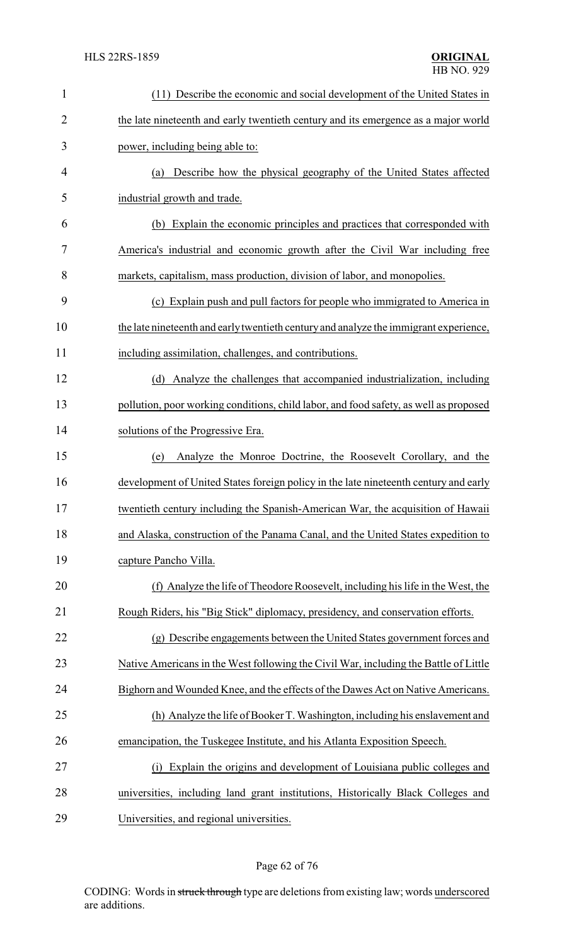| $\mathbf{1}$ | (11) Describe the economic and social development of the United States in             |
|--------------|---------------------------------------------------------------------------------------|
| 2            | the late nineteenth and early twentieth century and its emergence as a major world    |
| 3            | power, including being able to:                                                       |
| 4            | Describe how the physical geography of the United States affected<br>(a)              |
| 5            | industrial growth and trade.                                                          |
| 6            | (b) Explain the economic principles and practices that corresponded with              |
| 7            | America's industrial and economic growth after the Civil War including free           |
| 8            | markets, capitalism, mass production, division of labor, and monopolies.              |
| 9            | (c) Explain push and pull factors for people who immigrated to America in             |
| 10           | the late nineteenth and early twentieth century and analyze the immigrant experience, |
| 11           | including assimilation, challenges, and contributions.                                |
| 12           | (d) Analyze the challenges that accompanied industrialization, including              |
| 13           | pollution, poor working conditions, child labor, and food safety, as well as proposed |
| 14           | solutions of the Progressive Era.                                                     |
| 15           | Analyze the Monroe Doctrine, the Roosevelt Corollary, and the<br>(e)                  |
| 16           | development of United States foreign policy in the late nineteenth century and early  |
| 17           | twentieth century including the Spanish-American War, the acquisition of Hawaii       |
| 18           | and Alaska, construction of the Panama Canal, and the United States expedition to     |
| 19           | capture Pancho Villa.                                                                 |
| 20           | (f) Analyze the life of Theodore Roosevelt, including his life in the West, the       |
| 21           | Rough Riders, his "Big Stick" diplomacy, presidency, and conservation efforts.        |
| 22           | (g) Describe engagements between the United States government forces and              |
| 23           | Native Americans in the West following the Civil War, including the Battle of Little  |
| 24           | Bighorn and Wounded Knee, and the effects of the Dawes Act on Native Americans.       |
| 25           | (h) Analyze the life of Booker T. Washington, including his enslavement and           |
| 26           | emancipation, the Tuskegee Institute, and his Atlanta Exposition Speech.              |
| 27           | Explain the origins and development of Louisiana public colleges and<br>(i)           |
| 28           | universities, including land grant institutions, Historically Black Colleges and      |
| 29           | Universities, and regional universities.                                              |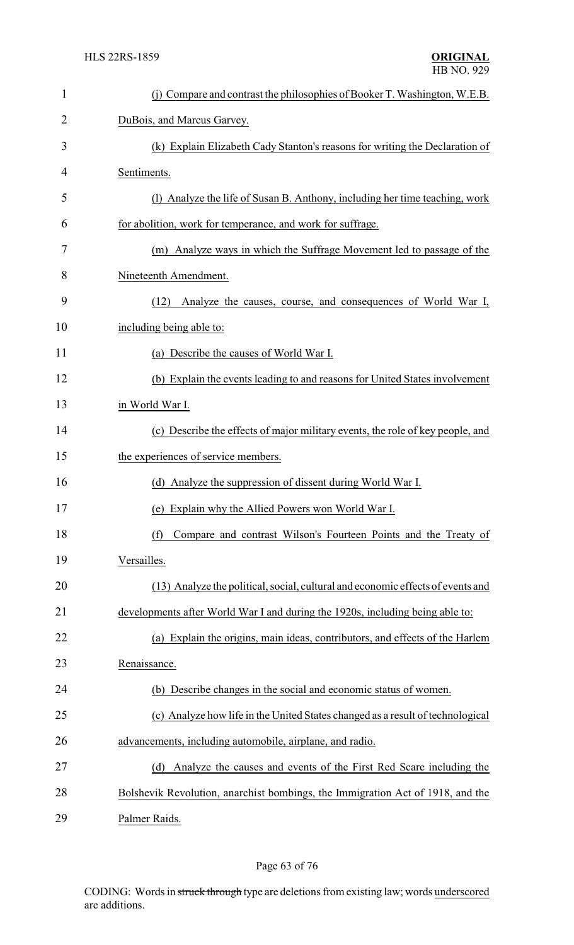| $\mathbf{1}$   | (i) Compare and contrast the philosophies of Booker T. Washington, W.E.B.       |
|----------------|---------------------------------------------------------------------------------|
| $\overline{2}$ | DuBois, and Marcus Garvey.                                                      |
| 3              | (k) Explain Elizabeth Cady Stanton's reasons for writing the Declaration of     |
| 4              | Sentiments.                                                                     |
| 5              | (1) Analyze the life of Susan B. Anthony, including her time teaching, work     |
| 6              | for abolition, work for temperance, and work for suffrage.                      |
| 7              | (m) Analyze ways in which the Suffrage Movement led to passage of the           |
| 8              | Nineteenth Amendment.                                                           |
| 9              | Analyze the causes, course, and consequences of World War I,<br>(12)            |
| 10             | including being able to:                                                        |
| 11             | (a) Describe the causes of World War I.                                         |
| 12             | (b) Explain the events leading to and reasons for United States involvement     |
| 13             | in World War I.                                                                 |
| 14             | (c) Describe the effects of major military events, the role of key people, and  |
| 15             | the experiences of service members.                                             |
| 16             | (d) Analyze the suppression of dissent during World War I.                      |
| 17             | (e) Explain why the Allied Powers won World War I.                              |
| 18             | Compare and contrast Wilson's Fourteen Points and the Treaty of<br>(f)          |
| 19             | Versailles.                                                                     |
| 20             | (13) Analyze the political, social, cultural and economic effects of events and |
| 21             | developments after World War I and during the 1920s, including being able to:   |
| 22             | (a) Explain the origins, main ideas, contributors, and effects of the Harlem    |
| 23             | Renaissance.                                                                    |
| 24             | (b) Describe changes in the social and economic status of women.                |
| 25             | (c) Analyze how life in the United States changed as a result of technological  |
| 26             | advancements, including automobile, airplane, and radio.                        |
| 27             | Analyze the causes and events of the First Red Scare including the<br>(d)       |
| 28             | Bolshevik Revolution, anarchist bombings, the Immigration Act of 1918, and the  |
| 29             | Palmer Raids.                                                                   |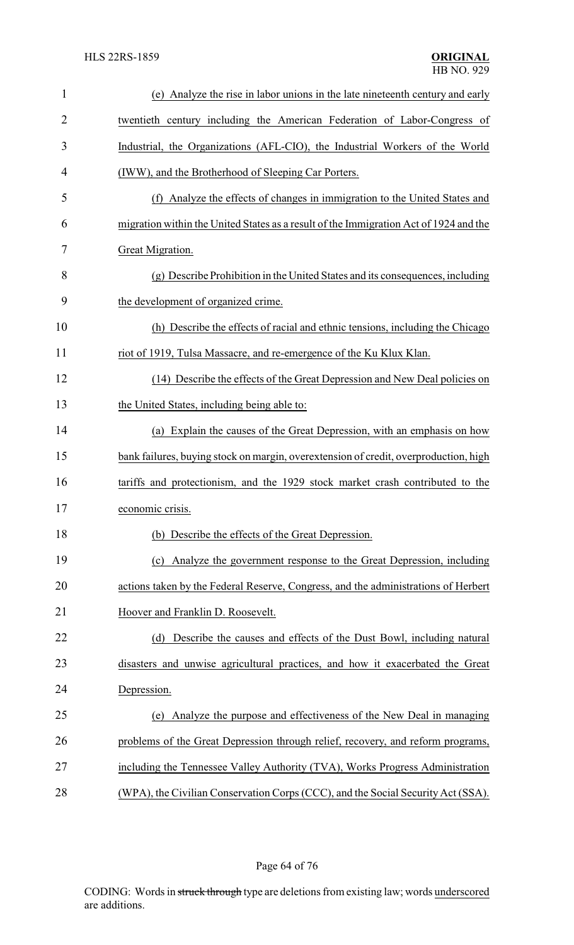| $\mathbf{1}$   | (e) Analyze the rise in labor unions in the late nineteenth century and early         |
|----------------|---------------------------------------------------------------------------------------|
| $\overline{2}$ | twentieth century including the American Federation of Labor-Congress of              |
| 3              | Industrial, the Organizations (AFL-CIO), the Industrial Workers of the World          |
| 4              | (IWW), and the Brotherhood of Sleeping Car Porters.                                   |
| 5              | (f) Analyze the effects of changes in immigration to the United States and            |
| 6              | migration within the United States as a result of the Immigration Act of 1924 and the |
| 7              | Great Migration.                                                                      |
| 8              | (g) Describe Prohibition in the United States and its consequences, including         |
| 9              | the development of organized crime.                                                   |
| 10             | (h) Describe the effects of racial and ethnic tensions, including the Chicago         |
| 11             | riot of 1919, Tulsa Massacre, and re-emergence of the Ku Klux Klan.                   |
| 12             | (14) Describe the effects of the Great Depression and New Deal policies on            |
| 13             | the United States, including being able to:                                           |
| 14             | (a) Explain the causes of the Great Depression, with an emphasis on how               |
| 15             | bank failures, buying stock on margin, overextension of credit, overproduction, high  |
| 16             | tariffs and protectionism, and the 1929 stock market crash contributed to the         |
| 17             | economic crisis.                                                                      |
| 18             | (b) Describe the effects of the Great Depression.                                     |
| 19             | (c) Analyze the government response to the Great Depression, including                |
| 20             | actions taken by the Federal Reserve, Congress, and the administrations of Herbert    |
| 21             | Hoover and Franklin D. Roosevelt.                                                     |
| 22             | (d) Describe the causes and effects of the Dust Bowl, including natural               |
| 23             | disasters and unwise agricultural practices, and how it exacerbated the Great         |
| 24             | Depression.                                                                           |
| 25             | (e) Analyze the purpose and effectiveness of the New Deal in managing                 |
| 26             | problems of the Great Depression through relief, recovery, and reform programs,       |
| 27             | including the Tennessee Valley Authority (TVA), Works Progress Administration         |
| 28             | (WPA), the Civilian Conservation Corps (CCC), and the Social Security Act (SSA).      |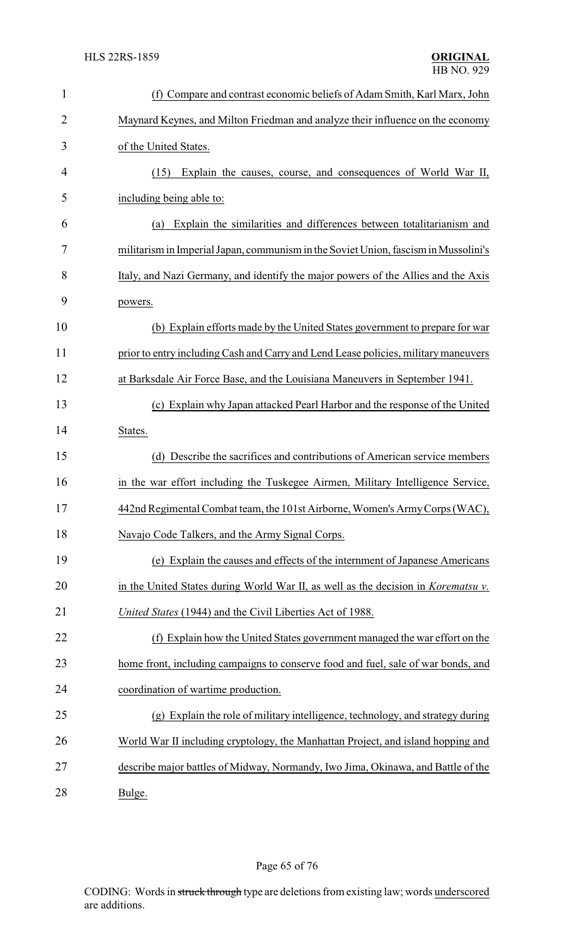| $\mathbf{1}$   | (f) Compare and contrast economic beliefs of Adam Smith, Karl Marx, John            |
|----------------|-------------------------------------------------------------------------------------|
| $\overline{c}$ | Maynard Keynes, and Milton Friedman and analyze their influence on the economy      |
| 3              | of the United States.                                                               |
| 4              | (15)<br>Explain the causes, course, and consequences of World War II,               |
| 5              | including being able to:                                                            |
| 6              | Explain the similarities and differences between totalitarianism and<br>(a)         |
| 7              | militarism in Imperial Japan, communism in the Soviet Union, fascism in Mussolini's |
| 8              | Italy, and Nazi Germany, and identify the major powers of the Allies and the Axis   |
| 9              | powers.                                                                             |
| 10             | (b) Explain efforts made by the United States government to prepare for war         |
| 11             | prior to entry including Cash and Carry and Lend Lease policies, military maneuvers |
| 12             | at Barksdale Air Force Base, and the Louisiana Maneuvers in September 1941.         |
| 13             | (c) Explain why Japan attacked Pearl Harbor and the response of the United          |
| 14             | States.                                                                             |
| 15             | (d) Describe the sacrifices and contributions of American service members           |
| 16             | in the war effort including the Tuskegee Airmen, Military Intelligence Service,     |
| 17             | 442nd Regimental Combat team, the 101st Airborne, Women's Army Corps (WAC),         |
| 18             | Navajo Code Talkers, and the Army Signal Corps.                                     |
| 19             | (e) Explain the causes and effects of the internment of Japanese Americans          |
| 20             | in the United States during World War II, as well as the decision in Korematsu v.   |
| 21             | United States (1944) and the Civil Liberties Act of 1988.                           |
| 22             | (f) Explain how the United States government managed the war effort on the          |
| 23             | home front, including campaigns to conserve food and fuel, sale of war bonds, and   |
| 24             | coordination of wartime production.                                                 |
| 25             | (g) Explain the role of military intelligence, technology, and strategy during      |
| 26             | World War II including cryptology, the Manhattan Project, and island hopping and    |
| 27             | describe major battles of Midway, Normandy, Iwo Jima, Okinawa, and Battle of the    |
| 28             | Bulge.                                                                              |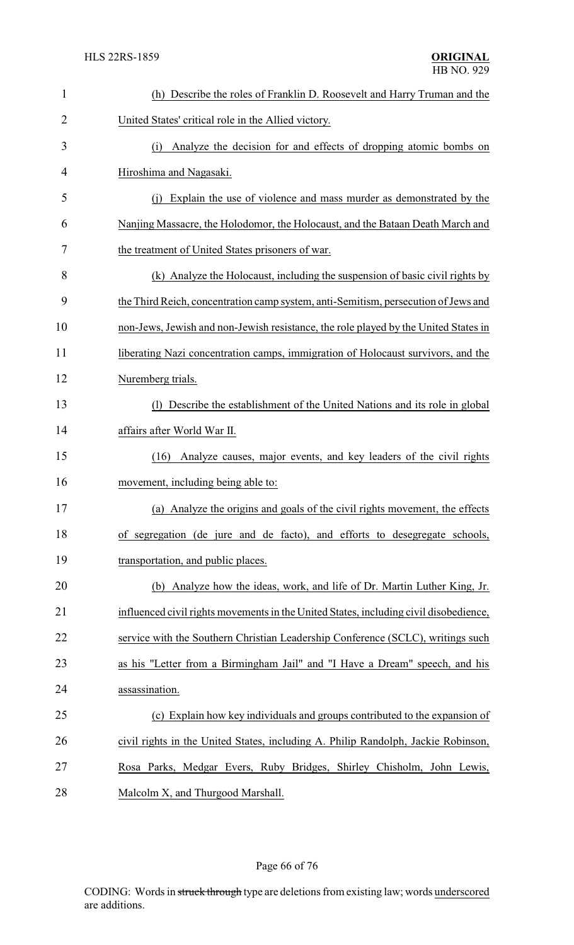| $\mathbf{1}$ | (h) Describe the roles of Franklin D. Roosevelt and Harry Truman and the              |
|--------------|---------------------------------------------------------------------------------------|
| 2            | United States' critical role in the Allied victory.                                   |
| 3            | Analyze the decision for and effects of dropping atomic bombs on<br>(i)               |
| 4            | Hiroshima and Nagasaki.                                                               |
| 5            | Explain the use of violence and mass murder as demonstrated by the<br>(i)             |
| 6            | Nanjing Massacre, the Holodomor, the Holocaust, and the Bataan Death March and        |
| 7            | the treatment of United States prisoners of war.                                      |
| 8            | (k) Analyze the Holocaust, including the suspension of basic civil rights by          |
| 9            | the Third Reich, concentration camp system, anti-Semitism, persecution of Jews and    |
| 10           | non-Jews, Jewish and non-Jewish resistance, the role played by the United States in   |
| 11           | liberating Nazi concentration camps, immigration of Holocaust survivors, and the      |
| 12           | Nuremberg trials.                                                                     |
| 13           | Describe the establishment of the United Nations and its role in global<br>(1)        |
| 14           | affairs after World War II.                                                           |
| 15           | Analyze causes, major events, and key leaders of the civil rights<br>(16)             |
| 16           | movement, including being able to:                                                    |
| 17           | (a) Analyze the origins and goals of the civil rights movement, the effects           |
| 18           | of segregation (de jure and de facto), and efforts to desegregate schools,            |
| 19           | transportation, and public places.                                                    |
| 20           | (b) Analyze how the ideas, work, and life of Dr. Martin Luther King, Jr.              |
| 21           | influenced civil rights movements in the United States, including civil disobedience, |
| 22           | service with the Southern Christian Leadership Conference (SCLC), writings such       |
| 23           | as his "Letter from a Birmingham Jail" and "I Have a Dream" speech, and his           |
| 24           | assassination.                                                                        |
| 25           | (c) Explain how key individuals and groups contributed to the expansion of            |
| 26           | civil rights in the United States, including A. Philip Randolph, Jackie Robinson,     |
| 27           | Rosa Parks, Medgar Evers, Ruby Bridges, Shirley Chisholm, John Lewis,                 |
| 28           | Malcolm X, and Thurgood Marshall.                                                     |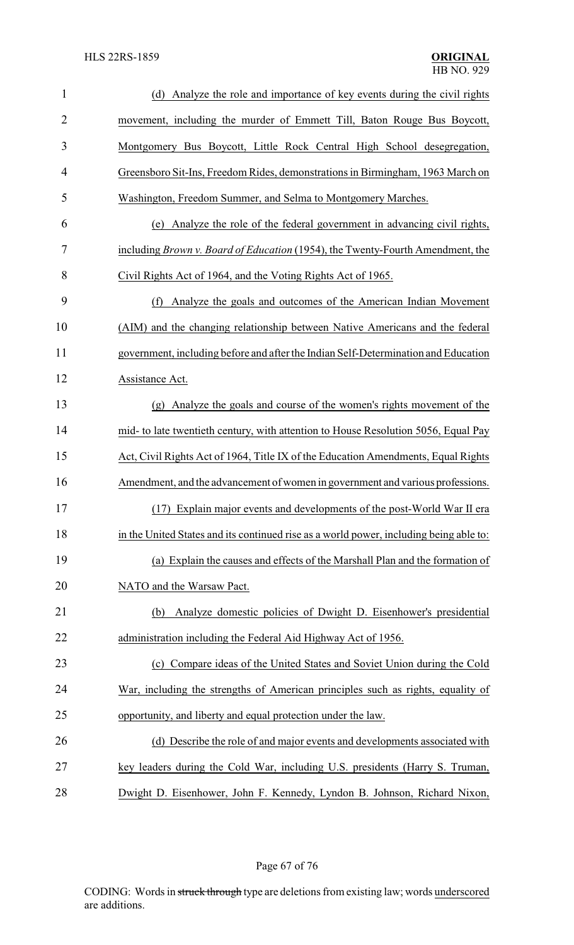| $\mathbf{1}$   | Analyze the role and importance of key events during the civil rights<br>(d)           |
|----------------|----------------------------------------------------------------------------------------|
| $\overline{2}$ | movement, including the murder of Emmett Till, Baton Rouge Bus Boycott,                |
| 3              | Montgomery Bus Boycott, Little Rock Central High School desegregation,                 |
| 4              | Greensboro Sit-Ins, Freedom Rides, demonstrations in Birmingham, 1963 March on         |
| 5              | Washington, Freedom Summer, and Selma to Montgomery Marches.                           |
| 6              | (e) Analyze the role of the federal government in advancing civil rights,              |
| 7              | including Brown v. Board of Education (1954), the Twenty-Fourth Amendment, the         |
| 8              | Civil Rights Act of 1964, and the Voting Rights Act of 1965.                           |
| 9              | Analyze the goals and outcomes of the American Indian Movement<br>(f)                  |
| 10             | (AIM) and the changing relationship between Native Americans and the federal           |
| 11             | government, including before and after the Indian Self-Determination and Education     |
| 12             | Assistance Act.                                                                        |
| 13             | Analyze the goals and course of the women's rights movement of the<br>(g)              |
| 14             | mid- to late twentieth century, with attention to House Resolution 5056, Equal Pay     |
| 15             | Act, Civil Rights Act of 1964, Title IX of the Education Amendments, Equal Rights      |
| 16             | Amendment, and the advancement of women in government and various professions.         |
| 17             | (17) Explain major events and developments of the post-World War II era                |
| 18             | in the United States and its continued rise as a world power, including being able to: |
| 19             | (a) Explain the causes and effects of the Marshall Plan and the formation of           |
| 20             | NATO and the Warsaw Pact.                                                              |
| 21             | Analyze domestic policies of Dwight D. Eisenhower's presidential<br>(b)                |
| 22             | administration including the Federal Aid Highway Act of 1956.                          |
| 23             | (c) Compare ideas of the United States and Soviet Union during the Cold                |
| 24             | War, including the strengths of American principles such as rights, equality of        |
| 25             | opportunity, and liberty and equal protection under the law.                           |
| 26             | (d) Describe the role of and major events and developments associated with             |
| 27             | key leaders during the Cold War, including U.S. presidents (Harry S. Truman,           |
| 28             | Dwight D. Eisenhower, John F. Kennedy, Lyndon B. Johnson, Richard Nixon,               |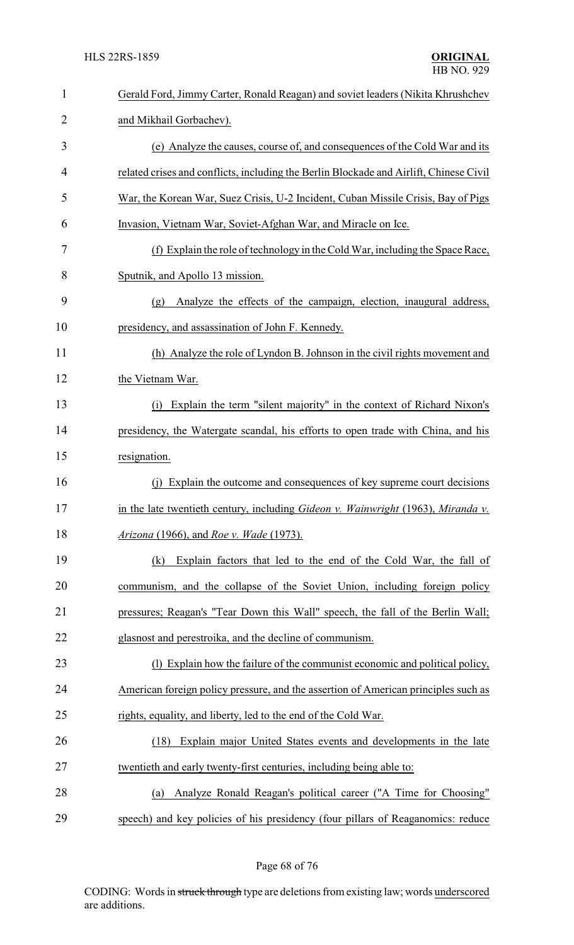| $\mathbf{1}$   | Gerald Ford, Jimmy Carter, Ronald Reagan) and soviet leaders (Nikita Khrushchev                |
|----------------|------------------------------------------------------------------------------------------------|
| $\overline{2}$ | and Mikhail Gorbachev).                                                                        |
| 3              | (e) Analyze the causes, course of, and consequences of the Cold War and its                    |
| 4              | related crises and conflicts, including the Berlin Blockade and Airlift, Chinese Civil         |
| 5              | War, the Korean War, Suez Crisis, U-2 Incident, Cuban Missile Crisis, Bay of Pigs              |
| 6              | Invasion, Vietnam War, Soviet-Afghan War, and Miracle on Ice.                                  |
| 7              | (f) Explain the role of technology in the Cold War, including the Space Race,                  |
| 8              | Sputnik, and Apollo 13 mission.                                                                |
| 9              | Analyze the effects of the campaign, election, inaugural address,<br>(g)                       |
| 10             | presidency, and assassination of John F. Kennedy.                                              |
| 11             | (h) Analyze the role of Lyndon B. Johnson in the civil rights movement and                     |
| 12             | the Vietnam War.                                                                               |
| 13             | Explain the term "silent majority" in the context of Richard Nixon's<br>(i)                    |
| 14             | presidency, the Watergate scandal, his efforts to open trade with China, and his               |
| 15             | resignation.                                                                                   |
| 16             | Explain the outcome and consequences of key supreme court decisions<br>(i)                     |
| 17             | in the late twentieth century, including <i>Gideon v. Wainwright</i> (1963), <i>Miranda v.</i> |
| 18             | <i>Arizona</i> (1966), and <i>Roe v. Wade</i> (1973).                                          |
| 19             | Explain factors that led to the end of the Cold War, the fall of<br>(k)                        |
| 20             | communism, and the collapse of the Soviet Union, including foreign policy                      |
| 21             | pressures; Reagan's "Tear Down this Wall" speech, the fall of the Berlin Wall;                 |
| 22             | glasnost and perestroika, and the decline of communism.                                        |
| 23             | (1) Explain how the failure of the communist economic and political policy,                    |
| 24             | American foreign policy pressure, and the assertion of American principles such as             |
| 25             | rights, equality, and liberty, led to the end of the Cold War.                                 |
| 26             | Explain major United States events and developments in the late<br>(18)                        |
| 27             | twentieth and early twenty-first centuries, including being able to:                           |
| 28             | Analyze Ronald Reagan's political career ("A Time for Choosing"<br>(a)                         |
| 29             | speech) and key policies of his presidency (four pillars of Reaganomics: reduce                |

Page 68 of 76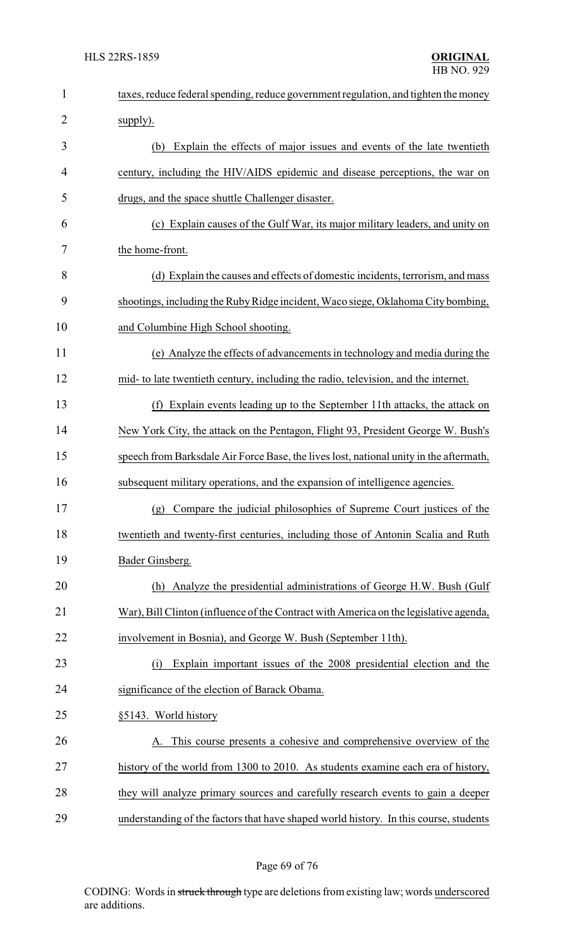| $\mathbf{1}$   | taxes, reduce federal spending, reduce government regulation, and tighten the money    |
|----------------|----------------------------------------------------------------------------------------|
| $\overline{2}$ | supply).                                                                               |
| 3              | Explain the effects of major issues and events of the late twentieth<br>(b)            |
| $\overline{4}$ | century, including the HIV/AIDS epidemic and disease perceptions, the war on           |
| 5              | drugs, and the space shuttle Challenger disaster.                                      |
| 6              | (c) Explain causes of the Gulf War, its major military leaders, and unity on           |
| 7              | the home-front.                                                                        |
| 8              | (d) Explain the causes and effects of domestic incidents, terrorism, and mass          |
| 9              | shootings, including the Ruby Ridge incident, Waco siege, Oklahoma City bombing,       |
| 10             | and Columbine High School shooting.                                                    |
| 11             | (e) Analyze the effects of advancements in technology and media during the             |
| 12             | mid- to late twentieth century, including the radio, television, and the internet.     |
| 13             | Explain events leading up to the September 11th attacks, the attack on<br>(f)          |
| 14             | New York City, the attack on the Pentagon, Flight 93, President George W. Bush's       |
| 15             | speech from Barksdale Air Force Base, the lives lost, national unity in the aftermath, |
| 16             | subsequent military operations, and the expansion of intelligence agencies.            |
| 17             | (g) Compare the judicial philosophies of Supreme Court justices of the                 |
| 18             | twentieth and twenty-first centuries, including those of Antonin Scalia and Ruth       |
| 19             | Bader Ginsberg.                                                                        |
| 20             | Analyze the presidential administrations of George H.W. Bush (Gulf<br>(h)              |
| 21             | War), Bill Clinton (influence of the Contract with America on the legislative agenda,  |
| 22             | involvement in Bosnia), and George W. Bush (September 11th).                           |
| 23             | Explain important issues of the 2008 presidential election and the<br>(i)              |
| 24             | significance of the election of Barack Obama.                                          |
| 25             | §5143. World history                                                                   |
| 26             | A. This course presents a cohesive and comprehensive overview of the                   |
| 27             | history of the world from 1300 to 2010. As students examine each era of history,       |
| 28             | they will analyze primary sources and carefully research events to gain a deeper       |
| 29             | understanding of the factors that have shaped world history. In this course, students  |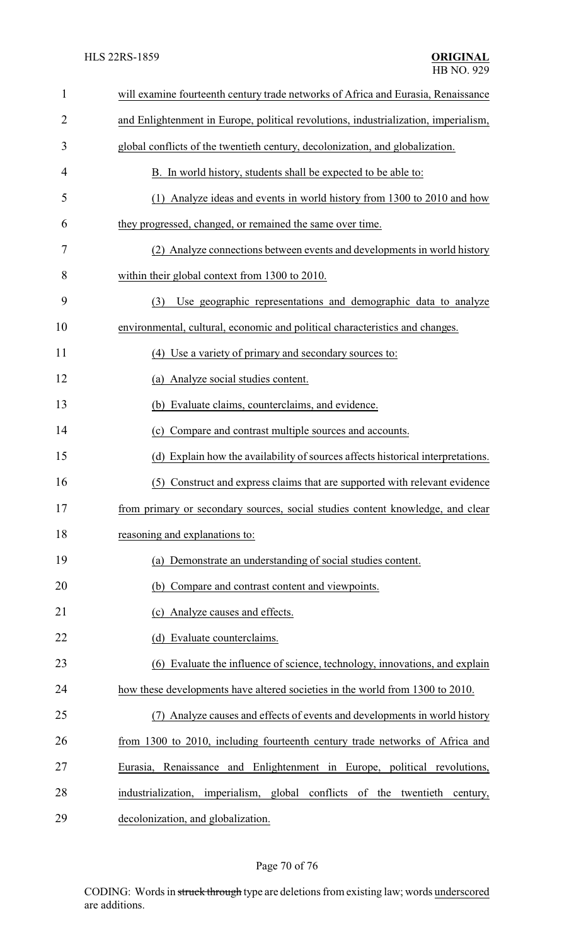| $\mathbf{1}$ | will examine fourteenth century trade networks of Africa and Eurasia, Renaissance   |
|--------------|-------------------------------------------------------------------------------------|
| 2            | and Enlightenment in Europe, political revolutions, industrialization, imperialism, |
| 3            | global conflicts of the twentieth century, decolonization, and globalization.       |
| 4            | B. In world history, students shall be expected to be able to:                      |
| 5            | Analyze ideas and events in world history from 1300 to 2010 and how<br>(1)          |
| 6            | they progressed, changed, or remained the same over time.                           |
| 7            | (2) Analyze connections between events and developments in world history            |
| 8            | within their global context from 1300 to 2010.                                      |
| 9            | Use geographic representations and demographic data to analyze<br>(3)               |
| 10           | environmental, cultural, economic and political characteristics and changes.        |
| 11           | (4) Use a variety of primary and secondary sources to:                              |
| 12           | (a) Analyze social studies content.                                                 |
| 13           | (b) Evaluate claims, counterclaims, and evidence.                                   |
| 14           | (c) Compare and contrast multiple sources and accounts.                             |
| 15           | (d) Explain how the availability of sources affects historical interpretations.     |
| 16           | Construct and express claims that are supported with relevant evidence<br>(5)       |
| 17           | from primary or secondary sources, social studies content knowledge, and clear      |
| 18           | reasoning and explanations to:                                                      |
| 19           | (a) Demonstrate an understanding of social studies content.                         |
| 20           | (b) Compare and contrast content and viewpoints.                                    |
| 21           | Analyze causes and effects.<br>(c)                                                  |
| 22           | (d) Evaluate counterclaims.                                                         |
| 23           | (6) Evaluate the influence of science, technology, innovations, and explain         |
| 24           | how these developments have altered societies in the world from 1300 to 2010.       |
| 25           | Analyze causes and effects of events and developments in world history              |
| 26           | from 1300 to 2010, including fourteenth century trade networks of Africa and        |
| 27           | Renaissance and Enlightenment in Europe, political revolutions,<br>Eurasia,         |
| 28           | industrialization, imperialism, global conflicts of the twentieth<br>century,       |
| 29           | decolonization, and globalization.                                                  |

## Page 70 of 76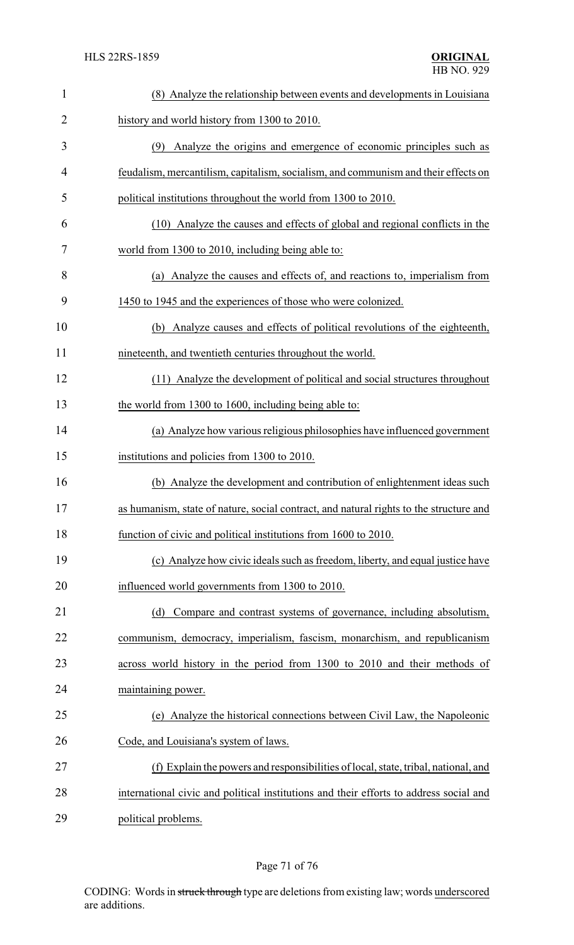| $\mathbf{1}$   | (8) Analyze the relationship between events and developments in Louisiana              |
|----------------|----------------------------------------------------------------------------------------|
| $\overline{2}$ | history and world history from 1300 to 2010.                                           |
| 3              | Analyze the origins and emergence of economic principles such as<br>(9)                |
| 4              | feudalism, mercantilism, capitalism, socialism, and communism and their effects on     |
| 5              | political institutions throughout the world from 1300 to 2010.                         |
| 6              | (10) Analyze the causes and effects of global and regional conflicts in the            |
| 7              | world from 1300 to 2010, including being able to:                                      |
| 8              | (a) Analyze the causes and effects of, and reactions to, imperialism from              |
| 9              | 1450 to 1945 and the experiences of those who were colonized.                          |
| 10             | Analyze causes and effects of political revolutions of the eighteenth,<br>(b)          |
| 11             | nineteenth, and twentieth centuries throughout the world.                              |
| 12             | (11) Analyze the development of political and social structures throughout             |
| 13             | the world from 1300 to 1600, including being able to:                                  |
| 14             | (a) Analyze how various religious philosophies have influenced government              |
| 15             | institutions and policies from 1300 to 2010.                                           |
| 16             | (b) Analyze the development and contribution of enlightenment ideas such               |
| 17             | as humanism, state of nature, social contract, and natural rights to the structure and |
| 18             | function of civic and political institutions from 1600 to 2010.                        |
| 19             | (c) Analyze how civic ideals such as freedom, liberty, and equal justice have          |
| 20             | influenced world governments from 1300 to 2010.                                        |
| 21             | Compare and contrast systems of governance, including absolutism,<br>(d)               |
| 22             | communism, democracy, imperialism, fascism, monarchism, and republicanism              |
| 23             | across world history in the period from 1300 to 2010 and their methods of              |
| 24             | maintaining power.                                                                     |
| 25             | (e) Analyze the historical connections between Civil Law, the Napoleonic               |
| 26             | Code, and Louisiana's system of laws.                                                  |
| 27             | (f) Explain the powers and responsibilities of local, state, tribal, national, and     |
| 28             | international civic and political institutions and their efforts to address social and |
| 29             | political problems.                                                                    |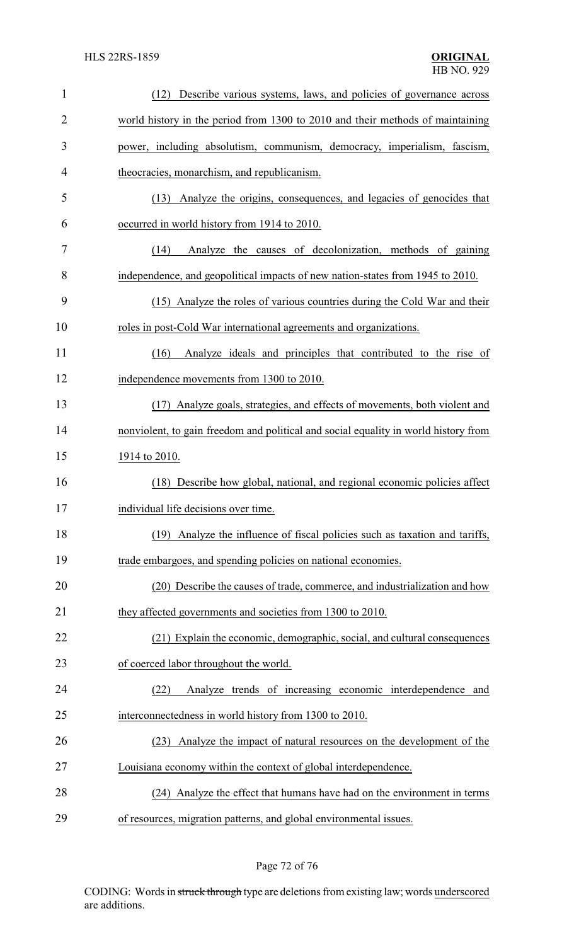| $\mathbf{1}$   | Describe various systems, laws, and policies of governance across<br>(12)           |
|----------------|-------------------------------------------------------------------------------------|
| $\overline{2}$ | world history in the period from 1300 to 2010 and their methods of maintaining      |
| 3              | power, including absolutism, communism, democracy, imperialism, fascism,            |
| 4              | theocracies, monarchism, and republicanism.                                         |
| 5              | (13) Analyze the origins, consequences, and legacies of genocides that              |
| 6              | occurred in world history from 1914 to 2010.                                        |
| 7              | Analyze the causes of decolonization, methods of gaining<br>(14)                    |
| 8              | independence, and geopolitical impacts of new nation-states from 1945 to 2010.      |
| 9              | (15) Analyze the roles of various countries during the Cold War and their           |
| 10             | roles in post-Cold War international agreements and organizations.                  |
| 11             | (16)<br>Analyze ideals and principles that contributed to the rise of               |
| 12             | independence movements from 1300 to 2010.                                           |
| 13             | (17) Analyze goals, strategies, and effects of movements, both violent and          |
| 14             | nonviolent, to gain freedom and political and social equality in world history from |
| 15             | 1914 to 2010.                                                                       |
| 16             | Describe how global, national, and regional economic policies affect<br>(18)        |
| 17             | individual life decisions over time                                                 |
| 18             | (19) Analyze the influence of fiscal policies such as taxation and tariffs,         |
| 19             | trade embargoes, and spending policies on national economies.                       |
| 20             | (20) Describe the causes of trade, commerce, and industrialization and how          |
| 21             | they affected governments and societies from 1300 to 2010.                          |
| 22             | (21) Explain the economic, demographic, social, and cultural consequences           |
| 23             | of coerced labor throughout the world.                                              |
| 24             | Analyze trends of increasing economic interdependence and<br>(22)                   |
| 25             | interconnectedness in world history from 1300 to 2010.                              |
| 26             | Analyze the impact of natural resources on the development of the<br>(23)           |
| 27             | Louisiana economy within the context of global interdependence.                     |
| 28             | (24) Analyze the effect that humans have had on the environment in terms            |
| 29             | of resources, migration patterns, and global environmental issues.                  |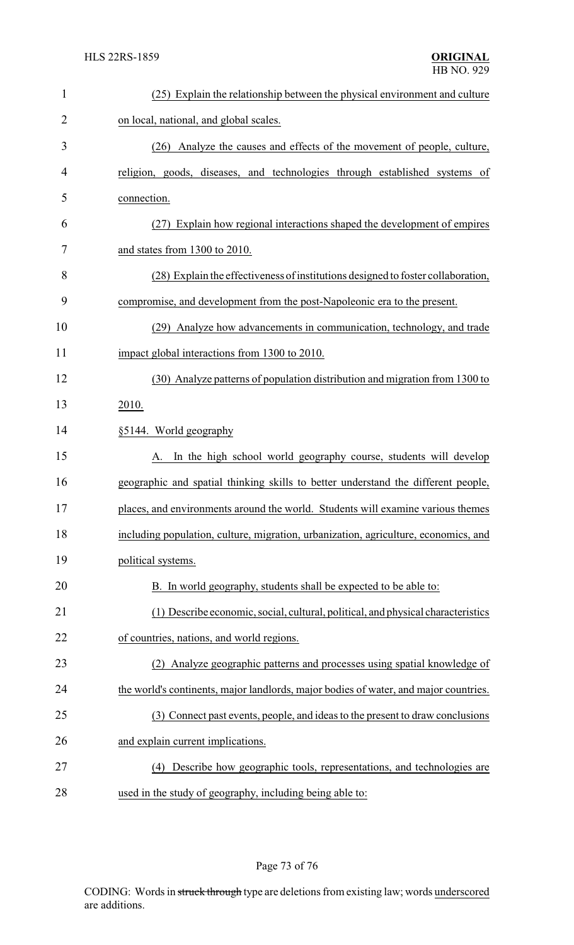| $\mathbf{1}$   | (25) Explain the relationship between the physical environment and culture           |
|----------------|--------------------------------------------------------------------------------------|
| $\overline{2}$ | on local, national, and global scales.                                               |
| 3              | (26) Analyze the causes and effects of the movement of people, culture,              |
| 4              | religion, goods, diseases, and technologies through established systems of           |
| 5              | connection.                                                                          |
| 6              | Explain how regional interactions shaped the development of empires<br>(27)          |
| 7              | and states from 1300 to 2010.                                                        |
| 8              | (28) Explain the effectiveness of institutions designed to foster collaboration,     |
| 9              | compromise, and development from the post-Napoleonic era to the present.             |
| 10             | (29) Analyze how advancements in communication, technology, and trade                |
| 11             | impact global interactions from 1300 to 2010.                                        |
| 12             | (30) Analyze patterns of population distribution and migration from 1300 to          |
| 13             | 2010.                                                                                |
| 14             | §5144. World geography                                                               |
| 15             | A. In the high school world geography course, students will develop                  |
| 16             | geographic and spatial thinking skills to better understand the different people,    |
| 17             | places, and environments around the world. Students will examine various themes      |
| 18             | including population, culture, migration, urbanization, agriculture, economics, and  |
| 19             | political systems.                                                                   |
| 20             | B. In world geography, students shall be expected to be able to:                     |
| 21             | (1) Describe economic, social, cultural, political, and physical characteristics     |
| 22             | of countries, nations, and world regions.                                            |
| 23             | (2) Analyze geographic patterns and processes using spatial knowledge of             |
| 24             | the world's continents, major landlords, major bodies of water, and major countries. |
| 25             | (3) Connect past events, people, and ideas to the present to draw conclusions        |
| 26             | and explain current implications.                                                    |
| 27             | Describe how geographic tools, representations, and technologies are<br>(4)          |
| 28             | used in the study of geography, including being able to:                             |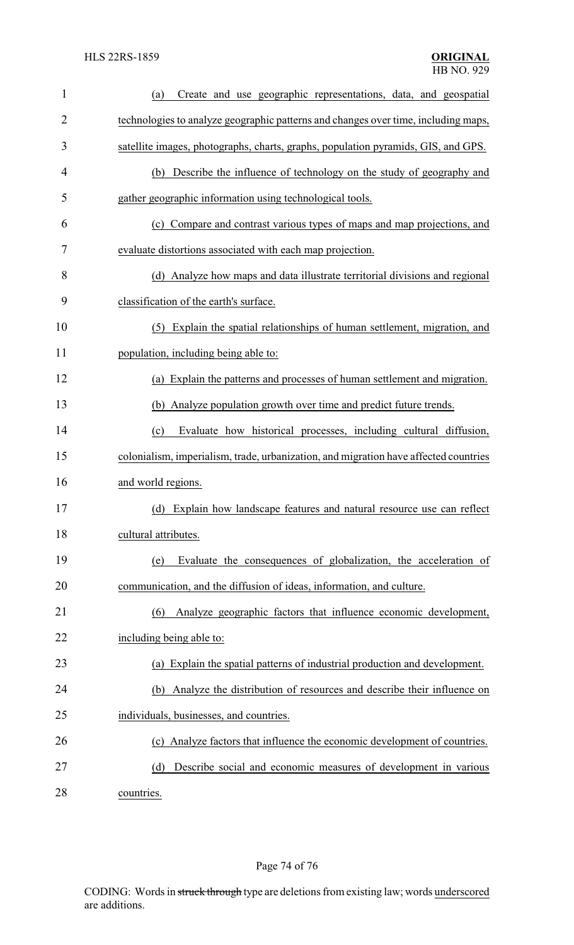| $\mathbf{1}$   | (a)<br>Create and use geographic representations, data, and geospatial               |
|----------------|--------------------------------------------------------------------------------------|
| $\overline{2}$ | technologies to analyze geographic patterns and changes over time, including maps,   |
| 3              | satellite images, photographs, charts, graphs, population pyramids, GIS, and GPS.    |
| 4              | (b) Describe the influence of technology on the study of geography and               |
| 5              | gather geographic information using technological tools.                             |
| 6              | (c) Compare and contrast various types of maps and map projections, and              |
| 7              | evaluate distortions associated with each map projection.                            |
| 8              | (d) Analyze how maps and data illustrate territorial divisions and regional          |
| 9              | classification of the earth's surface.                                               |
| 10             | (5) Explain the spatial relationships of human settlement, migration, and            |
| 11             | population, including being able to:                                                 |
| 12             | (a) Explain the patterns and processes of human settlement and migration.            |
| 13             | Analyze population growth over time and predict future trends.<br>(b)                |
| 14             | Evaluate how historical processes, including cultural diffusion,<br>(c)              |
| 15             | colonialism, imperialism, trade, urbanization, and migration have affected countries |
| 16             | and world regions.                                                                   |
| 17             | (d) Explain how landscape features and natural resource use can reflect              |
| 18             | cultural attributes.                                                                 |
| 19             | Evaluate the consequences of globalization, the acceleration of<br>(e)               |
| 20             | communication, and the diffusion of ideas, information, and culture.                 |
| 21             | Analyze geographic factors that influence economic development,<br>(6)               |
| 22             | including being able to:                                                             |
| 23             | (a) Explain the spatial patterns of industrial production and development.           |
| 24             | Analyze the distribution of resources and describe their influence on<br>(b)         |
| 25             | individuals, businesses, and countries.                                              |
| 26             | (c) Analyze factors that influence the economic development of countries.            |
| 27             | Describe social and economic measures of development in various<br>(d)               |
|                |                                                                                      |

28 countries.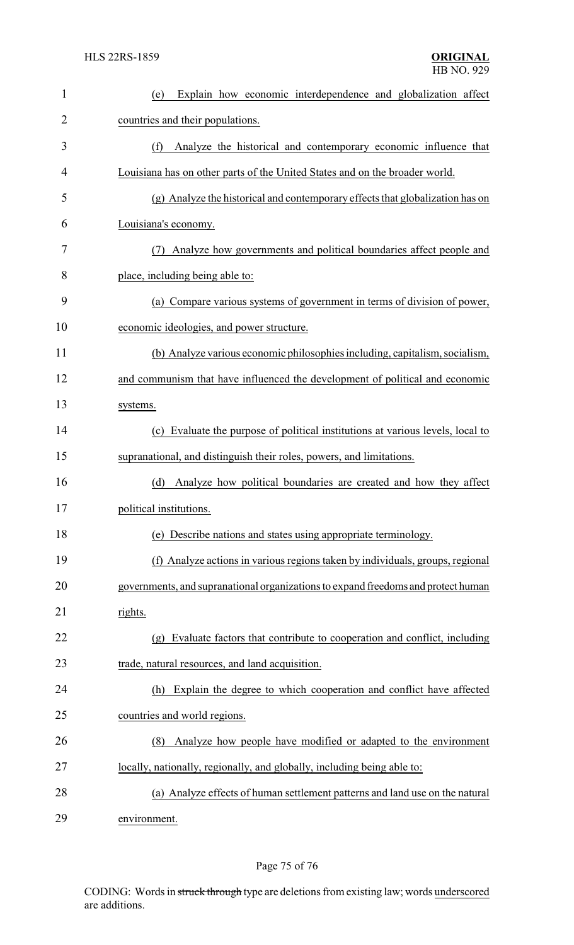| $\mathbf{1}$ | Explain how economic interdependence and globalization affect<br>(e)              |  |  |
|--------------|-----------------------------------------------------------------------------------|--|--|
| 2            | countries and their populations.                                                  |  |  |
| 3            | Analyze the historical and contemporary economic influence that<br>(f)            |  |  |
| 4            | Louisiana has on other parts of the United States and on the broader world.       |  |  |
| 5            | (g) Analyze the historical and contemporary effects that globalization has on     |  |  |
| 6            | Louisiana's economy.                                                              |  |  |
| 7            | Analyze how governments and political boundaries affect people and<br>(7)         |  |  |
| 8            | place, including being able to:                                                   |  |  |
| 9            | (a) Compare various systems of government in terms of division of power,          |  |  |
| 10           | economic ideologies, and power structure.                                         |  |  |
| 11           | (b) Analyze various economic philosophies including, capitalism, socialism,       |  |  |
| 12           | and communism that have influenced the development of political and economic      |  |  |
| 13           | systems.                                                                          |  |  |
| 14           | (c) Evaluate the purpose of political institutions at various levels, local to    |  |  |
| 15           | supranational, and distinguish their roles, powers, and limitations.              |  |  |
| 16           | Analyze how political boundaries are created and how they affect<br>(d)           |  |  |
| 17           | political institutions.                                                           |  |  |
| 18           | (e) Describe nations and states using appropriate terminology.                    |  |  |
| 19           | (f) Analyze actions in various regions taken by individuals, groups, regional     |  |  |
| 20           | governments, and supranational organizations to expand freedoms and protect human |  |  |
| 21           | rights.                                                                           |  |  |
| 22           | Evaluate factors that contribute to cooperation and conflict, including<br>(g)    |  |  |
| 23           | trade, natural resources, and land acquisition.                                   |  |  |
| 24           | (h) Explain the degree to which cooperation and conflict have affected            |  |  |
| 25           | countries and world regions.                                                      |  |  |
| 26           | Analyze how people have modified or adapted to the environment<br>(8)             |  |  |
| 27           | locally, nationally, regionally, and globally, including being able to:           |  |  |
| 28           | (a) Analyze effects of human settlement patterns and land use on the natural      |  |  |
| 29           | environment.                                                                      |  |  |